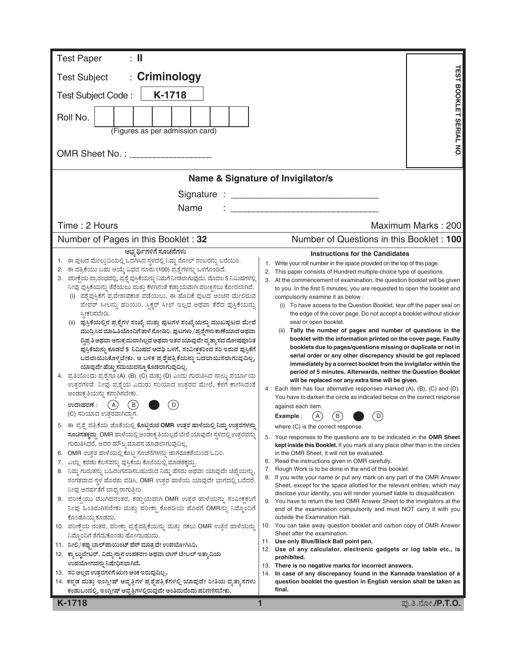| <b>Test Paper</b><br>$\pm$ 11                                                                                                                                                                                                                                                                                                                                                                                                                                                                                                                                                                                                                                                                                                                                                                                                                                                                                                                                                                                                                                                                                                                                                                                                                                                                                                                                                                                                                                                                                                                                                                                                                                                                                                                                                                                                                                                                                                                                                                                                     |                                                                                                                                                                                                                                                                                                                                                                                                                                                                                                                                                                                                                                                                                                                                                                                                                                                                                                                                                                                                                                                                                                                                                                                                                                                                                                                                                                                                                                                                                                                                                                                                                                                                                                                                                                                                                                                                                                                                                                                                                                                                                                                                                                                                         |  |  |  |  |  |  |  |
|-----------------------------------------------------------------------------------------------------------------------------------------------------------------------------------------------------------------------------------------------------------------------------------------------------------------------------------------------------------------------------------------------------------------------------------------------------------------------------------------------------------------------------------------------------------------------------------------------------------------------------------------------------------------------------------------------------------------------------------------------------------------------------------------------------------------------------------------------------------------------------------------------------------------------------------------------------------------------------------------------------------------------------------------------------------------------------------------------------------------------------------------------------------------------------------------------------------------------------------------------------------------------------------------------------------------------------------------------------------------------------------------------------------------------------------------------------------------------------------------------------------------------------------------------------------------------------------------------------------------------------------------------------------------------------------------------------------------------------------------------------------------------------------------------------------------------------------------------------------------------------------------------------------------------------------------------------------------------------------------------------------------------------------|---------------------------------------------------------------------------------------------------------------------------------------------------------------------------------------------------------------------------------------------------------------------------------------------------------------------------------------------------------------------------------------------------------------------------------------------------------------------------------------------------------------------------------------------------------------------------------------------------------------------------------------------------------------------------------------------------------------------------------------------------------------------------------------------------------------------------------------------------------------------------------------------------------------------------------------------------------------------------------------------------------------------------------------------------------------------------------------------------------------------------------------------------------------------------------------------------------------------------------------------------------------------------------------------------------------------------------------------------------------------------------------------------------------------------------------------------------------------------------------------------------------------------------------------------------------------------------------------------------------------------------------------------------------------------------------------------------------------------------------------------------------------------------------------------------------------------------------------------------------------------------------------------------------------------------------------------------------------------------------------------------------------------------------------------------------------------------------------------------------------------------------------------------------------------------------------------------|--|--|--|--|--|--|--|
| : Criminology<br><b>Test Subject</b>                                                                                                                                                                                                                                                                                                                                                                                                                                                                                                                                                                                                                                                                                                                                                                                                                                                                                                                                                                                                                                                                                                                                                                                                                                                                                                                                                                                                                                                                                                                                                                                                                                                                                                                                                                                                                                                                                                                                                                                              | <b><i>TEST BOOKLET SERIAL NO</i></b>                                                                                                                                                                                                                                                                                                                                                                                                                                                                                                                                                                                                                                                                                                                                                                                                                                                                                                                                                                                                                                                                                                                                                                                                                                                                                                                                                                                                                                                                                                                                                                                                                                                                                                                                                                                                                                                                                                                                                                                                                                                                                                                                                                    |  |  |  |  |  |  |  |
| K-1718<br>Test Subject Code:                                                                                                                                                                                                                                                                                                                                                                                                                                                                                                                                                                                                                                                                                                                                                                                                                                                                                                                                                                                                                                                                                                                                                                                                                                                                                                                                                                                                                                                                                                                                                                                                                                                                                                                                                                                                                                                                                                                                                                                                      |                                                                                                                                                                                                                                                                                                                                                                                                                                                                                                                                                                                                                                                                                                                                                                                                                                                                                                                                                                                                                                                                                                                                                                                                                                                                                                                                                                                                                                                                                                                                                                                                                                                                                                                                                                                                                                                                                                                                                                                                                                                                                                                                                                                                         |  |  |  |  |  |  |  |
| Roll No.<br>(Figures as per admission card)                                                                                                                                                                                                                                                                                                                                                                                                                                                                                                                                                                                                                                                                                                                                                                                                                                                                                                                                                                                                                                                                                                                                                                                                                                                                                                                                                                                                                                                                                                                                                                                                                                                                                                                                                                                                                                                                                                                                                                                       |                                                                                                                                                                                                                                                                                                                                                                                                                                                                                                                                                                                                                                                                                                                                                                                                                                                                                                                                                                                                                                                                                                                                                                                                                                                                                                                                                                                                                                                                                                                                                                                                                                                                                                                                                                                                                                                                                                                                                                                                                                                                                                                                                                                                         |  |  |  |  |  |  |  |
|                                                                                                                                                                                                                                                                                                                                                                                                                                                                                                                                                                                                                                                                                                                                                                                                                                                                                                                                                                                                                                                                                                                                                                                                                                                                                                                                                                                                                                                                                                                                                                                                                                                                                                                                                                                                                                                                                                                                                                                                                                   |                                                                                                                                                                                                                                                                                                                                                                                                                                                                                                                                                                                                                                                                                                                                                                                                                                                                                                                                                                                                                                                                                                                                                                                                                                                                                                                                                                                                                                                                                                                                                                                                                                                                                                                                                                                                                                                                                                                                                                                                                                                                                                                                                                                                         |  |  |  |  |  |  |  |
|                                                                                                                                                                                                                                                                                                                                                                                                                                                                                                                                                                                                                                                                                                                                                                                                                                                                                                                                                                                                                                                                                                                                                                                                                                                                                                                                                                                                                                                                                                                                                                                                                                                                                                                                                                                                                                                                                                                                                                                                                                   | Name & Signature of Invigilator/s                                                                                                                                                                                                                                                                                                                                                                                                                                                                                                                                                                                                                                                                                                                                                                                                                                                                                                                                                                                                                                                                                                                                                                                                                                                                                                                                                                                                                                                                                                                                                                                                                                                                                                                                                                                                                                                                                                                                                                                                                                                                                                                                                                       |  |  |  |  |  |  |  |
|                                                                                                                                                                                                                                                                                                                                                                                                                                                                                                                                                                                                                                                                                                                                                                                                                                                                                                                                                                                                                                                                                                                                                                                                                                                                                                                                                                                                                                                                                                                                                                                                                                                                                                                                                                                                                                                                                                                                                                                                                                   |                                                                                                                                                                                                                                                                                                                                                                                                                                                                                                                                                                                                                                                                                                                                                                                                                                                                                                                                                                                                                                                                                                                                                                                                                                                                                                                                                                                                                                                                                                                                                                                                                                                                                                                                                                                                                                                                                                                                                                                                                                                                                                                                                                                                         |  |  |  |  |  |  |  |
| Name                                                                                                                                                                                                                                                                                                                                                                                                                                                                                                                                                                                                                                                                                                                                                                                                                                                                                                                                                                                                                                                                                                                                                                                                                                                                                                                                                                                                                                                                                                                                                                                                                                                                                                                                                                                                                                                                                                                                                                                                                              |                                                                                                                                                                                                                                                                                                                                                                                                                                                                                                                                                                                                                                                                                                                                                                                                                                                                                                                                                                                                                                                                                                                                                                                                                                                                                                                                                                                                                                                                                                                                                                                                                                                                                                                                                                                                                                                                                                                                                                                                                                                                                                                                                                                                         |  |  |  |  |  |  |  |
| Time: 2 Hours                                                                                                                                                                                                                                                                                                                                                                                                                                                                                                                                                                                                                                                                                                                                                                                                                                                                                                                                                                                                                                                                                                                                                                                                                                                                                                                                                                                                                                                                                                                                                                                                                                                                                                                                                                                                                                                                                                                                                                                                                     | Maximum Marks: 200                                                                                                                                                                                                                                                                                                                                                                                                                                                                                                                                                                                                                                                                                                                                                                                                                                                                                                                                                                                                                                                                                                                                                                                                                                                                                                                                                                                                                                                                                                                                                                                                                                                                                                                                                                                                                                                                                                                                                                                                                                                                                                                                                                                      |  |  |  |  |  |  |  |
| Number of Pages in this Booklet: 32                                                                                                                                                                                                                                                                                                                                                                                                                                                                                                                                                                                                                                                                                                                                                                                                                                                                                                                                                                                                                                                                                                                                                                                                                                                                                                                                                                                                                                                                                                                                                                                                                                                                                                                                                                                                                                                                                                                                                                                               | Number of Questions in this Booklet: 100                                                                                                                                                                                                                                                                                                                                                                                                                                                                                                                                                                                                                                                                                                                                                                                                                                                                                                                                                                                                                                                                                                                                                                                                                                                                                                                                                                                                                                                                                                                                                                                                                                                                                                                                                                                                                                                                                                                                                                                                                                                                                                                                                                |  |  |  |  |  |  |  |
| ಅಭ್ಯರ್ಥಿಗಳಿಗೆ ಸೂಚನೆಗಳು<br>1. ಈ ಪುಟದ ಮೇಲ್ತುದಿಯಲ್ಲಿ ಒದಗಿಸಿದ ಸ್ಥಳದಲ್ಲಿ ನಿಮ್ಮ ರೋಲ್ ನಂಬರನ್ನು ಬರೆಯಿರಿ.                                                                                                                                                                                                                                                                                                                                                                                                                                                                                                                                                                                                                                                                                                                                                                                                                                                                                                                                                                                                                                                                                                                                                                                                                                                                                                                                                                                                                                                                                                                                                                                                                                                                                                                                                                                                                                                                                                                                  | <b>Instructions for the Candidates</b>                                                                                                                                                                                                                                                                                                                                                                                                                                                                                                                                                                                                                                                                                                                                                                                                                                                                                                                                                                                                                                                                                                                                                                                                                                                                                                                                                                                                                                                                                                                                                                                                                                                                                                                                                                                                                                                                                                                                                                                                                                                                                                                                                                  |  |  |  |  |  |  |  |
| 2. ಈ ಪತ್ರಿಕೆಯು ಬಹು ಆಯ್ಕೆ ವಿಧದ ನೂರು (100) ಪ್ರಶ್ನೆಗಳನ್ನು ಒಳಗೊಂಡಿದೆ.<br>3. ಪರೀಕ್ಷೆಯ ಪ್ರಾರಂಭದಲ್ಲಿ, ಪ್ರಶ್ನೆ ಪುಸ್ತಿಕೆಯನ್ನು ನಿಮಗೆ ನೀಡಲಾಗುವುದು. ಮೊದಲ 5 ನಿಮಿಷಗಳಲ್ಲಿ<br>ನೀವು ಪುಸ್ತಿಕೆಯನ್ನು ತೆರೆಯಲು ಮತ್ತು ಕೆಳಗಿನಂತೆ ಕಡ್ಡಾಯವಾಗಿ ಪರೀಕ್ಷಿಸಲು ಕೋರಲಾಗಿದೆ.<br>ಪಶ್ನೆಪುಸ್ತಿಕೆಗೆ ಪ್ರವೇಶಾವಕಾಶ ಪಡೆಯಲು, ಈ ಹೊದಿಕೆ ಪುಟದ ಅಂಚಿನ ಮೇಲಿರುವ<br>ಪೇಪರ್ ಸೀಲನ್ನು ಹರಿಯಿರಿ. ಸ್ಪಿಕ್ಚರ್ ಸೀಲ್ ಇಲ್ಲದ ಅಥವಾ ತೆರೆದ ಪುಸ್ತಿಕೆಯನ್ನು<br>ಸ್ತೀಕರಿಸಬೇಡಿ.<br>(ii) ಪುಸ್ತಿಕೆಯಲ್ಲಿನ ಪ್ರಶ್ನೆಗಳ ಸಂಖ್ಯೆ ಮತ್ತು ಪುಟಗಳ ಸಂಖ್ಯೆಯನ್ನು ಮುಖಪುಟದ ಮೇಲೆ<br>ಮುದ್ರಿಸಿದ ಮಾಹಿತಿಯೊಂದಿಗೆ ತಾಳೆ ನೋಡಿರಿ. ಪುಟಗಳು / ಪ್ರಶ್ನೆಗಳು ಕಾಣೆಯಾದ ಅಥವಾ<br>ದ್ದಿಪ್ರತಿ ಅಥವಾ ಅನುಕ್ರಮವಾಗಿಲ್ಲದ ಅಥವಾ ಇತರ ಯಾವುದೇ ವ್ಯತ್ಯಾಸದ ದೋಷಪೂರಿತ<br>ಪುಸ್ತಿಕೆಯನ್ನು ಕೂಡಲೆ 5 ನಿಮಿಷದ ಅವಧಿ ಒಳಗೆ, ಸಂವೀಕ್ಷಕರಿಂದ ಸರಿ ಇರುವ ಪುಸ್ತಿಕೆಗೆ<br>ಬದಲಾಯಿಸಿಕೊಳ್ಳಬೇಕು. ಆ ಬಳಿಕ ಪ್ರಶ್ನೆಪತ್ರಿಕೆಯನ್ನು ಬದಲಾಯಿಸಲಾಗುವುದಿಲ್ಲ,<br>ಯಾವುದೇ ಹೆಚ್ಚು ಸಮಯವನ್ನೂ ಕೊಡಲಾಗುವುದಿಲ್ಲ.<br>4. ಪ್ರತಿಯೊಂದು ಪ್ರಶ್ನೆಗೂ (A), (B), (C) ಮತ್ತು (D) ಎಂದು ಗುರುತಿಸಿದ ನಾಲ್ಕು ಪರ್ಯಾಯ<br>ಉತ್ತರಗಳಿವೆ. ನೀವು ಪ್ರಶ್ನೆಯ ಎದುರು ಸರಿಯಾದ ಉತ್ತರದ ಮೇಲೆ, ಕೆಳಗೆ ಕಾಣಿಸಿದಂತೆ<br>ಅಂಡಾಕೃತಿಯನ್ನು ಕಪ್ಪಾಗಿಸಬೇಕು.<br>(A)<br>ಉದಾಹರಣೆ :<br>D<br>В<br>(C) ಸರಿಯಾದ ಉತ್ತರವಾಗಿದ್ದಾಗ.<br>5. ಈ ಪ್ರಶ್ನೆ ಪತ್ರಿಕೆಯ ಜೊತೆಯಲ್ಲಿ ಕೊಟ್ಟಿರುವ OMR ಉತ್ತರ ಹಾಳೆಯಲ್ಲಿ ನಿಮ್ಮ ಉತ್ತರಗಳನ್ನು<br>ಸೂಚಿಸತಕ್ಕದ್ದು. OMR ಹಾಳೆಯಲ್ಲಿ ಅಂಡಾಕೃತಿಯಲ್ಲದೆ ಬೇರೆ ಯಾವುದೇ ಸ್ಥಳದಲ್ಲಿ ಉತ್ತರವನ್ನು<br>ಗುರುತಿಸಿದರೆ, ಅದರ ಮೌಲ್ಯಮಾಪನ ಮಾಡಲಾಗುವುದಿಲ್ಲ.<br>6. OMR ಉತ್ತರ ಹಾಳೆಯಲ್ಲಿ ಕೊಟ್ಟ ಸೂಚನೆಗಳನ್ನು ಜಾಗರೂಕತೆಯಿಂದ ಓದಿರಿ.<br>7.   ಎಲ್ಲಾ ಕರಡು ಕೆಲಸವನ್ನು ಪುಸ್ತಿಕೆಯ ಕೊನೆಯಲ್ಲಿ ಮಾಡತಕ್ಕದ್ದು<br>8. ನಿಮ್ಮ ಗುರುತನ್ನು ಬಹಿರಂಗಪಡಿಸಬಹುದಾದ ನಿಮ್ಮ ಹೆಸರು ಅಥವಾ ಯಾವುದೇ ಚಿಹ್ನೆಯನ್ನು,<br>ಸಂಗತವಾದ ಸ್ಥಳ ಹೊರತು ಪಡಿಸಿ, OMR ಉತ್ತರ ಹಾಳೆಯ ಯಾವುದೇ ಭಾಗದಲ್ಲಿ ಬರೆದರೆ,<br>ನೀವು ಅನರ್ಹತೆಗೆ ಬಾಧ್ಯರಾಗುತ್ತೀರಿ.<br>9. ಪರೀಕ್ಷೆಯು ಮುಗಿದನಂತರ, ಕಡ್ಡಾಯವಾಗಿ OMR ಉತ್ತರ ಹಾಳೆಯನ್ನು ಸಂವೀಕ್ಷಕರಿಗೆ<br>ನೀವು ಹಿಂತಿರುಗಿಸಬೇಕು ಮತ್ತು ಪರೀಕ್ಷಾ ಕೊಠಡಿಯ ಹೊರಗೆ OMRನ್ನು ನಿಮ್ಮೊಂದಿಗೆ<br>ಕೊಂಡೊಯ್ಯ ಕೂಡದು.<br>10. ಪರೀಕ್ಷೆಯ ನಂತರ, ಪರೀಕ್ಷಾ ಪ್ರಶ್ನೆಪತ್ರಿಕೆಯನ್ನು ಮತ್ತು ನಕಲು OMR ಉತ್ತರ ಹಾಳೆಯನ್ನು<br>ನಿಮ್ಮೊಂದಿಗೆ ತೆಗೆದುಕೊಂಡು ಹೋಗಬಹುದು.<br>11.   ನೀಲಿ/ಕಪ್ಪು ಬಾಲ್ ಪಾಯಿಂಟ್ ಪೆನ್ ಮಾತ್ರವೇ ಉಪಯೋಗಿಸಿರಿ.<br>12. ಕ್ಯಾಲ್ಕುಲೇಟರ್, ವಿದ್ಯುನ್ಮಾನ ಉಪಕರಣ ಅಥವಾ ಲಾಗ್ ಟೇಬಲ್ ಇತ್ಯಾದಿಯ | This paper consists of Hundred multiple-choice type of questions.<br>2.<br>3. At the commencement of examination, the question booklet will be given<br>to you. In the first 5 minutes, you are requested to open the booklet and<br>compulsorily examine it as below :<br>(i) To have access to the Question Booklet, tear off the paper seal on<br>the edge of the cover page. Do not accept a booklet without sticker<br>seal or open booklet.<br>(ii) Tally the number of pages and number of questions in the<br>booklet with the information printed on the cover page. Faulty<br>booklets due to pages/questions missing or duplicate or not in<br>serial order or any other discrepancy should be got replaced<br>immediately by a correct booklet from the invigilator within the<br>period of 5 minutes. Afterwards, neither the Question Booklet<br>will be replaced nor any extra time will be given.<br>4. Each item has four alternative responses marked (A), (B), (C) and (D).<br>You have to darken the circle as indicated below on the correct response<br>against each item.<br>$\left( \mathsf{B}\right)$<br>(A)<br>D<br>Example:<br>where (C) is the correct response.<br>5. Your responses to the questions are to be indicated in the OMR Sheet<br><b>kept inside this Booklet.</b> If you mark at any place other than in the circles<br>in the OMR Sheet, it will not be evaluated.<br>6. Read the instructions given in OMR carefully.<br>Rough Work is to be done in the end of this booklet.<br>7.<br>If you write your name or put any mark on any part of the OMR Answer<br>8.<br>Sheet, except for the space allotted for the relevant entries, which may<br>disclose your identity, you will render yourself liable to disqualification.<br>9. You have to return the test OMR Answer Sheet to the invigilators at the<br>end of the examination compulsorily and must NOT carry it with you<br>outside the Examination Hall.<br>10. You can take away question booklet and carbon copy of OMR Answer<br>Sheet after the examination.<br>11. Use only Blue/Black Ball point pen.<br>12. Use of any calculator, electronic gadgets or log table etc., is<br>prohibited. |  |  |  |  |  |  |  |
| ಉಪಯೋಗವನ್ನು ನಿಷೇಧಿಸಲಾಗಿದೆ.<br>13. ಸರಿ ಅಲ್ಲದ ಉತ್ತರಗಳಿಗೆ ಋಣ ಅಂಕ ಇರುವುದಿಲ್ಲ.<br>14. ಕನ್ನಡ ಮತ್ತು ಇಂಗ್ಲೀಷ್ ಆವೃತ್ತಿಗಳ ಪ್ರಶ್ನೆಪತ್ರಿಕೆಗಳಲ್ಲಿ ಯಾವುದೇ ರೀತಿಯ ವ್ಯತ್ನಾಸಗಳು                                                                                                                                                                                                                                                                                                                                                                                                                                                                                                                                                                                                                                                                                                                                                                                                                                                                                                                                                                                                                                                                                                                                                                                                                                                                                                                                                                                                                                                                                                                                                                                                                                                                                                                                                                                                                                                                      | 13. There is no negative marks for incorrect answers.<br>In case of any discrepancy found in the Kannada translation of a<br>14.<br>question booklet the question in English version shall be taken as                                                                                                                                                                                                                                                                                                                                                                                                                                                                                                                                                                                                                                                                                                                                                                                                                                                                                                                                                                                                                                                                                                                                                                                                                                                                                                                                                                                                                                                                                                                                                                                                                                                                                                                                                                                                                                                                                                                                                                                                  |  |  |  |  |  |  |  |
| ಕಂಡುಬಂದಲ್ಲಿ, ಇಂಗ್ಲೀಷ್ ಆವೃತ್ತಿಗಳಲ್ಲಿರುವುದೇ ಅಂತಿಮವೆಂದು ಪರಿಗಣಿಸಬೇಕು.                                                                                                                                                                                                                                                                                                                                                                                                                                                                                                                                                                                                                                                                                                                                                                                                                                                                                                                                                                                                                                                                                                                                                                                                                                                                                                                                                                                                                                                                                                                                                                                                                                                                                                                                                                                                                                                                                                                                                                 | final.                                                                                                                                                                                                                                                                                                                                                                                                                                                                                                                                                                                                                                                                                                                                                                                                                                                                                                                                                                                                                                                                                                                                                                                                                                                                                                                                                                                                                                                                                                                                                                                                                                                                                                                                                                                                                                                                                                                                                                                                                                                                                                                                                                                                  |  |  |  |  |  |  |  |
| K-1718                                                                                                                                                                                                                                                                                                                                                                                                                                                                                                                                                                                                                                                                                                                                                                                                                                                                                                                                                                                                                                                                                                                                                                                                                                                                                                                                                                                                                                                                                                                                                                                                                                                                                                                                                                                                                                                                                                                                                                                                                            | ಪು.ತಿ.ನೋ. <b>/P.T.O.</b><br>1                                                                                                                                                                                                                                                                                                                                                                                                                                                                                                                                                                                                                                                                                                                                                                                                                                                                                                                                                                                                                                                                                                                                                                                                                                                                                                                                                                                                                                                                                                                                                                                                                                                                                                                                                                                                                                                                                                                                                                                                                                                                                                                                                                           |  |  |  |  |  |  |  |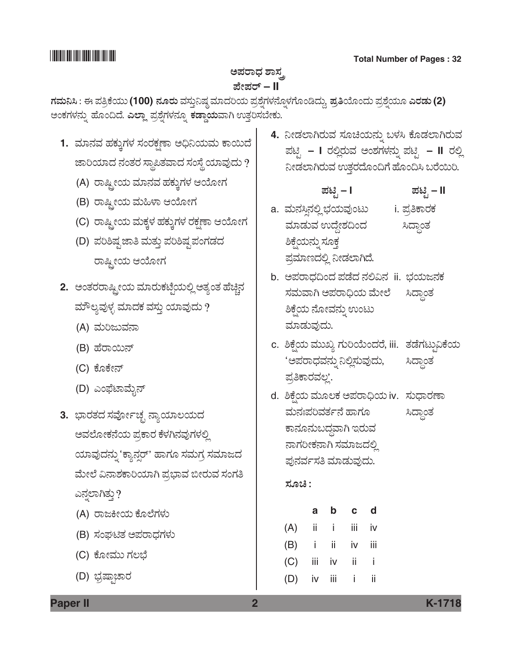### ಅಪರಾಧ ಶಾಸ<sub>,</sub> *±æà±ÜÃ…* **– II**

*WÜÊÜá¯Ô : D ±Ü£ÅPæ¿áá* **(100)** *®ÜãÃÜá* ÊÜÓÜ᤯ÐÜu ÊÜÞ¨ÜÄ¿á ±ÜÅÍæ°WÜÙÜ®æã°ÙÜWæãíw¨Üáª, *񚏜Áãí¨Üá ±ÜÅÍæ°¿áã GÃÜvÜá* **(2)** ಅಂಕಗಳನ್ನು ಹೊಂದಿದೆ. **ಎಲ್ಲಾ** ಪ್ರಶ್ನೆಗಳನ್ನೂ **ಕಡ್ಡಾಯ**ವಾಗಿ ಉತ್ತರಿಸಬೇಕು.

- 1. ಮಾನವ ಹಕ್ಕುಗಳ ಸಂರಕ್ಷಣಾ ಅಧಿನಿಯಮ ಕಾಯಿದೆ  $r$ ಹಾರಿಯಾದ ನಂತರ ಸ್ಥಾಪಿತವಾದ ಸಂಸ್ಥೆ ಯಾವುದು ?
	- (A) *ÃÝÑóà¿á ÊÜÞ®ÜÊÜ ÖÜPÜáRWÜÙÜ BÁãàWÜ*
	- (B) ರಾಷ್ಟ್ರೀಯ ಮಹಿಳಾ ಆಯೋಗ
	- (C) *ÃÝÑóà¿á ÊÜáPÜRÙÜ ÖÜPÜáRWÜÙÜ ÃÜPÜÒOÝ BÁãàWÜ*
	- (D) ಪರಿಶಿಷ್ಟ ಜಾತಿ ಮತ್ತು ಪರಿಶಿಷ್ಟ ಪಂಗಡದ *ÃÝÑóà¿á BÁãàWÜ*
- 2. ಅಂತರರಾಷ್ಟ್ರೀಯ ಮಾರುಕಟ್ಟೆಯಲ್ಲಿ ಅತ್ಯಂತ ಹೆಚ್ಚಿನ  $\Delta$ ಮೌಲ್ಯವುಳ್ಳ ಮಾದಕ ವಸ್ತು ಯಾವುದು ?
	- (A) *ÊÜáÄgáÊÜ®Ý*
	- (B) *ÖæÃÝÀá®…*
	- (C) *PæãPæà®…*
	- (D) *Gí´æpÝÊæáç®…*
- **3.** ಭಾರತದ ಸರ್ವೋಚ್ಛ ನ್ಯಾಯಾಲಯದ *AÊÜÇæãàPÜ®æ¿á ±ÜÅPÝÃÜ PæÙÜX®ÜÊÜâWÜÙÜÈÉ ¿ÞÊÜâ¨Ü®Üá° "PÝ®ÜÕÃ…' ÖÝWÜã ÓÜÊÜáWÜÅ ÓÜÊÜÞg¨Ü ÊæáàÇæ Ë®ÝÍÜPÝÄ¿ÞX ±ÜÅ»ÝÊÜ ¹àÃÜáÊÜ ÓÜíWÜ£*  ಎನ್ನಲಾಗಿತ್ತು?
	- (A) *ÃÝgQà¿á PæãÇæWÜÙÜá*
	- (B) *ÓÜíZqñÜ A±ÜÃÝ«ÜWÜÙÜá*
	- (C) *PæãàÊÜáá WÜÆ»æ*
	- (D) *»ÜÅÐÝraÝÃÜ*

4. ನೀಡಲಾಗಿರುವ ಸೂಚಿಯನ್ನು ಬಳಸಿ ಕೊಡಲಾಗಿರುವ *±Üqr* **– I** *ÃÜÈÉÃÜáÊÜ AíÍÜWÜÙÜ®Üá° ±Üqr* **– II** *ÃÜÈÉ*  ನೀಡಲಾಗಿರುವ ಉತ್ತರದೊಂದಿಗೆ ಹೊಂದಿಸಿ ಬರೆಯಿರಿ.

 *±Üqr* **– I** *±Üqr* **– II**

- a. *ÊÜá®ÜÔÕ®ÜÈÉ »Ü¿áÊÜâíoá* i. *±ÜÅ£PÝÃÜPÜ*  ಮಾಡುವ ಉದ್ದೇಶದಿಂದ ಸಿದ್ಧಾಂತ ಶಿಕ್ಷೆಯನ್ನು ಸೂಕ್ತ ಪ್ರಮಾಣದಲ್ಲಿ ನೀಡಲಾಗಿದೆ.
- b. ಅಪರಾಧದಿಂದ ಪಡೆದ ನಲಿವಿನ ii. ಭಯಜನಕ ÓÜÊÜáÊÝX A±ÜÃÝ—¿á ÊæáàÇæ ԨݜíñÜ ಶಿಕ್ಷೆಯ ನೋವನ್ನು ಉಂಟು ಮಾಡುವುದು.
- c. ಶಿಕ್ಷೆಯ ಮುಖ್ಯ ಗುರಿಯೆಂದರೆ, iii. ತಡೆಗಟ್ಟುವಿಕೆಯ 'ಅಪರಾಧವನ್ನು ನಿಲ್ಲಿಸುವುದು, ಸಿದ್ಧಾಂತ ಪ್ರತಿಕಾರವಲ್ಲ'.
- d. ಶಿಕ್ಷೆಯ ಮೂಲಕ ಅಪರಾಧಿಯ iv. ಸುಧಾರಣಾ ಮನಃಪರಿವರ್ತನೆ ಹಾಗೂ ಸಿದ್ಧಾಂತ ಕಾನೂನುಬದ್ಧವಾಗಿ ಇರುವ *ನಾಗ*ರೀಕನಾಗಿ ಸಮಾಜದಲ್ಲಿ ಪುನರ್ವಸತಿ ಮಾಡುವುದು.

### <u>ಸೂಚಿ :</u>

|                   |  | a b c d |  |
|-------------------|--|---------|--|
| $(A)$ ii i iii iv |  |         |  |
| (B) i ii iv iii   |  |         |  |
| $(C)$ iii iv ii i |  |         |  |
| (D) iv iii i ii   |  |         |  |

**Paper II 2 K-1718**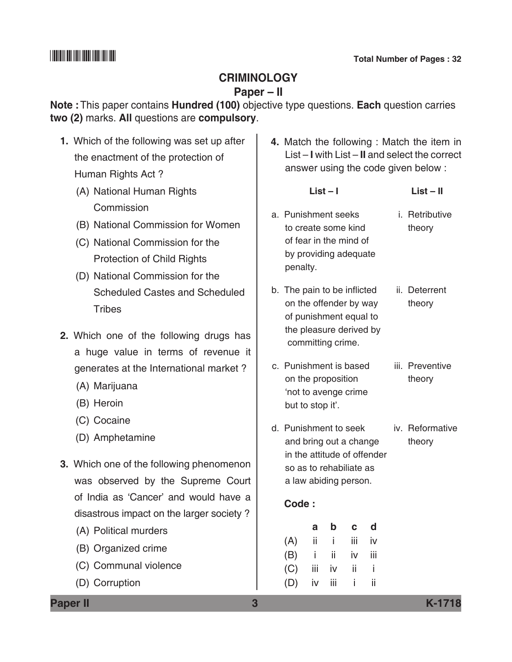### **Criminology**

### **Paper – II**

**Note :**This paper contains **Hundred (100)** objective type questions. **Each** question carries **two (2)** marks. **All** questions are **compulsory**.

- **1.** Which of the following was set up after the enactment of the protection of Human Rights Act ?
	- (A) National Human Rights **Commission**
	- (B) National Commission for Women
	- (C) National Commission for the Protection of Child Rights
	- (D) National Commission for the Scheduled Castes and Scheduled **Tribes**
- **2.** Which one of the following drugs has a huge value in terms of revenue it generates at the International market ?
	- (A) Marijuana
	- (B) Heroin
	- (C) Cocaine
	- (D) Amphetamine
- **3.** Which one of the following phenomenon was observed by the Supreme Court of India as 'Cancer' and would have a disastrous impact on the larger society ?
	- (A) Political murders
	- (B) Organized crime
	- (C) Communal violence
	- (D) Corruption

**4.** Match the following : Match the item in List – **I** with List – **II** and select the correct answer using the code given below :

 **List – I List – II**

- a. Punishment seeks i. Retributive to create some kind theory of fear in the mind of by providing adequate penalty.
- b. The pain to be inflicted ii. Deterrent on the offender by way theory of punishment equal to the pleasure derived by committing crime.
- c. Punishment is based iii. Preventive on the proposition theory 'not to avenge crime but to stop it'.
- d. Punishment to seek iv. Reformative and bring out a change theory in the attitude of offender so as to rehabiliate as a law abiding person.

### **Code :**

| a                 | b c d |    |
|-------------------|-------|----|
| $(A)$ ii i iii iv |       |    |
| $(B)$ i ii iv iii |       |    |
| $(C)$ iii iv ii i |       |    |
| $(D)$ iv iii i    |       | ii |

**Paper II 3 K-1718**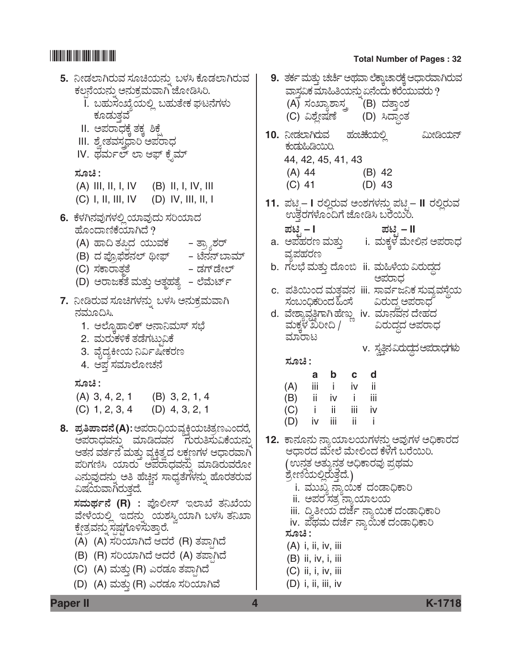# 

### 9. ತರ್ಕ ಮತ್ತು ಚರ್ಚೆ ಅಥವಾ ಲೆಕ್ವಾಚಾರಕ್ಕೆ ಆಧಾರವಾಗಿರುವ 5. ನೀಡಲಾಗಿರುವ ಸೂಚಿಯನ್ನು ಬಳಸಿ ಕೊಡಲಾಗಿರುವ ಕಲನೆಯನ್ನು ಅನುಕ್ರಮವಾಗಿ ಜೋಡಿಸಿರಿ. ವಾಸ್ತವಿಕ ಮಾಹಿತಿಯನ್ನು ಏನೆಂದು ಕರೆಯುವರು ? I. ಬಹುಸಂಖ್ಯೆಯಲ್ಲಿ ಬಹುತೇಕ ಘಟನೆಗಳು (A) ಸಂಖ್ಯಾಶಾಸ್ತ್ರ (B) ದತ್ತಾಂಶ ಕೂಡುತವೆ (C) ವಿಶ್ಲೇಷಣೆ (D) ಸಿದ್ಧಾಂತ II. ಅಪರಾಧಕೆ ತಕ್ತ ಶಿಕ್ತೆ ಹಂಚಿಕೆಯಲ್ಲಿ 10. ನೀಡಲಾಗಿರುವ ಮೀಡಿಯನ್ III. ಶ್ರೇತವಸ್ಥವಾರಿ ಅಪರಾಧ ಕಂಡುಹಿಡಿಯಿರಿ. IV. ಥರ್ಮಲ್ ಲಾ ಆಫ್ ಕೈಮ್ 44, 42, 45, 41, 43  $(A)$  44  $(B)$  42 ಸೂಚಿ :  $(C)$  41  $(D)$  43  $(A)$  III, II, I, IV  $(B)$  II, I, IV, III  $(D)$  IV, III, II, I  $(C)$  I, II, III, IV 11. ಪಟಿ – I ರಲ್ಲಿರುವ ಅಂಶಗಳನ್ನು ಪಟಿ – II ರಲ್ಲಿರುವ ಉತ್ತರಗಳೊಂದಿಗೆ ಜೋಡಿಸಿ ಬರೆಯಿಂ. 6. ಕೆಳಗಿನವುಗಳಲ್ಲಿ ಯಾವುದು ಸರಿಯಾದ ಪಟಿ – I ಪಟಿ *–* II ಹೊಂದಾಣಿಕೆಯಾಗಿದೆ ? i. ಮಕ್ತಳೆ ಮೇಲಿನ ಅಪರಾಧ a. ಅಪಹರಣ ಮತ್ತು (A) ಹಾದಿ ತಪಿದ ಯುವಕ - ತ್ರ್ಯಾಶರ್ ವ್ಯಪಹರಣ - ಟೆನನ್ಬಾಮ್ (B) ದ ಪ್ರೊಫೆಶನಲ್ ಥೀಫ್ b. ಗಲಭೆ ಮತ್ತು ದೊಂಬಿ ii. ಮಹಿಳೆಯ ವಿರುದ್ಧದ – ಡಗ್ಡೇಲ್ (C) ಸಕಾರಾತ್ತತೆ ಅಪರಾಧ (D) ಅರಾಜಕತೆ ಮತ್ತು ಆತ್ಮಹತ್ಯೆ – ಲೆಮೆರ್ಟ್ c. ಪತಿಯಿಂದ ಮತವನ iii. ಸಾರ್ವಜನಿಕ ಸುವ್ರವಸೆಯ 7. ನೀಡಿರುವ ಸೂಚಿಗಳನ್ನು ಬಳಸಿ ಅನುಕ್ರಮವಾಗಿ ಸಂಬಂಧಿಕರಿಂದ ಹಿಂಸೆ ವಿರುದ್ಧ ಅಪರಾಧ ನಮೂದಿಸಿ. d. ವೇಶ್ಯಾವೃತ್ತಿಗಾಗಿಹೆಣ್ಣು iv. ಮಾನವನ ದೇಹದ ಮಕ್ಕಳ ಖರೀದಿ / 1. ಆಲ್ರೊಹಾಲಿಕ್ ಅನಾನಿಮಸ್ ಸಭೆ ವಿರುದ್ಧದ ಅಪರಾಧ ಮಾರಾಟ 2. ಮರುಕಳಿಕೆ ತಡೆಗಟ್ರುವಿಕೆ v. ಸ್ವತಿನವಿರುದ್ಧದ ಅಪರಾಧಗಳು 3. ವೈದ್ಯಕೀಯ ನಿರ್ವಿಷೀಕರಣ ಸೂಚಿ : 4. ಆಪ ಸಮಾಲೋಚನೆ b c d  $\mathsf{a}$ ಸೂಚಿ : iii i iv ii  $(A)$  $(A)$  3, 4, 2, 1  $(B)$  3, 2, 1, 4  $(B)$ ii iv i -iii  $(C)$  1, 2, 3, 4  $(D)$  4, 3, 2, 1  $(C)$ j. ii iii iv iv iii ii  $(D)$ -i-8. ಪ್ರತಿಪಾದನೆ(A):ಅಪರಾಧಿಯವ್ಯಕ್ತಿಯಚಿತ್ರಣಎಂದರೆ, 12. ಕಾನೂನು ನ್ಯಾಯಾಲಯಗಳನ್ನು ಅವುಗಳ ಅಧಿಕಾರದ ಅಪರಾಧವನ್ನು ಮಾಡಿದವನ ಗುರುತಿಸುವಿಕೆಯನ್ನು ಆತನ ವರ್ತನೆ ಮತ್ತು ವ್ಯಕ್ತಿತ್ವದ ಲಕ್ಷಣಗಳ ಆಧಾರವಾಗಿ ಆಧಾರದ ಮೇಲೆ ಮೇಲಿಂದ ಕೆಳಗೆ ಬರೆಯಿರಿ. ಪರಿಗಣಿಸಿ ಯಾರು ಅಪರಾಧವನ್ನು ಮಾಡಿರುವರೋ (ಉನ್ನತ ಅತ್ಯುನ್ನತ ಅಧಿಕಾರವು ಪ್ರಥಮ ಎನ್ನುವುದನ್ನು ಅತಿ ಹೆಚ್ಚಿನ ಸಾಧ್ಯತೆಗಳನ್ನು ಹೊರತರುವ ಶ್ರೇಣಿಯಲ್ಲಿರುತ್ತದೆ.) i. ಮುಖ್ಯ ನ್ಯಾಯಿಕ ದಂಡಾಧಿಕಾರಿ ವಿಷಯವಾಗಿರುತದೆ. ii. ಅಪರ ಸತ್ತ ನ್ಯಾಯಾಲಯ ಸಮರ್ಥನೆ (R) : ಪೊಲೀಸ್ ಇಲಾಖೆ ತನಿಖೆಯ iii. ದ್ರಿತೀಯ ದರ್ಜೆ ನ್ಯಾಯಿಕ ದಂಡಾಧಿಕಾರಿ ವೇಳೆಯಲ್ಲಿ ಇದನ್ನು ಯಶಸ್ವಿಯಾಗಿ ಬಳಸಿ ತನಿಖಾ iv. ಪೆಥಮ ದರ್ಜೆ ನ್ಯಾಯಿಕ ದಂಡಾಧಿಕಾರಿ ಕ್ಷೇತ್ರವನ್ನು ಸ್ಪಷ್ಟಗೊಳಿಸುತ್ತಾರೆ. ಸೂಚಿ : (A) (A) ಸರಿಯಾಗಿದೆ ಆದರೆ (R) ತಪಾಗಿದೆ  $(A)$  i, ii, iv, iii (B) (R) ಸರಿಯಾಗಿದೆ ಆದರೆ (A) ತಪಾಗಿದೆ  $(B)$  ii, iv, i, iii (C) (A) ಮತ್ತು (R) ಎರಡೂ ತಪಾಗಿದೆ  $(C)$  ii, i, iv, iii (D) (A) ಮತ್ತು (R) ಎರಡೂ ಸರಿಯಾಗಿವೆ  $(D)$  i, ii, iii, iv

### **Paper II**

### **Total Number of Pages: 32**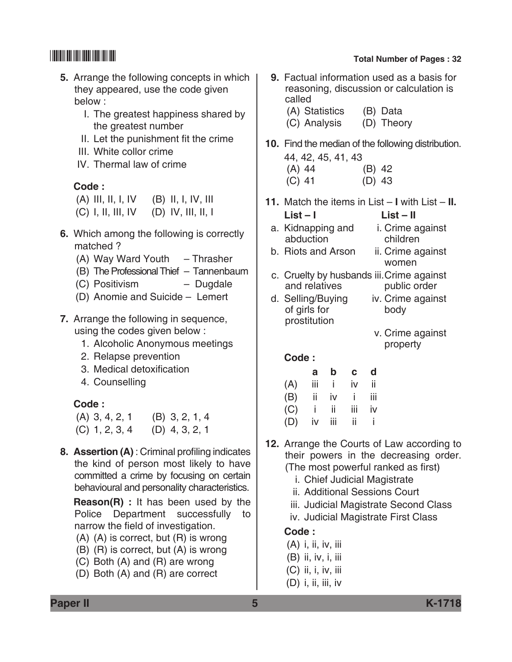- **5.** Arrange the following concepts in which they appeared, use the code given below :
	- I. The greatest happiness shared by the greatest number
	- II. Let the punishment fit the crime
	- III. White collor crime
	- IV. Thermal law of crime

### **Code :**

| $(A)$ III, II, I, IV | $(B)$ II, I, IV, III |
|----------------------|----------------------|
| $(C)$ I, II, III, IV | $(D)$ IV, III, II, I |

- **6.** Which among the following is correctly matched ?
	- (A) Way Ward Youth Thrasher
	- (B) The Professional Thief Tannenbaum
	- (C) Positivism Dugdale
	- (D) Anomie and Suicide Lemert
- **7.** Arrange the following in sequence, using the codes given below :
	- 1. Alcoholic Anonymous meetings
	- 2. Relapse prevention
	- 3. Medical detoxification
	- 4. Counselling

### **Code :**

| $(A)$ 3, 4, 2, 1 | $(B)$ 3, 2, 1, 4 |
|------------------|------------------|
| $(C)$ 1, 2, 3, 4 | $(D)$ 4, 3, 2, 1 |

**8. Assertion (A)** : Criminal profiling indicates the kind of person most likely to have committed a crime by focusing on certain behavioural and personality characteristics.

 **Reason(R) :** It has been used by the Police Department successfully to narrow the field of investigation.

- (A) (A) is correct, but (R) is wrong
- (B) (R) is correct, but (A) is wrong
- (C) Both (A) and (R) are wrong
- (D) Both (A) and (R) are correct

# \*K1718\* **Total Number of Pages : 32**

- **9.** Factual information used as a basis for reasoning, discussion or calculation is called
	- (A) Statistics (B) Data (C) Analysis (D) Theory
- **10.** Find the median of the following distribution. 44, 42, 45, 41, 43
	- (A) 44 (B) 42 (C) 41 (D) 43
- **11.** Match the items in List **I** with List **II. List – I List – II**
	- a. Kidnapping and i. Crime against abduction children
	- b. Riots and Arson ii. Crime against women
	- c. Cruelty by husbands iii.Crime against and relatives
	- d. Selling/Buying iv. Crime against of girls for body prostitution
		- v. Crime against property

 **Code :**

|     | a   | b   | C.  | d   |
|-----|-----|-----|-----|-----|
| (A) | iii | i   | iv  | ii  |
| (B) | ii. | iv  | Ĺ   | iii |
| (C) | j.  | ii. | iij | iv  |
| (D) | iv  | iij | ii  | İ   |

- **12.** Arrange the Courts of Law according to their powers in the decreasing order. (The most powerful ranked as first)
	- i. Chief Judicial Magistrate
	- ii. Additional Sessions Court
	- iii. Judicial Magistrate Second Class
	- iv. Judicial Magistrate First Class

## **Code :**

- (A) i, ii, iv, iii
- (B) ii, iv, i, iii
- (C) ii, i, iv, iii
- (D) i, ii, iii, iv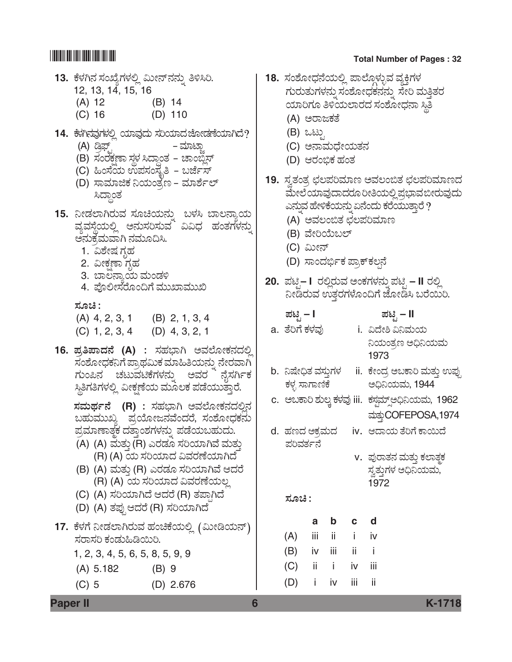### 13. ಕೆಳಗಿನ ಸಂಖ್ಯೆಗಳಲ್ಲಿ ಮೀನ್**ನನ್ನು ತಿಳಿಸಿ**ರಿ. 12, 13, 14, 15, 16 (A) 12 (B) 14 (C) 16 (D) 110 **14.** PæÙÜX®ÜÊÜâWÜÙÜÈÉ ¿ÞÊÜâ¨Üá ÓÜĿިÜhæãàvÜOæ¿ÞX¨æ? – ಮಾಟ್ಸಾ (B) ಸಂರಕ್ಷಣಾ ಸ್ಥಳ ಸಿದ್ಧಾಂತ – ಚಾಂಬ್ವೆಸ್ (C) ಹಿಂಸೆಯ ಉಪಸಂಸ್ತ್ರೆತಿ *–* ಬರ್ಜೆಸ್ (D) ಸಾಮಾಜಿಕ ನಿಯಂತ್ರಣ – ಮಾರ್ಶೆಲ್ ಸಿದ್ಧಾಂತ 15. ನೀಡಲಾಗಿರುವ ಸೂಚಿಯನ್ನು ಬಳಸಿ ಬಾಲನ್ಯಾಯ<br>ವ್ಯವಸ್ಥೆಯಲ್ಲಿ ಅನುಸರಿಸುವ ವಿವಿಧ ಹಂತಗಳನ್ನು ಅನುಕ್ಷೆಮವಾಗಿ ನಮೂದಿಸಿ. 1. ವಿಶೇಷ <u>ಗ್</u>ರಹ 2. ವೀಕಣಾ ಗೃಹ 3. ಬಾಲನ್ಯಾಯ ಮಂಡಳಿ 4. ಪೊಲೀಸರೊಂದಿಗೆ ಮುಖಾಮುಖಿ  *ÓÜãb :* (A) 4, 2, 3, 1 (B) 2, 1, 3, 4 (C) 1, 2, 3, 4 (D) 4, 3, 2, 1 **16.** *±ÜÅ-£-±Ý-¨Ü®æ* **(A)** *: ÓÜÖÜ»ÝX AÊÜÇæãàPܮܨÜÈÉ*   $\vec{z}$ ಸಂಶೋಧಕನಿಗೆ ಪ್ರಾಥಮಿಕ ಮಾಹಿತಿಯನ್ನು ನೇರವಾಗಿ *ಗುಂಪಿನ ಚಟು*ವಟಿಕೆಗಳನ್ನು ಅವರ ನೈಸರ್ಗಿಕ ಸ್ಥಿತಿಗತಿಗಳಲ್ಲಿ ವೀಕ್ಷಣೆಯ ಮೂಲಕ ಪಡೆಯುತ್ತಾರೆ.  *ÓÜ-ÊÜá-¥Üì®æ* **(R)** *: ÓÜÖÜ»ÝX AÊÜÇæãàPܮܨÜÈÉ®Ü*   $\,$ ಬಹುಮುಖ್ಯ ಪ್ರಯೋಜನವೆಂದರೆ, ಸಂಶೋಧಕನು ಪ್ರಮಾಣಾತ್ಮಕ ದತ್ತಾಂಶಗಳನ್ನು ಪಡೆಯಬಹುದು. (A) (A) ಮತ್ತು (R) ಎರಡೂ ಸರಿಯಾಗಿವೆ ಮತ್ತು (R) (A) *¿á ÓÜ-Ä-¿Þ¨Ü Ë-ÊÜ-ÃÜ-Oæ-¿Þ-X¨æ* (B) (A) ಮತ್ತು (R) ಎರಡೂ ಸರಿಯಾಗಿವೆ ಆದರೆ (R) (A) *¿á ÓÜ-Ä-¿Þ¨Ü Ë-ÊÜ-ÃÜ-Oæ-¿á-ÆÉ* (C) (A) *ÓÜ-Ä-¿Þ-X¨æ B-¨ÜÃæ* (R) *ñÜ-±Ý³-X¨æ* (D) (A) *ñܱÜâ³ B-¨ÜÃæ* (R) *ÓÜ-Ä-¿Þ-X-¨æ* 17. ಕೆಳಗೆ ನೀಡಲಾಗಿರುವ ಹಂಚಿಕೆಯಲ್ಲಿ (ಮೀಡಿಯನ್)<br>ಸರಾಸರಿ ಕಂಡುಹಿಡಿಯಿರಿ. 1, 2, 3, 4, 5, 6, 5, 8, 5, 9, 9 (A) 5.182 (B) 9 (C) 5 (D) 2.676 <u>18. ಸಂಶೋಧನೆಯಲ್ಲಿ ಪಾಲ್ಗೊಳ್ಳುವ ವ್ಯಕ್ತಿಗಳ</u> *ಗು*ರುತುಗಳನ್ನು ಸಂಶೋಧಕನನ್ನು ಸೇರಿ ಮತ್ತಿತರ ಯಾರಿಗೂ ತಿಳಿಯಲಾರದ ಸಂಶೋಧನಾ ಸ್ಥಿತಿ (A) *AÃÝgPÜñæ* (B) *Joár* (C) *A®ÝÊÜá«æà¿áñÜ®Ü* (D) *BÃÜí¼PÜ ÖÜíñÜ* <u>19. ಸ್</u>ತತಂತ್ರ ಛಲಪರಿಮಾಣ ಅವಲಂಬಿತ ಛಲಪರಿಮಾಣದ *ÊæáàÇæ ¿ÞÊÜâ¨Ý¨ÜÃÜã ÄࣿáÈÉ ±ÜÅ»ÝÊÜ ¹àÃÜáÊÜâ¨Üá*  ಎನ್ತುವ ಹೇಳಿಕೆಯನ್ನು ಏನೆಂದು ಕರೆಯುತ್ತಾರೆ ? (A) *AÊÜÆí¹ñÜ dÜÆ±ÜÄÊÜÞ|* (B) *ÊæàÄÁáŸÇ…* (C) *Ëáà®…* (D) ಸಾಂದರ್ಭಿಕ ಪ್ರಾಕ್**ಕಲನೆ 20.** *±Üqr* **– I** *ÃÜÈÉÃÜáÊÜ AíPÜWÜÙÜ®Üá° ±Üqr* **– II** *ÃÜÈÉ*  ನೀಡಿರುವ ಉತ್ತರಗಳೊಂದಿಗೆ ಜೋಡಿಸಿ ಬರೆಯಿರಿ.  *±Üqr* **– I** *±Üqr* **– II** a. *ñæÄWæ PÜÙÜÊÜâ* i. *˨æàΠ˯ÊÜá¿á*  ನಿಯಂತ್ರಣ ಅಧಿನಿಯಮ 1973 b. ನಿಷೇಧಿತ ವಸ್ತುಗಳ ii. ಕೇಂದ್ರ ಅಬಕಾರಿ ಮತ್ತು ಉಪ್ಪು *PÜÙÜÛ ÓÝWÝ~Pæ A—¯¿áÊÜá,* 1944 c. *AŸPÝÄ ÍÜáÆR PÜÙÜÊÜâ* iii. *PÜÓÜrÊÜå…ÕA—¯¿áÊÜá,* 1962 ಮತ್ತುCOFEPOSA,1974 d. ಹಣದ ಅಕ್ರಮದ iv. ಆದಾಯ ತೆರಿಗೆ ಕಾಯಿದೆ *±ÜÄÊÜñÜì®æ* v. ಪುರಾತನ ಮತ್ತು ಕಲಾತ್<del>ಕ</del> ಸ್ವತ್ತುಗಳ ಅಧಿನಿಯಮ, 1972 <u>ಸೂಚಿ :</u> **a b c d**  $(A)$  iii ii iv (B) iv iii ii i (C) ii i iv iii  $(D)$  i iv iii ii

**Paper II 6 K-1718**

# \*K1718\* **Total Number of Pages : 32**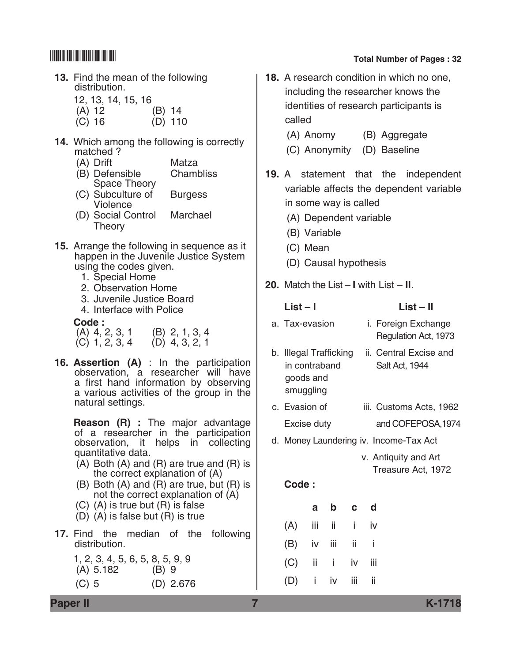- **13.** Find the mean of the following distribution.
	- 12, 13, 14, 15, 16
	- (A) 12 (B) 14
	- (C) 16 (D) 110
- **14.** Which among the following is correctly matched ?
	- (A) Drift Matza
	- (B) Defensible Chambliss Space Theory
	- (C) Subculture of Burgess Violence
	- (D) Social Control Marchael **Theory**
- **15.** Arrange the following in sequence as it happen in the Juvenile Justice System using the codes given.
	- 1. Special Home
	- 2. Observation Home
	- 3. Juvenile Justice Board
	- 4. Interface with Police

### **Code :**

| $(A)$ 4, 2, 3, 1 | $(B)$ 2, 1, 3, 4 |
|------------------|------------------|
| $(C)$ 1, 2, 3, 4 | $(D)$ 4, 3, 2, 1 |

**16. Assertion (A)** : In the participation observation, a researcher will have a first hand information by observing a various activities of the group in the natural settings.

 **Reason (R) :** The major advantage of a researcher in the participation observation, it helps in collecting quantitative data.

- (A) Both (A) and (R) are true and (R) is the correct explanation of (A)
- (B) Both (A) and (R) are true, but (R) is not the correct explanation of (A)
- (C) (A) is true but (R) is false
- (D) (A) is false but (R) is true
- **17.** Find the median of the following distribution.
	- 1, 2, 3, 4, 5, 6, 5, 8, 5, 9, 9  $(A)$  5.182 (C) 5 (D) 2.676

# \*K1718\* **Total Number of Pages : 32**

**18.** A research condition in which no one, including the researcher knows the identities of research participants is called

(A) Anomy (B) Aggregate

- (C) Anonymity (D) Baseline
- **19.** A statement that the independent variable affects the dependent variable in some way is called
	- (A) Dependent variable
	- (B) Variable
	- (C) Mean
	- (D) Causal hypothesis
- **20.** Match the List **I** with List **II**.

|    | $List - I$                                                     |                |     |    | List – II                              |                                             |  |  |
|----|----------------------------------------------------------------|----------------|-----|----|----------------------------------------|---------------------------------------------|--|--|
|    |                                                                | a. Tax-evasion |     |    |                                        | i. Foreign Exchange<br>Regulation Act, 1973 |  |  |
| b. | Illegal Trafficking<br>in contraband<br>goods and<br>smuggling |                |     |    |                                        | ii. Central Excise and<br>Salt Act, 1944    |  |  |
|    | c. Evasion of                                                  |                |     |    |                                        | iii. Customs Acts, 1962                     |  |  |
|    | Excise duty                                                    |                |     |    |                                        | and COFEPOSA, 1974                          |  |  |
|    |                                                                |                |     |    | d. Money Laundering iv. Income-Tax Act |                                             |  |  |
|    |                                                                |                |     |    |                                        | v. Antiquity and Art<br>Treasure Act, 1972  |  |  |
|    | Code:                                                          |                |     |    |                                        |                                             |  |  |
|    |                                                                | a              | b   | C  | d                                      |                                             |  |  |
|    | (A)                                                            | iij            | ii. | i. | iv                                     |                                             |  |  |
|    | (B)                                                            | iv             | iii | ii | i                                      |                                             |  |  |
|    | (C)                                                            | ii             | i   | iv | iii                                    |                                             |  |  |

 $(D)$  i iv iii ii

**Paper II 7 K-1718**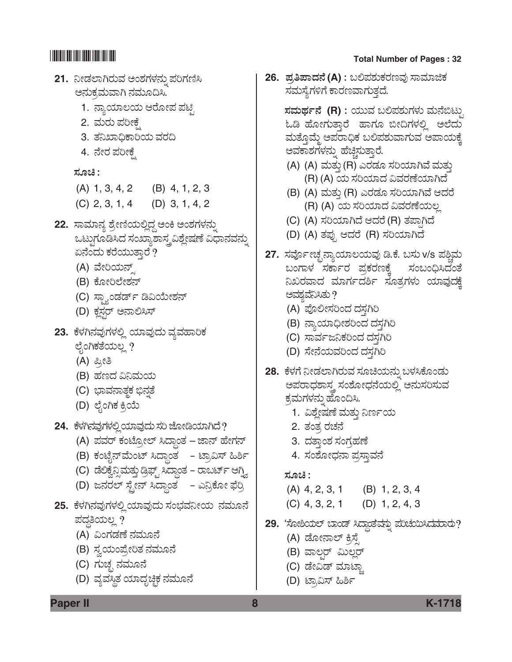# **21.** ನೀಡಲಾಗಿರುವ ಅಂಶಗಳನ್ನು ಪರಿಗಣಿಸಿ ಅನುಕ್ರಮವಾಗಿ ನಮೂದಿಸಿ. 1. *ನ್ಯಾ*ಯಾಲಯ ಆರೋಪ ಪಟ್ಟಿ 2. ಮರು ಪರೀಕೆ 3. ತನಿಖಾಧಿಕಾರಿಯ ವರದಿ 4. ನೇರ ಪರೀಕ್ಷೆ *ÓÜãb :* (A) 1, 3, 4, 2 (B) 4, 1, 2, 3 (C) 2, 3, 1, 4 (D) 3, 1, 4, 2 **22.** ಸಾಮಾನ್ಯ ಶ್ರೇಣಿಯಲ್ಲಿದ್ದ ಅಂಕಿ ಅಂಶಗಳನ್ನು ಒಟ್ಟುಗೂಡಿಸಿದ ಸಂಖ್ಯಾಶಾಸ್ತ್ರವಿಶ್ಲೇಷಣೆ ವಿಧಾನವನ್ನು ಏನೆಂದು ಕರೆಯುತ್ತಾರೆ ? (A) ವೇರಿಯನ್ಸ್ (B) *PæãàÄÇæàÍÜ®…* (C) ಸ್ಫ್ಯಾಂಡರ್ಡ್ ಡಿವಿಯೇಶನ್ (D) ಕ್ಷಸ್ಟರ್ ಅನಾಲಿಸಿಸ್ 23. ಕೆಳಗಿನವುಗಳಲ್ಲಿ ಯಾವುದು ವ್ಯವಹಾರಿಕ ಲೈಂಗಿಕತೆಯಲ್ಲ ? (A) ಪ್ರೀತಿ (B) *ÖÜ|¨Ü ˯ÊÜá¿á* (C) ಭಾವನಾತ್<del>ಥ</del> ಭಿನ್ನತೆ (D) ಲೈಂಗಿಕ ಕ್ರಿಯೆ **24.** ಕೆಳಗಿನವುಗಳಲ್ಲಿ ಯಾವುದು ಸರಿ ಜೋಡಿಯಾಗಿದೆ? (A) ಪವರ್ ಕಂಟ್ರೋಲ್ ಸಿದ್ಧಾಂತ *–* ಜಾನ್ ಹೇಗನ್ (B) ಕಂಟೈನ್**ಮೆಂಟ್ ಸಿದ್ಧಾಂತ – ಟ್ರಾವಿಸ್ ಹಿರ್ಶಿ** (C) ಡೆಲಿಕ್ವೆನ್ಸಿಮತ್ತು ಡ್ರಿಫ್ಟ್ ಸಿದ್ಧಾಂತ – ರಾಬರ್ಟ್ ಆಗ್ವಿ. (D) ಜನರಲ್ ಸ್ಟೇನ್ ಸಿದ್ಧಾಂತ - ಎನ್ರಿಕೋ ಫೆರ್ರಿ **25.** *PæÙÜX®ÜÊÜâWÜÙÜÈÉ ¿ÞÊÜâ¨Üá ÓÜí»ÜÊܯà¿á ®ÜÊÜáã®æ*  ಪದ್ಧತಿಯಲ್ಲ ? (A) ವಿಂಗಡಣೆ ನಮೂನೆ (B) ಸ್ವಯಂಪ್ರೇರಿತ ನಮೂನೆ (C) *WÜáaÜf ®ÜÊÜáã®æ* (D) ವ್ಯವಸ್ಥಿತ ಯಾದೃಚ್ಛಿಕ ನಮೂನೆ

# \*K1718\* **Total Number of Pages : 32**

**26.** *±ÜÅ-£-±Ý-¨Ü®æ* **(A)** *: ŸÈ±ÜÍÜáPÜÃÜ|ÊÜâ ÓÝÊÜÞiPÜ*  ಸಮಸ್ಯೆಗಳಿಗೆ ಕಾರಣವಾಗುತ್ತದೆ.

> $\vec{a}$ ಸಮರ್ಥನೆ (R) : ಯುವ ಬಲಿಪಶುಗಳು ಮನೆಬಿಟ್ಟು ಓಡಿ ಹೋಗುತ್ತಾರೆ ಹಾಗೂ ಬೀದಿಗಳಲ್ಲಿ ಅಲೆದು ಮತ್ತೊಮ್ಮೆ ಅಪರಾಧಿಕ ಬಲಿಪಶುವಾಗುವ ಅಪಾಯಕ್ಕೆ ಅವಕಾಶಗಳನ್ನು ಹೆಚ್ಚಿಸುತ್ತಾರೆ.

- (A) (A) ಮತ್ತು (R) ಎರಡೂ ಸರಿಯಾಗಿವೆ ಮತ್ತು (R) (A) *¿á ÓÜ-Ä-¿Þ¨Ü Ë-ÊÜ-ÃÜ-Oæ-¿Þ-X¨æ*
- (B) (A) ಮತ್ತು (R) ಎರಡೂ ಸರಿಯಾಗಿವೆ ಆದರೆ (R) (A) *¿á ÓÜ-Ä-¿Þ¨Ü Ë-ÊÜ-ÃÜ-Oæ-¿á-ÆÉ*
- (C) (A) *ÓÜ-Ä-¿Þ-X¨æ B-¨ÜÃæ* (R) *ñÜ-±Ý³-X¨æ*
- (D) (A) *ñܱÜâ³ B-¨ÜÃæ* (R) *ÓÜ-Ä-¿Þ-X-¨æ*
- 27. ಸರ್ವೋಚ್ಛನ್ಯಾಯಾಲಯವು ಡಿ.ಕೆ. ಬಸು v/s ಪಶ್ಚಿಮ *ŸíWÝÙÜ ÓÜPÝìÃÜ ±ÜÅPÜÃÜ|PæR ÓÜíŸí—Ô¨Üíñæ ¯SÃÜÊÝ¨Ü ÊÜÞWÜì¨ÜÎì ÓÜãñÜÅWÜÙÜá ¿ÞÊÜâ¨ÜPæR*  ಅವಶ್ಯವೆನಿಸಿತು ?
	- (A) ಪೊಲೀಸರಿಂದ ದಸ್ತಗಿರಿ
	- (B) ನ್ಯಾಯಾಧೀಶರಿಂದ ದಸ್ತಗಿರಿ
	- (C) ಸಾರ್ವಜನಿಕರಿಂದ ದಸ್ತಗಿರಿ
	- (D) ಸೇನೆಯವರಿಂದ ದಸ್ತಗಿರಿ
- 28. ಕೆಳಗೆ ನೀಡಲಾಗಿರುವ ಸೂಚಿಯನ್ನು ಬಳಸಿಕೊಂಡು ಅಪರಾಧಶಾಸ್ತ್ರ ಸಂಶೋಧನೆಯಲ್ಲಿ ಅನುಸರಿಸುವ ಕ್ರಮಗಳನ್ನು ಹೊಂದಿಸಿ.
	- 1. ವಿಶ್ಲೇಷಣೆ ಮತ್ತು ನಿರ್ಣಯ
	- <u>2. ತಂತ್ರ</u> ರಚನೆ
	- 3. ದತ್ತಾಂಶ ಸಂಗ್ರಹಣೆ
	- 4. ಸಂಶೋಧನಾ ಪ್ರಸ್ತಾವನೆ

### *ÓÜãb :*

- (A) 4, 2, 3, 1 (B) 1, 2, 3, 4 (C) 4, 3, 2, 1 (D) 1, 2, 4, 3
- 29. 'ಸೋಶಿಯಲ್ ಬಾಂಡ್ ಸಿದ್ಧಾತವನ್ನು ಪರಿಚಯಿಸಿದಮಾರು?
	- (A) ಡೋನಾಲ್ ಕ್ರಿಸ್ಪೆ
	- (B) *ÊÝÆrÃ… ËáÆÉÃ…*
	- (C) ಡೇವಿಡ್ ಮಾಟ್ಸಾ
	- (D) ಟ್ರಾವಿಸ್ ಹಿರ್ಶಿ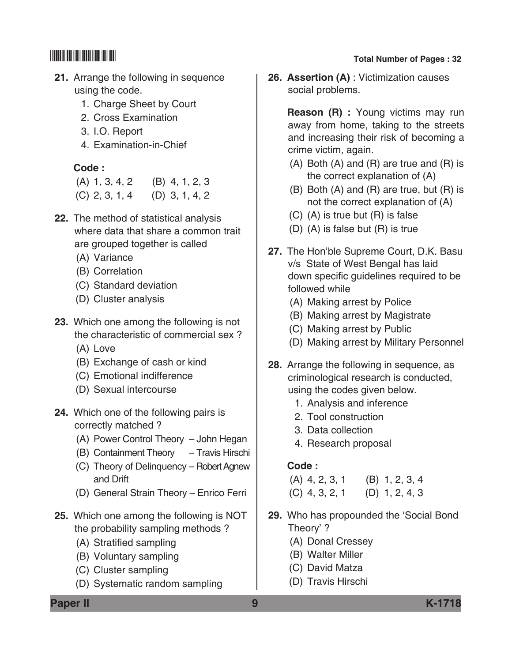- **21.** Arrange the following in sequence using the code.
	- 1. Charge Sheet by Court
	- 2. Cross Examination
	- 3. I.O. Report
	- 4. Examination-in-Chief

## **Code :**

| $(A)$ 1, 3, 4, 2 | $(B)$ 4, 1, 2, 3 |
|------------------|------------------|
| $(C)$ 2, 3, 1, 4 | $(D)$ 3, 1, 4, 2 |

- **22.** The method of statistical analysis where data that share a common trait are grouped together is called
	- (A) Variance
	- (B) Correlation
	- (C) Standard deviation
	- (D) Cluster analysis
- **23.** Which one among the following is not the characteristic of commercial sex ?
	- (A) Love
	- (B) Exchange of cash or kind
	- (C) Emotional indifference
	- (D) Sexual intercourse
- **24.** Which one of the following pairs is correctly matched ?
	- (A) Power Control Theory John Hegan
	- (B) Containment Theory Travis Hirschi
	- (C) Theory of Delinquency Robert Agnew and Drift
	- (D) General Strain Theory Enrico Ferri
- **25.** Which one among the following is NOT the probability sampling methods ?
	- (A) Stratified sampling
	- (B) Voluntary sampling
	- (C) Cluster sampling
	- (D) Systematic random sampling

# \*K1718\* **Total Number of Pages : 32**

**26. Assertion (A)** : Victimization causes social problems.

> **Reason (R) :** Young victims may run away from home, taking to the streets and increasing their risk of becoming a crime victim, again.

- (A) Both (A) and (R) are true and (R) is the correct explanation of (A)
- (B) Both (A) and (R) are true, but (R) is not the correct explanation of (A)
- (C) (A) is true but (R) is false
- (D) (A) is false but (R) is true
- **27.** The Hon'ble Supreme Court, D.K. Basu v/s State of West Bengal has laid down specific guidelines required to be followed while
	- (A) Making arrest by Police
	- (B) Making arrest by Magistrate
	- (C) Making arrest by Public
	- (D) Making arrest by Military Personnel
- **28.** Arrange the following in sequence, as criminological research is conducted, using the codes given below.
	- 1. Analysis and inference
	- 2. Tool construction
	- 3. Data collection
	- 4. Research proposal

# **Code :**

(A) 4, 2, 3, 1 (B) 1, 2, 3, 4 (C) 4, 3, 2, 1 (D) 1, 2, 4, 3

- **29.** Who has propounded the 'Social Bond Theory' ?
	- (A) Donal Cressey
	- (B) Walter Miller
	- (C) David Matza
	- (D) Travis Hirschi

**Paper II 9 K-1718**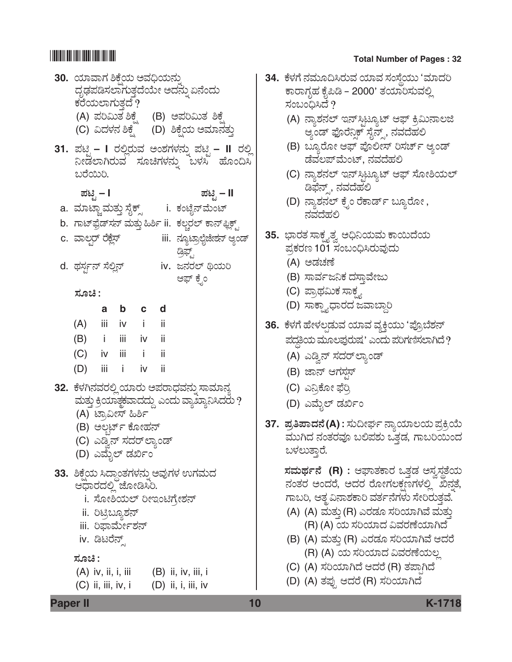| 30. ಯಾವಾಗ ಶಿಕ್ಷೆಯ ಅವಧಿಯನ್ನು        |                                       |                                 | ದೃಢಪಡಿಸಲಾಗುತ್ತದೆಯೇ ಅದನ್ನು ಏನೆಂದು                                                             |
|------------------------------------|---------------------------------------|---------------------------------|----------------------------------------------------------------------------------------------|
| ಕರೆಯಲಾಗುತ್ತದೆ ?                    |                                       |                                 |                                                                                              |
|                                    |                                       |                                 |                                                                                              |
|                                    |                                       |                                 | (A) ಪರಿಮಿತ ಶಿಕ್ಷೆ     (B) ಅಪರಿಮಿತ ಶಿಕ್ಷೆ<br>(C) ವಿದಳನ ಶಿಕ್ಷೆ     (D) ಶಿಕ್ಷೆಯ ಅಮಾನತ್ತು        |
|                                    |                                       |                                 | 31. ಪಟ್ಟಿ – I ರಲ್ಲಿರುವ ಅಂಶಗಳನ್ನು ಪಟ್ಟಿ – II ರಲ್ಲಿ<br>ನೀಡಲಾಗಿರುವ ಸೂಚಿಗಳನ್ನು ಬಳಸಿ ಹೊಂದಿಸಿ      |
| ಬರೆಯಿರಿ.                           |                                       |                                 |                                                                                              |
| ಪಟ್ಟಿ – I                          |                                       |                                 | ಪಟ್ಟಿ – II                                                                                   |
| a.  ಮಾಟ್ಲಾಮತ್ತು ಸೈಕ್ಸ್             |                                       |                                 | i. ಕಂಟೈನ್ಮೆಂಟ್                                                                               |
|                                    |                                       |                                 | b. ಗಾಟ್ಫ಼ೆಡ್ಸನ್ ಮತ್ತು ಹಿರ್ಶಿ ii.  ಕಲ್ತರಲ್ ಕಾನ್ಫ್ಲಿಕ್ಸ್,                                      |
| c. ವಾಲ್ಗರ್ ರೆಕ್ಲೆಸ್                |                                       |                                 | iii.  ನ್ಯೂಟ್ರಾಲ್ಗೆಜೇಶನ್ ಆ್ಯಂಡ್<br>ಡ್ರಿಫ್ಟ್,                                                  |
| d.  ಥರ್ಸ್ಟನ್ ಸೆಲ್ಲಿನ್              |                                       |                                 | iv. ಜನರಲ್ ಥಿಯರಿ                                                                              |
|                                    |                                       |                                 | ಆಫ್ ಕ್ನೆಂ                                                                                    |
| ಸೂಚಿ :                             |                                       |                                 |                                                                                              |
|                                    |                                       | a b c d                         |                                                                                              |
| (A) iii iv i ii<br>(B) i iii iv ii |                                       |                                 |                                                                                              |
| $(C)$ iv iii i ii                  |                                       |                                 |                                                                                              |
| (D) iii i iv ii                    |                                       |                                 |                                                                                              |
|                                    |                                       |                                 |                                                                                              |
|                                    |                                       |                                 | 32.  ಕೆಳಗಿನವರಲ್ಲಿ ಯಾರು ಅಪರಾಧವನ್ನು ಸಾಮಾನ್ಯ<br>ಮತ್ತು ಕ್ರಿಯಾಕ್ಟ್ರವಾದದ್ದು ಎಂದು ವ್ಯಾಖ್ಯಾನಿಸಿದರು ? |
|                                    | (A) ಟ್ರಾವೀಸ್ ಹಿರ್ಶಿ                   |                                 |                                                                                              |
|                                    |                                       | (B) ಅಲ್ಬರ್ಟ್ ಕೋಹನ್              |                                                                                              |
|                                    |                                       | (C) ಎಡ್ರಿನ್ ಸದರ್ <b>ಲ್ಯಾಂಡ್</b> |                                                                                              |
| .<br>(D) ಎಮೈಲ್ ಡರ್ಖಿಂ              |                                       |                                 |                                                                                              |
|                                    |                                       |                                 | 33. ಶಿಕ್ಷೆಯ ಸಿದ್ಧಾಂತಗಳನ್ನು ಅವುಗಳ ಉಗಮದ                                                        |
| ಆಧಾರದಲ್ಲಿ ಜೋಡಿಸಿರಿ.                |                                       |                                 |                                                                                              |
|                                    |                                       |                                 | i. ಸೋಶಿಯಲ್ ರೀಇಂಟಿಗ್ರೇಶನ್                                                                     |
|                                    | ii. ರಿಟ್ರಿಬ್ಯೂಶನ್<br>iii. ರಿಫಾರ್ಮೇಶನ್ |                                 |                                                                                              |
|                                    | iv. ಡಿಟರೆನ್ಸ್                         |                                 |                                                                                              |
| ಸೂಚಿ :                             |                                       |                                 |                                                                                              |
|                                    |                                       |                                 | $(A)$ iv, ii, i, iii $(B)$ ii, iv, iii, i                                                    |
| $(C)$ ii, iii, iv, i               |                                       |                                 | $(D)$ ii, i, iii, iv                                                                         |
|                                    |                                       |                                 |                                                                                              |

| 34. ಕೆಳಗೆ ನಮೂದಿಸಿರುವ ಯಾವ ಸಂಸ್ಥೆಯು 'ಮಾದರಿ   |
|--------------------------------------------|
| ಕಾರಾಗೃಹ ಕೈಪಿಡಿ – 2000' ತಯಾರಿಸುವಲ್ಲಿ        |
| ಸಂಬಂಧಿಸಿದೆ ?                               |
| (A) ನ್ಯಾಶನಲ್ ಇನ್ಸ್ಟಿಟ್ಯೂಟ್ ಆಫ್ ಕ್ರಿಮಿನಾಲಜಿ |
| ಆ್ತಂಡ್ ಫೊರೆನ್ಡಿಕ್ ಸೈನ್ಸ್, ನವದೆಹಲಿ          |
| (B) ಬ್ಯೂರೋ ಆಫ್ ಪೊಲೀಸ್ ರಿಸರ್ಚ್ ಆ್ಯಂಡ್       |
| ಡೆವಲಪ್ಮೆಂಟ್, ನವದೆಹಲಿ                       |
| (C) ನ್ಯಾಶನಲ್ ಇನ್ಸ್ರಿಟ್ಯೂಟ್ ಆಫ್ ಸೋಶಿಯಲ್     |
| ಡಿಫೆನ್ಸ್, ನವದೆಹಲಿ                          |
| (D) ನ್ಯಾಶನಲ್ ಕ್ರೆಂ ರೆಕಾರ್ಡ್ ಬ್ಯೂರೋ ,       |
| ನವದೆಹಲಿ                                    |
| 35.  ಭಾರತ ಸಾಕ್ಷ್ಯತ್ವ ಅಧಿನಿಯಮ ಕಾಯಿದೆಯ       |
| ಪ್ರಕರಣ 101 ಸಂಬಂಧಿಸಿರುವುದು                  |
| (A) ಅಡಚಣೆ                                  |
| (B) ಸಾರ್ವಜನಿಕ ದಸ್ತಾವೇಜು                    |
| (C) ಪ್ರಾಥಮಿಕ ಸಾಕ್ಷ್ಯ                       |
|                                            |

- (D) ಸಾಕ್ಷ್ಯಾಧಾರದ ಜವಾಬ್ದಾರಿ
- 36. ಕೆಳಗೆ ಹೇಳಲ್ಪಡುವ ಯಾವ ವ್ಯಕ್ತಿಯು 'ಪ್ರೊಬೆಶನ್ ±Ü¨Üœ£¿á ÊÜáãÆ±*ÜâÃÜáÐÜ ' Gí¨Üá ±ÜÄWÜ~ÓÜÇÝX¨æ ?*
	- (A) ಎಡ್ವಿನ್ ಸದರ್**ಲ್ಯಾಂಡ್**
	- (B) ಜಾನ್ ಆಗಸ್<del>ಗ</del>ಸ್
	- (C) *G¯ÅPæãà ´æÄÅ*
	- (D) ಎಮೈಲ್ ಡರ್ಖಿಂ
- 37. ಪ್ರತಿಪಾದನೆ(A) : ಸುದೀರ್ಘ ನ್ಯಾಯಾಲಯ ಪ್ರಕ್ರಿಯೆ ಮುಗಿದ ನಂತರವೂ ಬಲಿಪಶು ಒತ್ತಡ, ಗಾಬರಿಯಿಂದ ಬಳಲುತ್ತಾರೆ.

 $\vec{a}$  *x*  $\vec{b}$  *c*  $\vec{c}$   $\vec{b}$  *c*  $\vec{c}$   $\vec{c}$   $\vec{d}$   $\vec{c}$   $\vec{d}$   $\vec{c}$   $\vec{d}$ ನಂತರ ಅಂದರೆ, ಅದರ ರೋಗಲಕ್ಷಣಗಳಲ್ಲಿ<sup>"</sup> ಖಿನ್ನತೆ, ಗಾಬರಿ, ಆತ್ಮವಿನಾಶಕಾರಿ ವರ್ತನೆಗಳು ಸೇರಿರುತ್ತವೆ.

- (A) (A) ಮತ್ತು (R) ಎರಡೂ ಸರಿಯಾಗಿವೆ ಮತ್ತು (R) (A) *¿á ÓÜ-Ä-¿Þ¨Ü Ë-ÊÜ-ÃÜ-Oæ-¿Þ-X¨æ*
- (B) (A) ಮತ್ತು (R) ಎರಡೂ ಸರಿಯಾಗಿವೆ ಆದರೆ (R) (A) *¿á ÓÜ-Ä-¿Þ¨Ü Ë-ÊÜ-ÃÜ-Oæ-¿á-ÆÉ*
- (C) (A) *ÓÜ-Ä-¿Þ-X¨æ B-¨ÜÃæ* (R) *ñÜ-±Ý³-X¨æ*
- (D) (A) *ñܱÜâ³ B-¨ÜÃæ* (R) *ÓÜ-Ä-¿Þ-X-¨æ*

**Paper II 10 K-1718**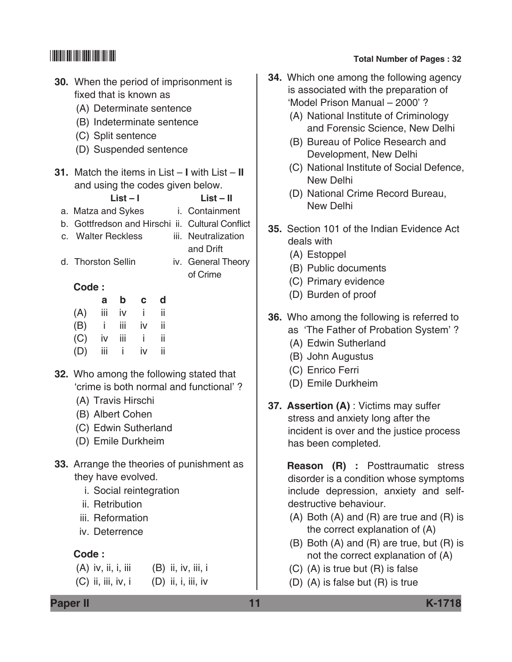|          | <b>30.</b> When the period of imprisonment is<br>fixed that is known as<br>(A) Determinate sentence<br>(B) Indeterminate sentence<br>(C) Split sentence<br>(D) Suspended sentence |                                                       |             |                         |     |  |                                                                                                                                                                                                                                     |  |  |
|----------|-----------------------------------------------------------------------------------------------------------------------------------------------------------------------------------|-------------------------------------------------------|-------------|-------------------------|-----|--|-------------------------------------------------------------------------------------------------------------------------------------------------------------------------------------------------------------------------------------|--|--|
| a.<br>b. | c. Walter Reckless                                                                                                                                                                |                                                       | List – I    |                         |     |  | <b>31.</b> Match the items in List $- I$ with List $- II$<br>and using the codes given below.<br>$List - II$<br>Matza and Sykes i. Containment<br>Gottfredson and Hirschi ii. Cultural Conflict<br>iii. Neutralization<br>and Drift |  |  |
|          | d. Thorston Sellin                                                                                                                                                                |                                                       |             |                         |     |  | iv. General Theory<br>of Crime                                                                                                                                                                                                      |  |  |
|          | Code:                                                                                                                                                                             |                                                       |             |                         |     |  |                                                                                                                                                                                                                                     |  |  |
|          |                                                                                                                                                                                   | a                                                     | $\mathbf b$ | $\mathbf{C}$            | ∣ d |  |                                                                                                                                                                                                                                     |  |  |
|          | (A) iii iv i ii                                                                                                                                                                   |                                                       |             |                         |     |  |                                                                                                                                                                                                                                     |  |  |
|          | $(B)$ i iii iv ii                                                                                                                                                                 |                                                       |             |                         |     |  |                                                                                                                                                                                                                                     |  |  |
|          | $(C)$ iv iii i ii                                                                                                                                                                 |                                                       |             |                         |     |  |                                                                                                                                                                                                                                     |  |  |
|          | (D) iii i iv ii                                                                                                                                                                   |                                                       |             |                         |     |  |                                                                                                                                                                                                                                     |  |  |
|          | (A) Travis Hirschi<br>(B) Albert Cohen<br>(C) Edwin Sutherland<br>(D) Emile Durkheim                                                                                              |                                                       |             |                         |     |  | 32. Who among the following stated that<br>'crime is both normal and functional'?                                                                                                                                                   |  |  |
|          | they have evolved.                                                                                                                                                                | ii. Retribution<br>iii. Reformation<br>iv. Deterrence |             | i. Social reintegration |     |  | 33. Arrange the theories of punishment as                                                                                                                                                                                           |  |  |
|          | Code:                                                                                                                                                                             |                                                       |             |                         |     |  |                                                                                                                                                                                                                                     |  |  |
|          |                                                                                                                                                                                   |                                                       |             |                         |     |  | $(A)$ iv, ii, i, iii $(B)$ ii, iv, iii, i                                                                                                                                                                                           |  |  |
|          | $(C)$ ii, iii, iv, i                                                                                                                                                              |                                                       |             |                         |     |  | $(D)$ ii, i, iii, iv                                                                                                                                                                                                                |  |  |

- **34.** Which one among the following agency is associated with the preparation of 'Model Prison Manual – 2000' ?
	- (A) National Institute of Criminology and Forensic Science, New Delhi
	- (B) Bureau of Police Research and Development, New Delhi
	- (C) National Institute of Social Defence, New Delhi
	- (D) National Crime Record Bureau, New Delhi
- **35.** Section 101 of the Indian Evidence Act deals with
	- (A) Estoppel
	- (B) Public documents
	- (C) Primary evidence
	- (D) Burden of proof
- **36.** Who among the following is referred to
	- as 'The Father of Probation System' ?
	- (A) Edwin Sutherland
	- (B) John Augustus
	- (C) Enrico Ferri
	- (D) Emile Durkheim
- **37. Assertion (A)** : Victims may suffer stress and anxiety long after the incident is over and the justice process has been completed.

 **Reason (R) :** Posttraumatic stress disorder is a condition whose symptoms include depression, anxiety and selfdestructive behaviour.

- (A) Both (A) and (R) are true and (R) is the correct explanation of (A)
- (B) Both (A) and (R) are true, but (R) is not the correct explanation of (A)
- (C) (A) is true but (R) is false
- (D) (A) is false but (R) is true

**Paper II 11 K-1718**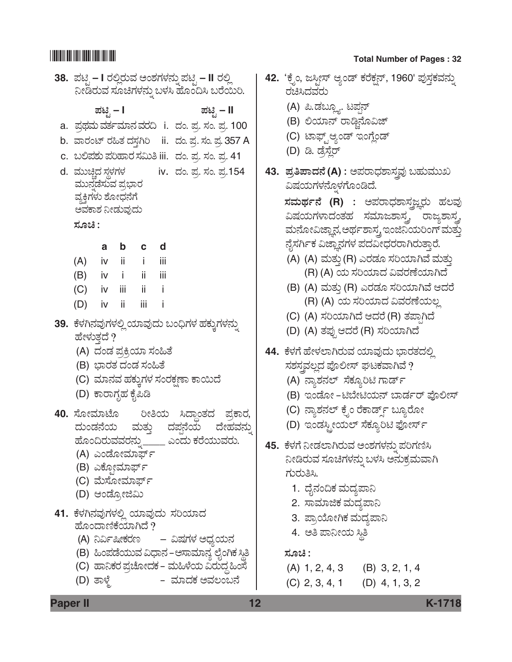|        |                                         |       |     | 38.  ಪಟ್ಟಿ – I ರಲ್ಲಿರುವ ಅಂಶಗಳನ್ನು ಪಟ್ಟಿ – II ರಲ್ಲಿ<br>ನೀಡಿರುವ ಸೂಚಿಗಳನ್ನು ಬಳಸಿ ಹೊಂದಿಸಿ ಬರೆಯರಿ. |  |
|--------|-----------------------------------------|-------|-----|-----------------------------------------------------------------------------------------------|--|
|        | ಪಟಿೖ – I                                |       |     | ಪಟ್ಟಿ – II                                                                                    |  |
|        |                                         |       |     | a.  ಪ್ರಥಮ ವರ್ತಮಾನ ವರದಿ   i.   ದಂ. ಪ್ರ. ಸಂ. ಪ್ರ. 100                                           |  |
|        |                                         |       |     | b. ವಾರಂಟ್ ರಹಿತ ದಸ್ತಗಿರಿ ii. ದಂ. ಪ್ರ. ಸಂ. ಪ್ರ. 357 A                                           |  |
|        |                                         |       |     | c. ಬಲಿಪಶು ಪರಿಹಾರ ಸಮಿತಿ iii. ದಂ. ಪ್ರ. ಸಂ. ಪ್ರ. 41                                              |  |
|        |                                         |       |     | d. ಮುಚ್ಚಿದ ಸ್ಥಳಗಳ          iv. ದಂ. ಪ್ರ. ಸಂ. ಪ್ರ.154                                           |  |
|        | ಮುನ್ನಡೆಸುವ ಪ್ರಭಾರ                       |       |     |                                                                                               |  |
|        | ವ್ಯಕ್ತಿಗಳು ಶೋಧನೆಗೆ                      |       |     |                                                                                               |  |
| ಸೂಚಿ : | ಅವಕಾಶ ನೀಡುವುದು                          |       |     |                                                                                               |  |
|        |                                         |       |     |                                                                                               |  |
|        |                                         | a b c | d   |                                                                                               |  |
|        | $(A)$ iv ii i                           |       | iij |                                                                                               |  |
|        | (B) iv i ii iii                         |       |     |                                                                                               |  |
|        | $(C)$ iv iii ii i                       |       |     |                                                                                               |  |
|        | (D) iv ii iii i                         |       |     |                                                                                               |  |
|        |                                         |       |     | 39.  ಕೆಳಗಿನವುಗಳಲ್ಲಿ ಯಾವುದು ಬಂಧಿಗಳ ಹಕ್ಕುಗಳನ್ನು                                                 |  |
|        | ಹೇಳುತ್ತದೆ ?<br>(A) ದಂಡ ಪ್ರಕ್ರಿಯಾ ಸಂಹಿತೆ |       |     |                                                                                               |  |
|        | (B) ಭಾರತ ದಂಡ ಸಂಹಿತೆ                     |       |     |                                                                                               |  |
|        |                                         |       |     | (C) ಮಾನವ ಹಕ್ಕುಗಳ ಸಂರಕ್ಷಣಾ ಕಾಯಿದೆ                                                              |  |
|        | (D) ಕಾರಾಗೃಹ ಕೈಪಿಡಿ                      |       |     |                                                                                               |  |
|        |                                         |       |     | 40. ಸೋಮಾಟೊ ರೀತಿಯ ಸಿದ್ಧಾಂತದ ಪ್ರಕಾರ,                                                            |  |
|        |                                         |       |     |                                                                                               |  |
|        |                                         |       |     | ದುಂಡನೆಯ ಮತ್ತು ದಪ್ಪನೆಯ ದೇಹವನ್ನು<br>ಹೊಂದಿರುವವರನ್ನು_____ ಎಂದು ಕರೆಯುವರು.                          |  |
|        | (A) ಎಂಡೋಮಾರ್ಫ್                          |       |     |                                                                                               |  |
|        | (B) ಎಕ್ಸೋಮಾರ್ಫ್                         |       |     |                                                                                               |  |
|        | (C) ಮೆಸೋಮಾರ್ಫ್<br>(D) ಆಂಡ್ರೋಜಿಮಿ        |       |     |                                                                                               |  |
|        |                                         |       |     |                                                                                               |  |
|        | ಹೊಂದಾಣಿಕೆಯಾಗಿದೆ ?                       |       |     | 41. ಕೆಳಗಿನವುಗಳಲ್ಲಿ ಯಾವುದು ಸರಿಯಾದ                                                              |  |
|        |                                         |       |     | (A) ನಿರ್ವಿಷೀಕರಣ     – ವಿಷಗಳ ಅಧ್ಯಯನ                                                            |  |
|        |                                         |       |     | (B) ಹಿಂಪಡೆಯುವ ವಿಧಾನ –ಆಸಾಮಾನ್ಯ ಲೈಂಗಿಕ ಸ್ಥಿತಿ                                                   |  |
|        |                                         |       |     | (C) ಹಾನಿಕರ ಪ್ರಚೋದಕ – ಮಹಿಳೆಯ ವಿರುದ್ಧ ಹಿಂಸೆ                                                     |  |
|        | (D) ತಾಳ್ಮೆ                              |       |     | –  ಮಾದಕ ಅವಲಂಬನೆ                                                                               |  |
|        |                                         |       |     |                                                                                               |  |

| 42. 'ಕ್ರೆಂ, ಜಸ್ಪೀಸ್ ಆ್ಯಂಡ್ ಕರೆಕ್ಷನ್, 1960' ಪುಸ್ತಕವನ್ನು<br>ರಚಿಸಿದವರು   |
|-----------------------------------------------------------------------|
| (A) ಪಿ.ಡಬ್ಲ್ಯೂ. ಟಪ್ಗನ್                                                |
| (B) ಲಿಯಾನ್ ರಾಡ್ಜಿನೊವಿಜ್                                               |
| (C) ಟಾಫ್ಟ್ಆ್ಯಂಡ್ ಇಂಗ್ಲೆಂಡ್                                            |
| (D) ಡಿ. ಡ್ರೆಸ್ಲೆರ್                                                    |
| 43.  ಪ್ರತಿಪಾದನೆ (A) : ಅಪರಾಧಶಾಸ್ತ್ರವು ಬಹುಮುಖ                           |
| ವಿಷಯಗಳನ್ನೊಳಗೊಂಡಿದೆ.                                                   |
| ಸ <b>ಮರ್ಥನೆ (R)</b> : ಅಪರಾಧಶಾಸ್ತಜ್ಞರು ಹಲವು                            |
| ವಿಷಯಗಳಾದಂತಹ ಸಮಾಜಶಾಸ್ತ್ರ ರಾಜ್ಯಶಾಸ್ತ್ರ                                  |
| ಮನೋವಿಜ್ಞಾನ,ಅರ್ಥಶಾಸ್ತ್ರ ಇಂಜಿನಿಯರಿಂಗ್ ಮತ್ತು                             |
| ನೈಸರ್ಗಿಕ ವಿಜ್ಞಾನಗಳ ಪದವೀಧರರಾಗಿರುತ್ತಾರೆ.                                |
| (A) (A) ಮತ್ತು (R) ಎರಡೂ ಸರಿಯಾಗಿವೆ ಮತ್ತು                                |
| (R) (A) ಯ ಸರಿಯಾದ ವಿವರಣೆಯಾಗಿದೆ                                         |
| (B) (A) ಮತ್ತು (R) ಎರಡೂ ಸರಿಯಾಗಿವೆ ಆದರೆ                                 |
| (R) (A) ಯ ಸರಿಯಾದ ವಿವರಣೆಯಲ್ಲ<br>(C) (A) ಸರಿಯಾಗಿದೆ ಆದರೆ (R) ತಪ್ಪಾಗಿದೆ   |
| (D) (A) ತಪ್ಪುಆದರೆ (R) ಸರಿಯಾಗಿದೆ                                       |
|                                                                       |
| 44.  ಕೆಳಗೆ ಹೇಳಲಾಗಿರುವ ಯಾವುದು ಭಾರತದಲ್ಲಿ                                |
| ಸಶಸ್ತ್ರವಲ್ಲದ ಪೊಲೀಸ್ ಘಟಕವಾಗಿವೆ ?                                       |
| (A) ನ್ಯಾಶನಲ್  ಸೆಕ್ಯೂರಿಟಿ ಗಾರ್ಡ್<br>(B) ಇಂಡೋ -ಟಿಬೇಟಿಯನ್ ಬಾರ್ಡರ್ ಪೊಲೀಸ್ |
| (C) ನ್ಯಾಶನಲ್ ಕ್ರೆಂ ರೆಕಾರ್ಡ್ಸ್ ಬ್ಯೂರೋ                                  |
| (D) ಇಂಡಸ್ಟ್ರೀಯಲ್ ಸೆಕ್ಯೂರಿಟಿ ಫೋರ್ಸ್                                    |
|                                                                       |
| 45.  ಕೆಳಗೆ ನೀಡಲಾಗಿರುವ ಅಂಶಗಳನ್ನು ಪರಿಗಣಿಸಿ                              |
| ನೀಡಿರುವ ಸೂಚಿಗಳನ್ನು ಬಳಸಿ ಅನುಕ್ರಮವಾಗಿ<br>ಗುರುತಿಸಿ.                      |
| 1. ದೈನಂದಿಕ ಮದ್ಯಪಾನಿ                                                   |
| 2. ಸಾಮಾಜಿಕ ಮದ್ಯಪಾನಿ                                                   |
| 3. ಪ್ರಾಯೋಗಿಕ ಮದ್ಯಪಾನಿ                                                 |
| 4. ಆತಿ ಪಾನೀಯ ಸ್ಥಿತಿ                                                   |
|                                                                       |
| ಸೂಚಿ :<br>(A) 1, 2, 4, 3<br>$(B)$ 3, 2, 1, 4                          |
|                                                                       |
| $(C)$ 2, 3, 4, 1<br>$(D)$ 4, 1, 3, 2                                  |

**Paper II 12 K-1718**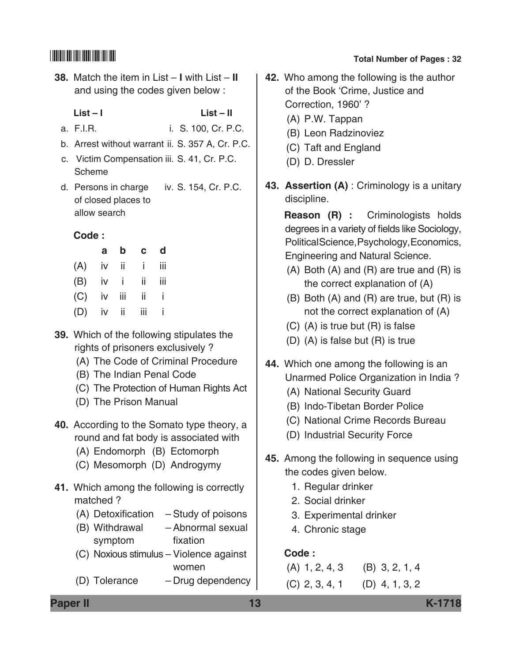**38.** Match the item in List – **I** with List – **II**  and using the codes given below :

 **List – I List – II**

- a. F.I.R. i. S. 100, Cr. P.C.
- b. Arrest without warrant ii. S. 357 A, Cr. P.C.
- c. Victim Compensation iii. S. 41, Cr. P.C. Scheme
- d. Persons in charge iv. S. 154, Cr. P.C. of closed places to allow search

### **Code :**

|                   | a b c d |  |
|-------------------|---------|--|
| $(A)$ iv ii i iii |         |  |
| $(B)$ iv i ii iii |         |  |
| $(C)$ iv iii ii i |         |  |
| $(D)$ iv ii iii i |         |  |

- **39.** Which of the following stipulates the rights of prisoners exclusively ?
	- (A) The Code of Criminal Procedure
	- (B) The Indian Penal Code
	- (C) The Protection of Human Rights Act
	- (D) The Prison Manual
- **40.** According to the Somato type theory, a round and fat body is associated with
	- (A) Endomorph (B) Ectomorph
	- (C) Mesomorph (D) Androgymy
- **41.** Which among the following is correctly matched ?
	- (A) Detoxification Study of poisons
	- (B) Withdrawal Abnormal sexual symptom fixation
	- (C) Noxious stimulus Violence against women
	- (D) Tolerance Drug dependency

# \*K1718\* **Total Number of Pages : 32**

- **42.** Who among the following is the author of the Book 'Crime, Justice and Correction, 1960' ?
	- (A) P.W. Tappan
	- (B) Leon Radzinoviez
	- (C) Taft and England
	- (D) D. Dressler
- **43. Assertion (A)** : Criminology is a unitary discipline.

 **Reason (R) :** Criminologists holds degrees in a variety of fields like Sociology, Political Science, Psychology, Economics, Engineering and Natural Science.

- (A) Both (A) and (R) are true and (R) is the correct explanation of (A)
- (B) Both (A) and (R) are true, but (R) is not the correct explanation of (A)
- (C) (A) is true but (R) is false
- (D) (A) is false but (R) is true
- **44.** Which one among the following is an Unarmed Police Organization in India ?
	- (A) National Security Guard
	- (B) Indo-Tibetan Border Police
	- (C) National Crime Records Bureau
	- (D) Industrial Security Force
- **45.** Among the following in sequence using the codes given below.
	- 1. Regular drinker
	- 2. Social drinker
	- 3. Experimental drinker
	- 4. Chronic stage

### **Code :**

(A) 1, 2, 4, 3 (B) 3, 2, 1, 4 (C) 2, 3, 4, 1 (D) 4, 1, 3, 2

**Paper II 13 K-1718**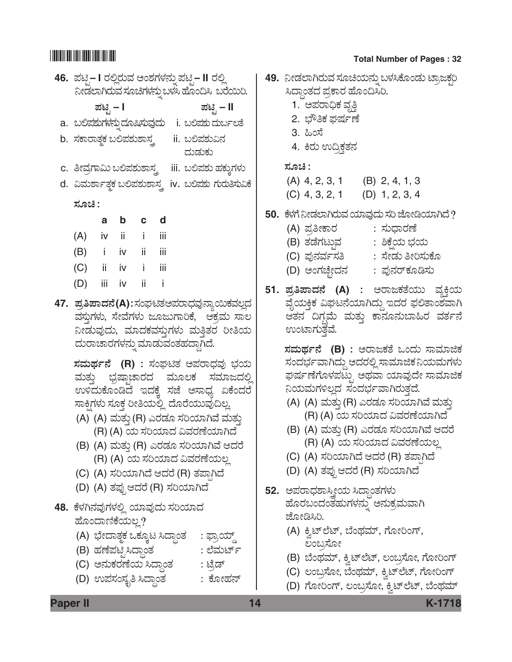# 

|        |                                                                         |       |  |        | 46.  ಪಟಿಸೆ,– I ರಲ್ಲಿರುವ ಅಂಶಗಳನ್ನು ಪಟಿೖ – II ರಲ್ಲಿ<br>ನೀಡಲಾಗಿರುವ ಸೂಚಿಗಳನ್ನು ಬಳಸಿ ಹೊಂದಿಸಿ  ಬರೆಯಿರಿ.                                                                                                                                   | 49. |
|--------|-------------------------------------------------------------------------|-------|--|--------|-------------------------------------------------------------------------------------------------------------------------------------------------------------------------------------------------------------------------------------|-----|
|        | ಪಟ್ಟಿ – I                                                               |       |  |        | ಪಟ್ಟಿ – II<br>a. ಬಲಿಪಶುಗಳನ್ನುದೂಷಿಸುವುದು  i. ಬಲಿಪಶುದರ್ಬುಲತೆ                                                                                                                                                                          |     |
|        | b. ಸಕಾರಾತ್ಮಕ ಬಲಿಪಶುಶಾಸ್ತ್ರ                                              |       |  | ದುಡುಕು | ii. ಬಲಿಪಶುವಿನ                                                                                                                                                                                                                       |     |
|        |                                                                         |       |  |        | c. ತೀವ್ರಗಾಮಿ ಬಲಿಪಶುಶಾಸ್ತ್ರ    iii. ಬಲಿಪಶು ಹಕ್ಕುಗಳು                                                                                                                                                                                  |     |
|        |                                                                         |       |  |        | d. ವಿಮರ್ಶಾತ್ಥಕ ಬಲಿಪಶುಶಾಸ್ತ್ರ iv. ಬಲಿಪಶು ಗುರುತಿಸುವಿಕೆ                                                                                                                                                                                |     |
| ಸೂಚಿ : |                                                                         |       |  |        |                                                                                                                                                                                                                                     |     |
|        | a                                                                       | b c d |  |        |                                                                                                                                                                                                                                     | 50. |
|        | $(A)$ iv ii i iii                                                       |       |  |        |                                                                                                                                                                                                                                     |     |
|        | (B) i iv ii iii                                                         |       |  |        |                                                                                                                                                                                                                                     |     |
|        | (C) ii iv i iii                                                         |       |  |        |                                                                                                                                                                                                                                     |     |
|        | (D) iii iv ii i                                                         |       |  |        |                                                                                                                                                                                                                                     | 51. |
|        | ದುರಾಚಾರಗಳನ್ನು ಮಾಡುವಂತಹದ್ದಾಗಿದೆ.                                         |       |  |        | 47. ಪ್ರತಿ <mark>ಪಾದನೆ(A)</mark> :ಸಂಘಟಿತಅಪರಾಧವುನ್ಯಾಯಿಕವಲ್ಲದ<br>ವಸ್ತುಗಳು, ಸೇವೆಗಳು ಜೂಜುಗಾರಿಕೆ,  ಅಕ್ರಮ ಸಾಲ<br>ನೀಡುವುದು, ಮಾದಕವಸ್ತುಗಳು ಮತ್ತಿತರ ರೀತಿಯ                                                                                      |     |
|        |                                                                         |       |  |        | ಸಮರ್ಥನೆ (R) : ಸಂಘಟಿತ ಅಪರಾಧವು ಭಯ<br>ಮತ್ತು ಭ್ರಷ್ತಾಚಾರದ ಮೂಲಕ ಸಮಾಜದಲ್ಲಿ<br>ಉಳಿದುಕೊಂಡಿದೆ ಇದಕ್ಕೆ ಸಜೆ ಅಸಾಧ್ಯ ಏಕೆಂದರೆ<br>ಸಾಕ್ಷಿಗಳು ಸೂಕ್ತ ರೀತಿಯಲ್ಲಿ ದೊರೆಯುವುದಿಲ್ಲ<br>(A) (A) ಮತ್ತು (R) ಎರಡೂ ಸರಿಯಾಗಿವೆ ಮತ್ತು<br>(R) (A) ಯ ಸರಿಯಾದ ವಿವರಣೆಯಾಗಿದೆ |     |
|        |                                                                         |       |  |        | (B) (A) ಮತ್ತು (R) ಎರಡೂ ಸರಿಯಾಗಿವೆ ಆದರೆ<br>(R) (A) ಯ ಸರಿಯಾದ ವಿವರಣೆಯಲ್ಲ                                                                                                                                                                |     |
|        | (C) (A) ಸರಿಯಾಗಿದೆ ಆದರೆ (R) ತಪ್ಪಾಗಿದೆ<br>(D) (A) ತಪ್ಪುಆದರೆ (R) ಸರಿಯಾಗಿದೆ |       |  |        |                                                                                                                                                                                                                                     | 52. |
|        | 48.  ಕೆಳಗಿನವುಗಳಲ್ಲಿ ಯಾವುದು ಸರಿಯಾದ<br>ಹೊಂದಾಣಿಕೆಯಲ್ಲ?                     |       |  |        |                                                                                                                                                                                                                                     |     |
|        | (A) ಭೇದಾತ್ <del>ಚ</del> ಒಕ್ಕೂಟ ಸಿದ್ಧಾಂತ                                 |       |  |        | : ಫ್ರಾಯ್ಡ್                                                                                                                                                                                                                          |     |
|        | (B) ಹಣೆಪಟೈಸಿದ್ಧಾಂತ                                                      |       |  |        | : ಲೆಮರ್ಟ್                                                                                                                                                                                                                           |     |
|        | (C) ಅನುಕರಣೆಯ ಸಿದ್ಧಾಂತ                                                   |       |  |        | : ಟ್ರೆಡ್                                                                                                                                                                                                                            |     |
|        | (D) ಉಪಸಂಸ್ಕೃತಿ ಸಿದ್ದಾಂತ                                                 |       |  |        | : ಕೋಹನ್                                                                                                                                                                                                                             |     |

### **Total Number of Pages: 32**

| ಯಿರಿ.<br>Ш<br>೯ಲತೆ                                          | 49. ನೀಡಲಾಗಿರುವ ಸೂಚಿಯನ್ನು ಬಳಸಿಕೊಂಡು ಟ್ರಾಜಕ್ಷರಿ<br>ಸಿದ್ಧಾಂತದ ಪ್ರಕಾರ ಹೊಂದಿಸಿರಿ.<br>1. ಅಪರಾಧಿಕ ವೃತ್ತಿ<br>2. ಭೌತಿಕ ಘರ್ಷಣೆ<br>3. ಹಿಂಸೆ<br>4. ಕಿರು ಉದ್ರಿಕ್ತತನ                                                                                                                                                                                                                          |
|-------------------------------------------------------------|---------------------------------------------------------------------------------------------------------------------------------------------------------------------------------------------------------------------------------------------------------------------------------------------------------------------------------------------------------------------------------|
| ್ಜಗಳು<br>ತಿಸುವಿಕೆ                                           | ಸೂಚಿ :<br>$(A)$ 4, 2, 3, 1 $(B)$ 2, 4, 1, 3<br>$(C)$ 4, 3, 2, 1 $(D)$ 1, 2, 3, 4                                                                                                                                                                                                                                                                                                |
|                                                             | 50.   ಕೆಳಗೆ ನೀಡಲಾಗಿರುವ ಯಾವುದು ಸರಿ ಜೋಡಿಯಾಗಿದೆ ?<br>(A) ಪ್ರತೀಕಾರ         : ಸುಧಾರಣೆ<br>(B) ತಡೆಗಟ್ <del>ಚ</del> ಾನ<br>: ಶಿಕ್ಷೆಯ ಭಯ<br>(C) ಪುನರ್ವಸತಿ         : ಸೇಡು ತೀರಿಸುಕೊ<br>(D) ಅಂಗಚ್ಛೇದನ      : ಪುನರ್ಕೂಡಿಸು                                                                                                                                                                     |
| ಕವಲ್ಲದ<br>, ಸಾಲ<br>ೕತಿಯ                                     | 51. ಪ್ರತಿಪಾದನೆ (A) : ಅರಾಜಕತೆಯು ವ್ಯಕ್ತಿಯ<br>ವೈಯಕ್ತಿಕ ವಿಘಟನೆಯಾಗಿದ್ದು ಇದರ ಫಲಿತಾಂಶವಾಗಿ<br>ಆತನ ದಿಗ್ಗಮೆ ಮತ್ತು ಕಾನೂನುಬಾಹಿರ ವರ್ತನೆ<br>ಉಂಟಾಗುತ್ತವೆ.                                                                                                                                                                                                                                      |
| ಭಯ<br><sub>ಿ</sub> ಜದಲ್ಲಿ<br>ಕೆಂದರೆ<br>ುತ್ತು<br>ıದೆ<br>ಃದರೆ | ಸಮರ್ಥನೆ (B) : ಅರಾಜಕತೆ ಒಂದು ಸಾಮಾಜಿಕ<br>ಸಂದರ್ಭವಾಗಿದ್ದು ಆದರಲ್ಲಿ ಸಾಮಾಜಿಕನಿಯಮಗಳು<br>ಘರ್ಷಣೆಗೊಳಪಟ್ಟು ಅಥವಾ ಯಾವುದೇ ಸಾಮಾಜಿಕ<br>ನಿಯಮಗಳಿಲ್ಲದ ಸಂದರ್ಭವಾಗಿರುತ್ತದೆ.<br>(A) (A) ಮತ್ತು (R) ಎರಡೂ ಸರಿಯಾಗಿವೆ ಮತ್ತು<br>(R) (A) ಯ ಸರಿಯಾದ ವಿವರಣೆಯಾಗಿದೆ<br>(B) (A) ಮತ್ತು (R) ಎರಡೂ ಸರಿಯಾಗಿವೆ ಆದರೆ<br>(R) (A) ಯ ಸರಿಯಾದ ವಿವರಣೆಯಲ್ಲ<br>(C) (A) ಸರಿಯಾಗಿದೆ ಆದರೆ (R) ತಪಾಗಿದೆ<br>(D) (A) ತಪ್ಪುಆದರೆ (R) ಸರಿಯಾಗಿದೆ |
|                                                             | 52. ಅಪರಾಧಶಾಸ್ತ್ರೀಯ ಸಿದ್ಧಾಂತಗಳು<br>ಹೊರಬಂದಂತಹುಗಳನ್ನು ಅನುಕ್ರಮವಾಗಿ<br>ಜೋಡಿಸಿರಿ.<br>(A) ಕ್ವಿಟ್ಲೆಟ್, ಬೆಂಥಮ್, ಗೋರಿಂಗ್,                                                                                                                                                                                                                                                                 |
| ్డా<br>ಸ್ಟ್ ಕ                                               | ಲಂಬ್ರಸೋ<br>(B) ಬೆಂಥಮ್, ಕ್ವಿಟ್ಲೆಟ್, ಲಂಬ್ರಸೋ, ಗೋರಿಂಗ್<br>(C) ಲಂಬ್ರಸೋ, ಬೆಂಥಮ್, ಕ್ವಿಟ್ <b>ಲೆಟ್, ಗೋರಿಂಗ್</b>                                                                                                                                                                                                                                                                         |
| ವನ್                                                         | (D) ಗೋರಿಂಗ್, ಲಂಬ್ರಸೋ, ಕ್ವಿಟ್ಲೆಟ್, ಬೆಂಥಮ್                                                                                                                                                                                                                                                                                                                                        |
|                                                             |                                                                                                                                                                                                                                                                                                                                                                                 |

Paper II

K-1718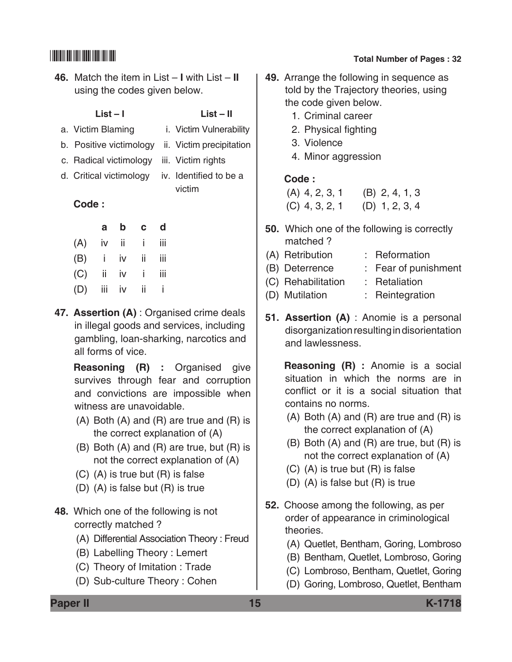- **46.** Match the item in List – **I** with List **II**  using the codes given below.
	-

### **List – I List – II**

- a. Victim Blaming i. Victim Vulnerability
- b. Positive victimology ii. Victim precipitation
- c. Radical victimology iii. Victim rights
- 
- d. Critical victimology iv. Identified to be a victim

### **Code :**

| a                 | b c d |  |
|-------------------|-------|--|
| $(A)$ iv ii i iii |       |  |
| $(B)$ i iv ii iii |       |  |
| $(C)$ ii iv i iii |       |  |
| $(D)$ iii iv ii i |       |  |

**47. Assertion (A)** : Organised crime deals in illegal goods and services, including gambling, loan-sharking, narcotics and all forms of vice.

 **Reasoning (R) :** Organised give survives through fear and corruption and convictions are impossible when witness are unavoidable.

- (A) Both (A) and (R) are true and (R) is the correct explanation of (A)
- (B) Both (A) and (R) are true, but (R) is not the correct explanation of (A)
- (C) (A) is true but (R) is false
- (D) (A) is false but (R) is true

**48.** Which one of the following is not correctly matched ?

- (A) Differential Association Theory : Freud
- (B) Labelling Theory : Lemert
- (C) Theory of Imitation : Trade
- (D) Sub-culture Theory : Cohen

# \*K1718\* **Total Number of Pages : 32**

- **49.** Arrange the following in sequence as told by the Trajectory theories, using the code given below.
	- 1. Criminal career
	- 2. Physical fighting
	- 3. Violence
	- 4. Minor aggression

### **Code :**

| $(A)$ 4, 2, 3, 1 | $(B)$ 2, 4, 1, 3 |
|------------------|------------------|
| $(C)$ 4, 3, 2, 1 | $(D)$ 1, 2, 3, 4 |

- **50.** Which one of the following is correctly matched ?
- (A) Retribution : Reformation
- (B) Deterrence : Fear of punishment
- (C) Rehabilitation : Retaliation
- (D) Mutilation : Reintegration
- **51. Assertion (A)** : Anomie is a personal disorganization resulting in disorientation and lawlessness.

 **Reasoning (R) :** Anomie is a social situation in which the norms are in conflict or it is a social situation that contains no norms.

- (A) Both (A) and (R) are true and (R) is the correct explanation of (A)
- (B) Both (A) and (R) are true, but (R) is not the correct explanation of (A)
- (C) (A) is true but (R) is false
- (D) (A) is false but (R) is true
- **52.** Choose among the following, as per order of appearance in criminological theories.
	- (A) Quetlet, Bentham, Goring, Lombroso
	- (B) Bentham, Quetlet, Lombroso, Goring
	- (C) Lombroso, Bentham, Quetlet, Goring
	- (D) Goring, Lombroso, Quetlet, Bentham

**Paper II 15 K-1718**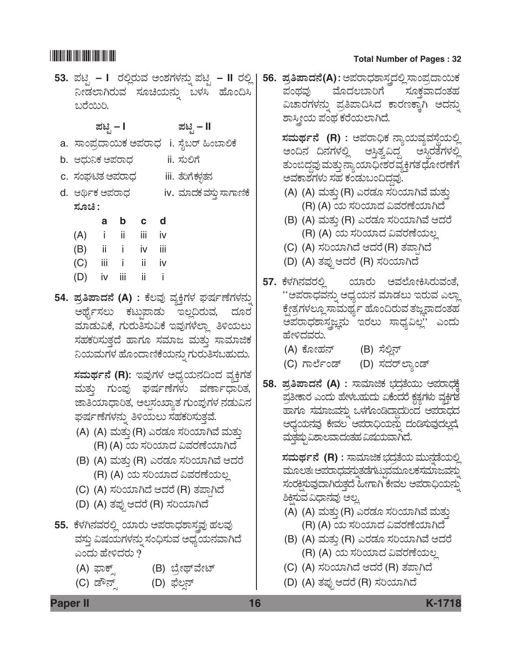**53.** *±Üqr* **– I** *ÃÜÈÉÃÜáÊÜ AíÍÜWÜÙÜ®Üá° ±Üqr* **– II** *ÃÜÈÉ*  **56.** *±ÜÅ-£-±Ý-¨Ü®æ* **(A)** *: A±ÜÃÝ«ÜÍÝÓÜ÷¨ÜÈÉ ÓÝí±ÜŨÝÀáPÜ*  ನೀಡಲಾಗಿರುವ ಸೂಚಿಯನ್ನು ಬಳಸಿ ಹೊಂದಿಸಿ ಬರೆಯಿರಿ. *±Üqr* **– I** *±Üqr* **– II** a. ಸಾಂಪ್ರದಾಯಿಕ ಅಪರಾಧ i. ಸೈಬರ್ ಹಿಂಬಾಲಿಕೆ b. *B«Üá¯PÜ A±ÜÃÝ«Ü* ii. *ÓÜáÈWæ* c. *ಸಂ*ಘಟಿತ ಅಪರಾಧ iii. ತೆರಿಗೆಕಳನವರ d. ಆರ್ಥಿಕ ಅಪರಾಧ iv. ಮಾದಕ ಮ್ತು ಸಾಗಾಣಿಕೆ *ÓÜãb :* **a b c d** (A) i ii iii iv (B) ii i iv iii (C) iii i ii iv (D) iv iii ii i 54. ಪ್ರತಿಪಾದನೆ (A) : ಕೆಲವು ವ್ಯಕ್ತಿಗಳ ಘರ್ಷಣೆಗಳನ್ನು ಅರ್ಥೈಸಲು ಕಟ್ತುಪಾಡು ಇಲ್ಲದಿರುವ, ದೂರ ಮಾಡುವಿಕೆ, ಗುರುತಿಸುವಿಕೆ ಇವುಗಳೆಲ್ತಾ ತಿಳಿಯಲು ಸಹಕರಿಸುತ್ತದೆ ಹಾಗೂ ಸಮಾಜ ಮತ್ತು ಸಾಮಾಜಿಕ ನಿಯಮಗಳ ಹೊಂದಾಣಿಕೆಯನ್ನು ಗುರುತಿಸಬಹುದು.  $\vec{z}$ ಸಮರ್ಥನೆ (R): ಇವುಗಳ ಅಧ್ಯಯನದಿಂದ ವ್ಯಕ್ತಿಗತ ಮತ್ತು ಗುಂಪು ಘರ್ಷಣೆಗಳು ವರ್ಣಾಧಾರಿತ, ಜಾತಿಯಾಧಾರಿತ, ಅಲ್ಪಸಂಖ್ಯಾತ ಗುಂಪುಗಳ ನಡುವಿನ ಘರ್ಷಣೆಗಳನ್ನು ತಿಳಿಯಲು ಸಹಕರಿಸುತ್ತವೆ. (A) (A) ಮತ್ತು (R) ಎರಡೂ ಸರಿಯಾಗಿವೆ ಮತ್ತು (R) (A) *¿á ÓÜ-Ä-¿Þ¨Ü Ë-ÊÜ-ÃÜ-Oæ-¿Þ-X¨æ* (B) (A) ಮತ್ತು (R) ಎರಡೂ ಸರಿಯಾಗಿವೆ ಆದರೆ (R) (A) *¿á ÓÜ-Ä-¿Þ¨Ü Ë-ÊÜ-ÃÜ-Oæ-¿á-ÆÉ* (C) (A) *ÓÜ-Ä-¿Þ-X¨æ B-¨ÜÃæ* (R) *ñÜ-±Ý³-X¨æ* (D) (A) *ñܱÜâ³ B-¨ÜÃæ* (R) *ÓÜ-Ä-¿Þ-X-¨æ* 55. ಕೆಳಗಿನವರಲ್ಲಿ ಯಾರು ಅಪರಾಧಶಾಸ್ಥಾ ಹಲವು ವಸ್ತು ವಿಷಯಗಳನ್ನು ಸಂಧಿಸುವ ಅಧ್ಯಯನವಾಗಿದೆ ಎಂದು ಹೇಳಿದರು ? (A) ಫಾಕ್ಸ್ (B) ಬ್ರೇಥ್ವೇಟ್ (C) ಡೌನ್ಸ್ (D) ಫೆಲ್ಷನ್ ಪಂಥವು ಮೊದಲಬಾರಿಗೆ ಸೂಕವಾದಂತಹ ವಿಚಾರಗಳನ್ನು ಪ್ರತಿಪಾದಿಸಿದ ಕಾರಣಕ್ಕಾಗಿ ಅದನ್ನು ಶಾಸ್ತ್ರೀಯ ಪಂಥ ಕರೆಯಲಾಗಿದೆ.  $\vec{a}$  *x***imera (R)** : ಅಪರಾಧಿಕ ನ್ಯಾಯವ್ಯವಸ್ಥೆಯಲ್ಲಿ ಅಂದಿನ ದಿನಗಳಲ್ಲಿ ಅಸ್ತಿತ್ವವಿದ್ದ ಅಸ್ಥಿರತೆಗಳಲ್ಲಿ ತುಂಬಿದ್ದವು ಮತ್ತು ನ್ಯಾಯಾಧೀಶರವ್ಯಕ್ತಿಗತ ಧೋರಣೆಗೆ ಅವಕಾಶಗಳು ಸಹ ಕಂಡುಬಂದಿದ್ದವು. (A) (A) ಮತ್ತು (R) ಎರಡೂ ಸರಿಯಾಗಿವೆ ಮತ್ತು (R) (A) *¿á ÓÜ-Ä-¿Þ¨Ü Ë-ÊÜ-ÃÜ-Oæ-¿Þ-X¨æ* (B) (A) ಮತ್ತು (R) ಎರಡೂ ಸರಿಯಾಗಿವೆ ಆದರೆ (R) (A) *¿á ÓÜ-Ä-¿Þ¨Ü Ë-ÊÜ-ÃÜ-Oæ-¿á-ÆÉ* (C) (A) *ÓÜ-Ä-¿Þ-X¨æ B-¨ÜÃæ* (R) *ñÜ-±Ý³-X¨æ* (D) (A) *ñܱÜâ³ B-¨ÜÃæ* (R) *ÓÜ-Ä-¿Þ-X-¨æ* **57.** *PæÙÜX®ÜÊÜÃÜÈÉ ¿ÞÃÜá AÊÜÇæãàQÔÃÜáÊÜíñæ,*  "ಅಪರಾಧವನ್ನು ಅಧ್ಯಯನ ಮಾಡಲು ಇರುವ ಎಲ್ಲಾ ಕ್ಷೇತ್ರಗಳಲ್ಲೂ ಸಾಮರ್ಥ್ಯ ಹೊಂದಿರುವ ತಜ್ಞನಾದಂತಹ ಅಪರಾಧಶಾಸ್ತ್ರಜ್ಞನು ಇರಲು ಸಾಧ್ಯವಿಲ್ಲ'' ಎಂದು ಹೇಳಿದವರು. (A) *PæãàÖÜ®…* (B) *ÓæÈÉ®…* (C) ಗಾರ್ಲೆಂಡ್ (D) ಸದರ್**ಲ್ಯಾಂಡ್ 58.** *±ÜÅ-£-±Ý-¨Ü®æ* **(A)** *: ÓÝÊÜÞiPÜ »Ü¨ÜÅñæ¿áá A±ÜÃÝ«ÜPæR*  ಪ್ರತೀಕಾರ ಎಂದು ಹೇಳಬಹುದು ಏಕೆಂದರೆ ಕೃತ್ಯಗಳು ವ್ಯಕ್ತಿಗತ ಹಾಗೂ ಸಮಾಜವನ್ನು ಒಳಗೊಂಡಿದ್ದಾದರಿಂದ ಅಪರಾಧದ ಅಧ್ಯಯನವು ಕೇವಲ<sup>್</sup> ಅಪರಾಧಿಯನ್ನು ದಂಡಿಸುವುದಲ್ಲದೆ, ಮತ್ತಷ್ಪುವಿಶಾಲವಾದಂತಹ ವಿಷಯವಾಗಿದೆ.  $\,$ ಸಮರ್ಥನೆ (R) : ಸಾಮಾಜಿಕ ಭದ್ರತೆಯ ಮುನ್ನಡೆಯಲ್ಲಿ ಮೂಲತಃ ಅಪರಾಧವನ್ನುತಡೆಗಟ್ಟುವಮೂಲಕಸಮಾಜವನ್ನು ಸಂರಕ್ಷಿಸುವುದಾಗಿರುತ್ತದೆ ಹೀಗಾಗಿ ಕೇವಲ ಅಪರಾಧಿಯನ್ನು ಶಿಕ್ಷಿಸುವ ವಿಧಾನವು ಅಲ್ಜ (A) (A) ಮತ್ತು (R) ಎರಡೂ ಸರಿಯಾಗಿವೆ ಮತ್ತು (R) (A) *¿á ÓÜ-Ä-¿Þ¨Ü Ë-ÊÜ-ÃÜ-Oæ-¿Þ-X¨æ* (B) (A) ಮತ್ತು (R) ಎರಡೂ ಸರಿಯಾಗಿವೆ ಆದರೆ (R) (A) *¿á ÓÜ-Ä-¿Þ¨Ü Ë-ÊÜ-ÃÜ-Oæ-¿á-ÆÉ* (C) (A) *ÓÜ-Ä-¿Þ-X¨æ B-¨ÜÃæ* (R) *ñÜ-±Ý³-X¨æ* (D) (A) *ñܱÜâ³ B-¨ÜÃæ* (R) *ÓÜ-Ä-¿Þ-X-¨æ*

**Paper II 16 K-1718**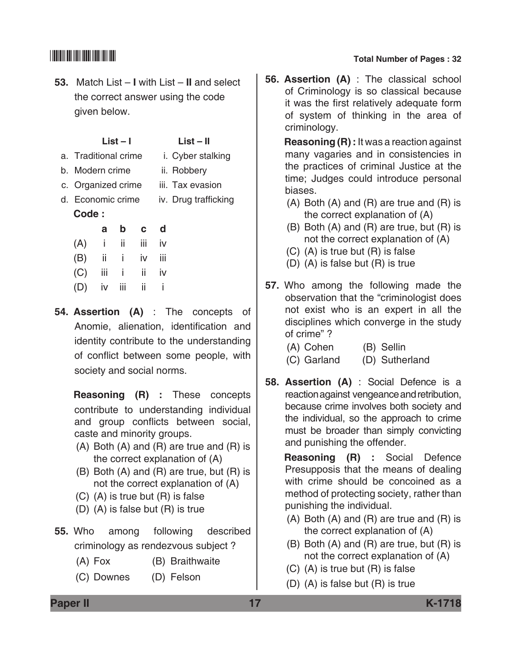**53.** Match List – **I** with List – **II** and select the correct answer using the code given below.

| List $-1$      | List – II     |
|----------------|---------------|
| litional orima | i Cyhar etalk |

- a. Traditional crime i. Cyber stalking
- b. Modern crime ii. Robbery
- c. Organized crime iii. Tax evasion
- d. Economic crime iv. Drug trafficking **Code :**

|                   | a | b c d |    |
|-------------------|---|-------|----|
| $(A)$ i ii iii    |   |       | iv |
| $(B)$ ii i iv iii |   |       |    |
| $(C)$ iii i ii    |   |       | iv |
| (D) iv iii ii i   |   |       |    |

**54. Assertion (A)** : The concepts of Anomie, alienation, identification and identity contribute to the understanding of conflict between some people, with society and social norms.

 **Reasoning (R) :** These concepts contribute to understanding individual and group conflicts between social, caste and minority groups.

- (A) Both (A) and (R) are true and (R) is the correct explanation of (A)
- (B) Both (A) and (R) are true, but (R) is not the correct explanation of (A)
- (C) (A) is true but (R) is false
- (D) (A) is false but (R) is true
- **55.** Who among following described criminology as rendezvous subject ?
	- (A) Fox (B) Braithwaite
	- (C) Downes (D) Felson

# \*K1718\* **Total Number of Pages : 32**

**56. Assertion (A)** : The classical school of Criminology is so classical because it was the first relatively adequate form of system of thinking in the area of criminology.

 **Reasoning (R) :** It was a reaction against many vagaries and in consistencies in the practices of criminal Justice at the time; Judges could introduce personal biases.

- (A) Both (A) and (R) are true and (R) is the correct explanation of (A)
- (B) Both (A) and (R) are true, but (R) is not the correct explanation of (A)
- (C) (A) is true but (R) is false
- (D) (A) is false but (R) is true
- **57.** Who among the following made the observation that the "criminologist does not exist who is an expert in all the disciplines which converge in the study of crime" ?

| (A) Cohen   | (B) Sellin     |
|-------------|----------------|
| (C) Garland | (D) Sutherland |

**58. Assertion (A)** : Social Defence is a reaction against vengeance and retribution, because crime involves both society and the individual, so the approach to crime must be broader than simply convicting and punishing the offender.

> **Reasoning (R) :** Social Defence Presupposis that the means of dealing with crime should be concoined as a method of protecting society, rather than punishing the individual.

- (A) Both (A) and (R) are true and (R) is the correct explanation of (A)
- (B) Both (A) and (R) are true, but (R) is not the correct explanation of (A)
- (C) (A) is true but (R) is false
- (D) (A) is false but (R) is true

**Paper II 17 K-1718**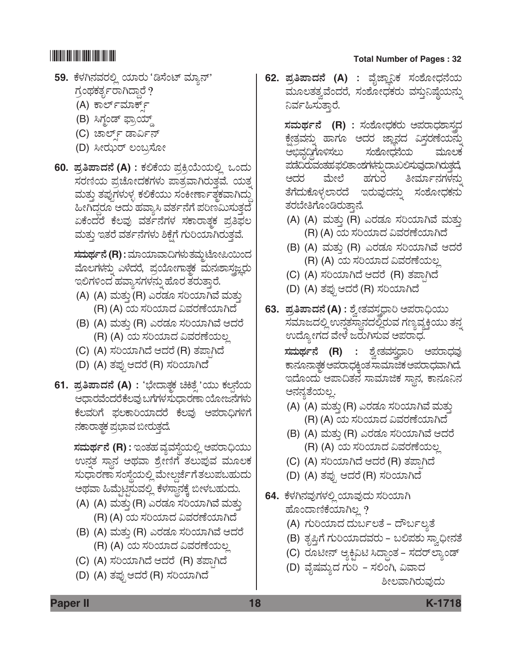- 59. ಕೆಳಗಿನವರಲ್ಲಿ ಯಾರು 'ಡಿಸೆಂಟ್ ಮ್ಯಾನ್' ಗ್ರಂಥಕರ್ತ್ಯರಾಗಿದ್ದಾರೆ ?
	- (A) ಕಾರ್ಲ್*ಮಾ*ರ್ಕ್
	- (B) ಸಿಗ್ಧಂಡ್ ಫ್ರಾಯ್ಡ್
	- (C) ಚಾರ್ಲ್ ಡಾರ್ವಿನ್
	- (D) *ÔàÃÜkáÃ… ÆíŸÅÓæãà*
- **60.** *±ÜÅ-£-±Ý-¨Ü®æ* **(A)** *: PÜÈPæ¿á ±ÜÅQÅÁá¿áÈÉ Jí¨Üá*  ಸರಣಿಯ ಪ್ರಚೋದಕಗಳು ಪಾತ್ರವಾಗಿರುತ್ತವೆ. ಯತ್ನ ಮತ್ತು ತಪುಗಳುಳ್ಳ ಕಲಿಕೆಯು ಸಂಕೀರ್ಣಾತ್ಮಕವಾಗಿದ್ದು ಹೀಗಿದ್ದರೂ ಅದು ಹವ್ಯಾಸಿ ವರ್ತನೆಗೆ ಪರಿಣಮಿಸುತ್ತದೆ ಏಕೆಂದರೆ ಕೆಲವು ವರ್ತನೆಗಳ ಸಕಾರಾತ್ಮಕ ಪ್ರತಿಫಲ ಮತ್ತು ಇತರೆ ವರ್ತನೆಗಳು ಶಿಕ್ಷೆಗೆ ಗುರಿಯಾಗಿರುತ್ತವೆ.

<u>ಸಮರ್ಥನೆ (R) : ಮಾಯಾವಾದಿಗಳು ತಮ್ಮಟೋಪಿಯಿಂದ</u> ಹೊಲಗಳನ್ನು ಎಳೆದರೆ, ಪ್ರಯೋಗಾ<del>ತ್ಯ</del> ಮನಃಶಾಸಜ್ಞರು ಇಲಿಗಳಿಂದ ಹವ್ಯಾಸಗಳನ್ನು ಹೊರ ತರುತ್ತಾರೆ.

- (A) (A) ಮತ್ತು (R) ಎರಡೂ ಸರಿಯಾಗಿವೆ ಮತ್ತು (R) (A) *¿á ÓÜ-Ä-¿Þ¨Ü Ë-ÊÜ-ÃÜ-Oæ-¿Þ-X¨æ*
- (B) (A) ಮತ್ತು (R) ಎರಡೂ ಸರಿಯಾಗಿವೆ ಆದರೆ (R) (A) *¿á ÓÜ-Ä-¿Þ¨Ü Ë-ÊÜ-ÃÜ-Oæ-¿á-ÆÉ*
- (C) (A) *ÓÜ-Ä-¿Þ-X¨æ B-¨ÜÃæ* (R) *ñÜ-±Ý³-X¨æ*
- (D) (A) *ñܱÜâ³ B-¨ÜÃæ* (R) *ÓÜ-Ä-¿Þ-X-¨æÜ*
- **61.** *±ÜÅ-£-±Ý-¨Ü®æ* **(A)** *: "»æà¨ÝñܾPÜ bQñæÕ '¿áá PÜÆ³®æ¿á*  ಆಧಾರವೆಂದರೆಕೆಲವು ಬಗೆಗಳ ಸುಧಾರಣಾ ಯೋಜನೆಗಳು *ಕೆ*ಲವರಿಗೆ ಫಲಕಾರಿಯಾದರೆ ಕೆಲವು ಅಪರಾಧಿಗಳಿಗೆ ನಕಾರಾತ್ಗಕ ಪ್ರಭಾವ ಬೀರುತ್ತದೆ.

 $\vec{z}$ ಸಮರ್ಥನೆ (R) : ಇಂತಹ ವ್ಯವಸ್ಥೆಯಲ್ಲಿ ಅಪರಾಧಿಯು ಉನ್ನತ ಸ್ಥಾನ ಅಥವಾ ಶ್ರೇಣಿಗೆ ತಲುಪುವ ಮೂಲಕ ಸುಧಾರಣಾ ಸಂಸ್ಥೆಯಲ್ಲಿ ಮೇಲ್ಗರ್ಜೆಗೆ ತಲುಪಬಹುದು ಅಥವಾ ಹಿಮೈಟ್ಟಿಸುವಲ್ಲಿ ಕೆಳಸ್ಥಾನಕ್ಕೆ ಬೀಳಬಹುದು.

- (A) (A) ಮತ್ತು (R) ಎರಡೂ ಸರಿಯಾಗಿವೆ ಮತ್ತು (R) (A) *¿á ÓÜ-Ä-¿Þ¨Ü Ë-ÊÜ-ÃÜ-Oæ-¿Þ-X¨æ*
- (B) (A) ಮತ್ತು (R) ಎರಡೂ ಸರಿಯಾಗಿವೆ ಆದರೆ (R) (A) *¿á ÓÜ-Ä-¿Þ¨Ü Ë-ÊÜ-ÃÜ-Oæ-¿á-ÆÉ*
- (C) (A) *ÓÜ-Ä-¿Þ-X¨æ B-¨ÜÃæ* (R) *ñÜ-±Ý³-X¨æ*
- (D) (A) *ñܱÜâ³ B-¨ÜÃæ* (R) *ÓÜ-Ä-¿Þ-X-¨æ*

# \*K1718\* **Total Number of Pages : 32**

**62.** *±ÜÅ-£-±Ý-¨Ü®æ* **(A)** *: ÊæçhÝn¯PÜ ÓÜíÍæãà«Ü®æ¿á*  ಮೂಲತತ್ತವೆಂದರೆ, ಸಂಶೋಧಕರು ವಸ್ತುನಿಷ್ಠೆಯನ್ನು ನಿರ್ವಹಿಸುತ್ತಾರೆ.

 $\vec{z}$ ಮರ್ಥನೆ (R) : ಸಂಶೋಧಕರು ಅಪರಾಧಶಾಸ್ತವ ಕ್ಷೇತ್ರವನ್ನು ಹಾಗೂ ಅದರ ಜ್ಞಾನದ ವಿಸ್ತರಣೆಯನ್ನು ಅಭಿವೃದ್ಧಿಗೊಳಿಸಲು ಸಂಶೋಧನೆಯ ಮೂಲಕ ಪಡೆದಿರುವಂತಹ ಫಲಿತಾಂಶಗಳನ್ನು ದಾಖಲಿಸುವುದಾಗಿರುತ್ತದೆ, ಅದರ ಮೇಲೆ ಹಗುರ ತೀರ್ಮಾನಗಳನ<u>ು</u> ತೆಗೆದುಕೊಳ್ಳಲಾರದೆ ಇರುವುದನ್ನು ಸಂಶೋಧಕನು ತರಬೇತಿಗೊಂಡಿರುತ್ತಾನೆ.

- (A) (A) ಮತ್ತು (R) ಎರಡೂ ಸರಿಯಾಗಿವೆ ಮತ್ತು (R) (A) *¿á ÓÜ-Ä-¿Þ¨Ü Ë-ÊÜ-ÃÜ-Oæ-¿Þ-X¨æ*
- (B) (A) ಮತ್ತು (R) ಎರಡೂ ಸರಿಯಾಗಿವೆ ಆದರೆ (R) (A) *¿á ÓÜ-Ä-¿Þ¨Ü Ë-ÊÜ-ÃÜ-Oæ-¿á-ÆÉ*
- (C) (A) ಸರಿಯಾಗಿದೆ ಆದರೆ (R) ತಪಾಗಿದೆ
- (D) (A) *ñܱÜâ³ B-¨ÜÃæ* (R) *ÓÜ-Ä-¿Þ-X-¨æ*
- **63.** *±ÜÅ-£-±Ý-¨Ü®æ* **(A)** *: ÍæÌàñÜÊÜÓÜ÷«ÝÄ A±ÜÃÝ—¿áá*  ಸಮಾಜದಲ್ಲಿ ಉನ್ನತಸ್ಥಾನದಲ್ಲಿರುವ ಗಣ್ಯವ್ಯಕ್ತಿಯು ತನ್ನ ಉದ್ಯೋಗದ ವೇಳೆ ಜರುಗಿಸುವ ಅಪರಾಧ.

 *ÓÜ-ÊÜá-¥Üì®æ* **(R)** *: ÍæÌàñÜÊÜÓÜ÷«ÝÄ A±ÜÃÝ«ÜÊÜâ*  ಕಾನೂನಾತ್ಥಕ ಅಪರಾಧಕ್ತಿಂತ ಸಾಮಾಜಿಕ ಅಪರಾಧವಾಗಿದೆ. ಇದೊಂದು ಆಪಾದಿತನ ಸಾಮಾಜಿಕ ಸ್ಥಾನ, ಕಾನೂನಿನ ಅನನ್ಯತೆಯಲ್ಲ.

- (A) (A) ಮತ್ತು (R) ಎರಡೂ ಸರಿಯಾಗಿವೆ ಮತ್ತು (R) (A) *¿á ÓÜ-Ä-¿Þ¨Ü Ë-ÊÜ-ÃÜ-Oæ-¿Þ-X¨æ*
- (B) (A) ಮತ್ತು (R) ಎರಡೂ ಸರಿಯಾಗಿವೆ ಆದರೆ (R) (A) *¿á ÓÜ-Ä-¿Þ¨Ü Ë-ÊÜ-ÃÜ-Oæ-¿á-ÆÉ*
- (C) (A) *ÓÜ-Ä-¿Þ-X¨æ B-¨ÜÃæ* (R) *ñÜ-±Ý³-X¨æ*
- (D) (A) *ñܱÜâ³ B-¨ÜÃæ* (R) *ÓÜ-Ä-¿Þ-X-¨æ*
- **64.** ಕೆಳಗಿನವುಗಳಲ್ಲಿ ಯಾವುದು ಸರಿಯಾಗಿ ಹೊಂದಾಣಿಕೆಯಾಗಿಲ್ಲ ?
	- (A) ಗುರಿಯಾದ ದುರ್ಬಲತೆ ದೌರ್ಬಲ್ಯತೆ
	- (B) ತೃಪ್ತಿಗೆ ಗುರಿಯಾದವರು ಬಲಿಪಶು ಸ್ರಾಧೀನತೆ
	- (C) ರೂಟೀನ್ ಆ್ಯಕ್ಟಿವಿಟಿ ಸಿದ್ಧಾಂತ ಸದರ್**ಲ್ಯಾಂ**ಡ್
	- (D) ವೈಷಮ್ಯದ ಗುರಿ *–* ಸಲಿಂಗಿ, ವಿವಾದ *ÎàÆÊÝXÃÜáÊÜâ¨Üá*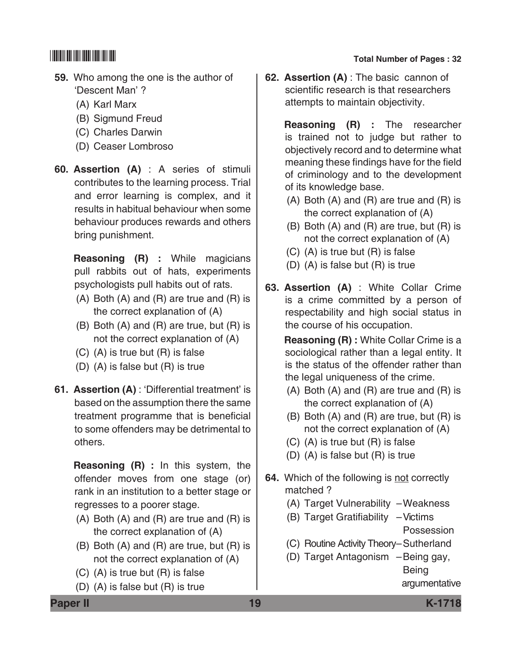- **59.** Who among the one is the author of 'Descent Man' ?
	- (A) Karl Marx
	- (B) Sigmund Freud
	- (C) Charles Darwin
	- (D) Ceaser Lombroso
- **60. Assertion (A)** : A series of stimuli contributes to the learning process. Trial and error learning is complex, and it results in habitual behaviour when some behaviour produces rewards and others bring punishment.

 **Reasoning (R) :** While magicians pull rabbits out of hats, experiments psychologists pull habits out of rats.

- (A) Both (A) and (R) are true and (R) is the correct explanation of (A)
- (B) Both (A) and (R) are true, but (R) is not the correct explanation of (A)
- (C) (A) is true but (R) is false
- (D) (A) is false but (R) is true
- **61. Assertion (A)** : 'Differential treatment' is based on the assumption there the same treatment programme that is beneficial to some offenders may be detrimental to others.

 **Reasoning (R) :** In this system, the offender moves from one stage (or) rank in an institution to a better stage or regresses to a poorer stage.

- (A) Both (A) and (R) are true and (R) is the correct explanation of (A)
- (B) Both (A) and (R) are true, but (R) is not the correct explanation of (A)
- (C) (A) is true but (R) is false
- (D) (A) is false but (R) is true

# \*K1718\* **Total Number of Pages : 32**

**62. Assertion (A)** : The basic cannon of scientific research is that researchers attempts to maintain objectivity.

> **Reasoning (R) :** The researcher is trained not to judge but rather to objectively record and to determine what meaning these findings have for the field of criminology and to the development of its knowledge base.

- (A) Both (A) and (R) are true and (R) is the correct explanation of (A)
- (B) Both (A) and (R) are true, but (R) is not the correct explanation of (A)
- (C) (A) is true but (R) is false
- (D) (A) is false but (R) is true
- **63. Assertion (A)** : White Collar Crime is a crime committed by a person of respectability and high social status in the course of his occupation.

 **Reasoning (R) :** White Collar Crime is a sociological rather than a legal entity. It is the status of the offender rather than the legal uniqueness of the crime.

- (A) Both (A) and (R) are true and (R) is the correct explanation of (A)
- (B) Both (A) and (R) are true, but (R) is not the correct explanation of (A)
- (C) (A) is true but (R) is false
- (D) (A) is false but (R) is true
- **64.** Which of the following is not correctly matched ?
	- (A) Target Vulnerability –Weakness
	- (B) Target Gratifiability –Victims Possession
	- (C) Routine Activity Theory–Sutherland
	- (D) Target Antagonism –Being gay, Being

argumentative

**Paper II 19 K-1718**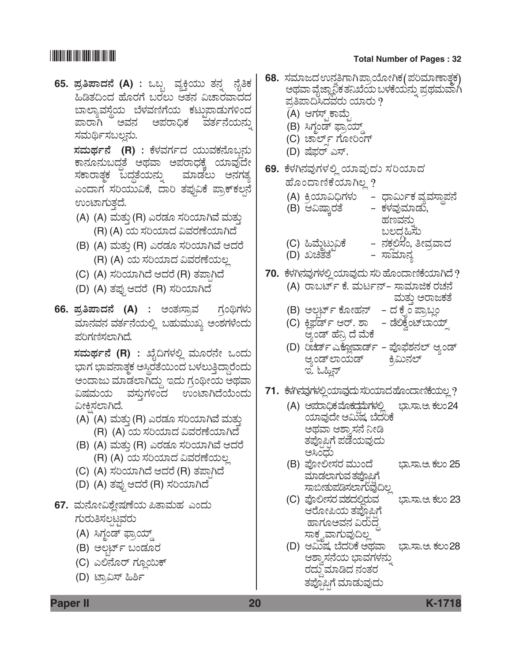# **THE REAL PROPERTY OF A PRO**

65. ಪ್ರತಿಪಾದನೆ (A) : ಒಬ್ಬ ವ್ಯಕ್ತಿಯು ತನ್ನ ನೈತಿ ಹಿಡಿತದಿಂದ ಹೊರಗೆ ಬರಲು ಆತನ ವಿಚಾರವಾದ ಬಾಲ್ಯಾವಸ್ಥೆಯ ಬೆಳವಣಿಗೆಯ ಕಟ್ತುಪಾಡುಗಳಿಂ ಪಾರಾಗಿ ಅವನ ಅಪರಾಧಿಕ ವರ್ತನೆಯನ ಸಮರ್ಥಿಸಬಲ್ಲನು.

ಸಮರ್ಥನೆ (R) : ಕೆಳವರ್ಗದ ಯುವಕನೊಬ್ಬ ಕಾನೂನುಬದ್ಧತೆ ಅಥವಾ ಅಪರಾಧಕ್ಕೆ ಯಾವುದ ಸಕಾರಾತ್ಮಕ ಬದ್ದತೆಯನ್ನು ಮಾಡಲು ಅನಗ ಎಂದಾಗ ಸರಿಯುವಿಕೆ, ದಾರಿ ತಪುವಿಕೆ ಪ್ರಾಕ್**ಕ**ಲ ಉಂಟಾಗುತ್ತದೆ.

- (A) (A) ಮತ್ತು (R) ಎರಡೂ ಸರಿಯಾಗಿವೆ ಮತ್ತು (R) (A) ಯ ಸರಿಯಾದ ವಿವರಣೆಯಾಗಿದೆ
- (B) (A) ಮತ್ತು (R) ಎರಡೂ ಸರಿಯಾಗಿವೆ ಆದರೆ (R) (A) ಯ ಸರಿಯಾದ ವಿವರಣೆಯಲ್ಲ
- (C) (A) ಸರಿಯಾಗಿದೆ ಆದರೆ (R) ತಪಾಗಿದೆ
- (D) (A) ತಪ್ಪು ಆದರೆ (R) ಸರಿಯಾಗಿದೆ
- 66. ಪ್ರತಿಪಾದನೆ (A) : ಅಂತಃಸ್ರಾವ ಗಂಥಿಗಳ ಮಾನವನ ವರ್ತನೆಯಲ್ಲಿ ಬಹುಮುಖ್ಯ ಅಂಶಗಳೆಂದ ಪರಿಗಣಿಸಲಾಗಿದೆ.

ಸಮರ್ಥನೆ (R) : ಖೈದಿಗಳಲ್ಲಿ ಮೂರನೇ ಒಂದ ಭಾಗ ಭಾವನಾತ್ಮಕ ಅಸ್ಥಿರತೆಯಿಂದ ಬಳಲುತ್ತಿದ್ದಾರೆಂದ ಅಂದಾಜು ಮಾಡಲಾಗಿದ್ದು ಇದು ಗ್ರಂಥೀಯ ಅಥವ ವಿಷಮಯ ವಸ್ತುಗಳಿಂದ ಉಂಟಾಗಿದೆಯೆಂದ ವೀಕಿಸಲಾಗಿದೆ.

- (A) (A) ಮತ್ತು (R) ಎರಡೂ ಸರಿಯಾಗಿವೆ ಮತ್ತು (R) (A) ಯ ಸರಿಯಾದ ವಿವರಣೆಯಾಗಿದೆ
- (B) (A) ಮತ್ತು (R) ಎರಡೂ ಸರಿಯಾಗಿವೆ ಆದರೆ (R) (A) ಯ ಸರಿಯಾದ ವಿವರಣೆಯಲ್ಲ
- (C) (A) ಸರಿಯಾಗಿದೆ ಆದರೆ (R) ತಪಾಗಿದೆ
- (D) (A) ತಪ್ಪು ಆದರೆ (R) ಸರಿಯಾಗಿದೆ
- 67. ಮನೋವಿಶ್ಲೇಷಣೆಯ ಪಿತಾಮಹ ಎಂದು ಗುರುತಿಸಲಟವರು
	- (A) ಸಿಗ್ಧಂಡ್ ಫ್ರಾಯ್ಡ್
	- (B) ಅಲ್ಬರ್ಟ್ ಬಂಡೂರ
	- (C) ಎಲಿನೊರ್ ಗ್ಲೂಯಿಕ್
	- (D) ಟ್ರಾವಿಸ್ ಹಿರ್ಶಿ

### **Total Number of Pages: 32**

| ಿಕ<br>ದ  | 68.  ಸಮಾಜದ ಉನ್ನತಿಗಾಗಿಪ್ರಾಯೋಗಿಕ(ಪರಿಮಾಣಾತ್ಮಕ)<br>ಅಥವಾ ವೈಜ್ಞಾನಿಕ ತನಿಖೆಯ ಬಳಕೆಯನ್ನು ಪ್ರಥಮವಾಗಿ<br>ಪ್ರತಿಪಾದಿಸಿದವರು ಯಾರು $\bm{\mathcal{?}}$        |
|----------|--------------------------------------------------------------------------------------------------------------------------------------------|
| ದ<br>ಬ್ನ | (A) ಆಗಸ್ಟ್ ಕಾಮ್ಟೆ<br>(B) ಸಿಗ್ಧಂಡ್ ಫ್ರಾಯ್ಡ್<br>(C) ಚಾರ್ಲ್ ಗೋರಿಂಗ್                                                                           |
| ಸು<br>ೇ  | (D) ಷೆಫರ್ ಎಸ್.                                                                                                                             |
|          | 69. ಕೆಳಗಿನವುಗಳಲ್ಲಿ ಯಾವುದು ಸರಿಯಾದ                                                                                                           |
| ತ್ಯ<br>ನ | ಹೊಂದಾಣಿಕೆಯಾಗಿಲ್ಲ ?                                                                                                                         |
|          | (A) ಕ್ರಿಯಾವಿಧಿಗಳು     –  ಧಾರ್ಮಿಕ ವ್ಯವಸ್ಥಾಪನೆ<br>– ಕಳವುಮಾಡು,<br>(B) ಆವಿಷ್ಕಾರತೆ<br>ಹಣವನ್ನು                                                   |
|          | ಬಲದ್ದಹಿಸು<br>(C) ಹಿಮ್ಮೆಟ್ಬುವಿಕೆ       –  ನಕ್ಷಲಿಸಿಂ, ತೀವ್ರವಾದ<br>(D) ಖಚಿತತೆ <sup>ಜ</sup><br>– ಸಾಮಾನ್ಯ                                       |
|          | 70.  ಕೆಳಗಿನವುಗಳಲ್ಲಿ ಯಾವುದು ಸರಿ ಹೊಂದಾಣಿಕೆಯಾಗಿದೆ ?<br>(A) ರಾಬರ್ಟ್ ಕೆ. ಮರ್ಟನ್- ಸಾಮಾಜಿಕ ರಚನೆ                                                   |
|          | ಮತ್ತು ಅರಾಜಕತೆ                                                                                                                              |
| ಸು<br>ು  | (B) ಅಲ್ಫರ್ಟ್ ಕೋಹನ್   – ದ ಕ್ನೆಂ ಪ್ರಾಬ್ಲಂ<br>– ಡೆಲಿಕ್ವೆಂಟ್ಬಾಯ್ಸ್<br>(C) ಕ್ಲಿಫರ್ಡ್ ಆರ್. ಶಾ<br>ಆ್ಯಂಡ್ ಹೆನ್ರಿ ದೆ ಮೆಕೆ                           |
| ಸು<br>ಸು | (D) ರಿಚರ್ಡ್ಎಕ್ಲೋವಾರ್ಡ್ - ಪೊಫೆಶನಲ್ ಆ್ಯಂಡ್<br>ಆ್ಯಂಡ್ಅಾಯಡ್ ಕ್ರಿಮಿನಲ್<br>ಇ. ಓಹ್ಲಿನ್                                                            |
| ಸಾ<br>ಸು | 71. ಕೆಳಗಿನವುಗಳಲ್ಲಿಯಾವುದು ಸರಿಯಾದ ಹೊಂದಾಣಿಕೆಯಲ್ಲ ?                                                                                            |
|          | (A) ಅಪರಾಧಿಕ ಮ <del>ೊಕ</del> ದ್ದಮೆಗಳಲ್ಲಿ<br>ಭಾ.ಸಾ.ಅ. ಕಲಂ24<br>ಯಾವುದೇ ಆಮಿಷ, ಬೆದೆರಿಕೆ<br>ಅಥವಾ ಆಶ್ರಾಸನೆ ನೀಡಿ<br>ತಪ್ಪೊಪ್ಪಿಗೆ ಪಡೆಯವುದು<br>ಅಸಿಂಧು |
|          | (B) ಪೋಲೀಸರ ಮುಂದೆ<br>ಭಾ.ಸಾ.ಅ. ಕಲಂ 25<br>ಮಾಡಲಾಗುವ ತಪೊಪಿಗೆ                                                                                    |
|          | (C) ಪೊಲೀಸರ ವಶದಲ್ಲಿರುವ<br>ಭಾ.ಸಾ.ಅ. ಕಲಂ 23<br>ಆರೋಪಿಯ ತಪೊಪಿಗೆ<br>ಹಾಗೂಅವನ ವಿರುದ್ಧ                                                              |
|          | ಸಾಕ್ಷ್ಮವಾಗುವುದಿಲ್ಲ<br>(D) ಆಮಿಷ, ಬೆದರಿಕೆ ಅಥವಾ<br>ಭಾ.ಸಾ.ಅ. ಕಲಂ28<br>ಆಶ್ವಾಸನೆಯ ಭಾವಗಳನ್ನು<br>ರದ್ದು ಮಾಡಿದ ನಂತರ<br>ತಪ್ಪೊಪ್ಪಿಗೆ ಮಾಡುವುದು          |

**Paper II** 

K-1718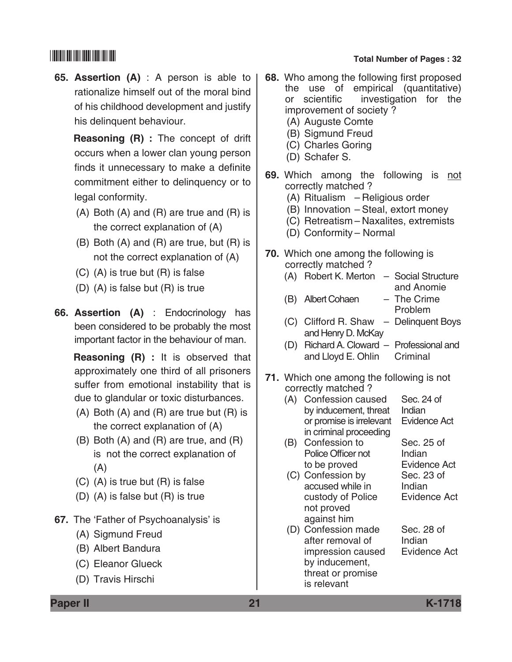**65. Assertion (A)** : A person is able to rationalize himself out of the moral bind of his childhood development and justify his delinquent behaviour.

 **Reasoning (R) :** The concept of drift occurs when a lower clan young person finds it unnecessary to make a definite commitment either to delinquency or to legal conformity.

- (A) Both (A) and (R) are true and (R) is the correct explanation of (A)
- (B) Both (A) and (R) are true, but (R) is not the correct explanation of (A)
- (C) (A) is true but (R) is false
- (D) (A) is false but (R) is true
- **66. Assertion (A)** : Endocrinology has been considered to be probably the most important factor in the behaviour of man.

 **Reasoning (R) :** It is observed that approximately one third of all prisoners suffer from emotional instability that is due to glandular or toxic disturbances.

- (A) Both (A) and (R) are true but (R) is the correct explanation of (A)
- (B) Both (A) and (R) are true, and (R) is not the correct explanation of (A)
- (C) (A) is true but (R) is false
- (D) (A) is false but (R) is true
- **67.** The 'Father of Psychoanalysis' is
	- (A) Sigmund Freud
	- (B) Albert Bandura
	- (C) Eleanor Glueck
	- (D) Travis Hirschi

# \*K1718\* **Total Number of Pages : 32**

- **68.** Who among the following first proposed the use of empirical (quantitative) or scientific investigation for the improvement of society ?
	- (A) Auguste Comte
	- (B) Sigmund Freud
	- (C) Charles Goring
	- (D) Schafer S.
- **69.** Which among the following is not correctly matched ?
	- (A) Ritualism Religious order
	- (B) Innovation Steal, extort money
	- (C) Retreatism Naxalites, extremists
	- (D) Conformity Normal
- **70.** Which one among the following is correctly matched ?
	- (A) Robert K. Merton Social Structure and Anomie
	- (B) Albert Cohaen The Crime Problem
	- (C) Clifford R. Shaw Delinquent Boys and Henry D. McKay
	- (D) Richard A. Cloward Professional and and Lloyd E. Ohlin Criminal
- **71.** Which one among the following is not correctly matched ?
	- (A) Confession caused Sec. 24 of<br>by inducement. threat Indian by inducement, threat or promise is irrelevant Evidence Act in criminal proceeding
	- (B) Confession to Sec. 25 of Police Officer not Indian to be proved Evidence Act
	- (C) Confession by Sec. 23 of accused while in Indian custody of Police Evidence Act not proved against him
	- (D) Confession made Sec. 28 of after removal of lndian impression caused Evidence Act by inducement, threat or promise is relevant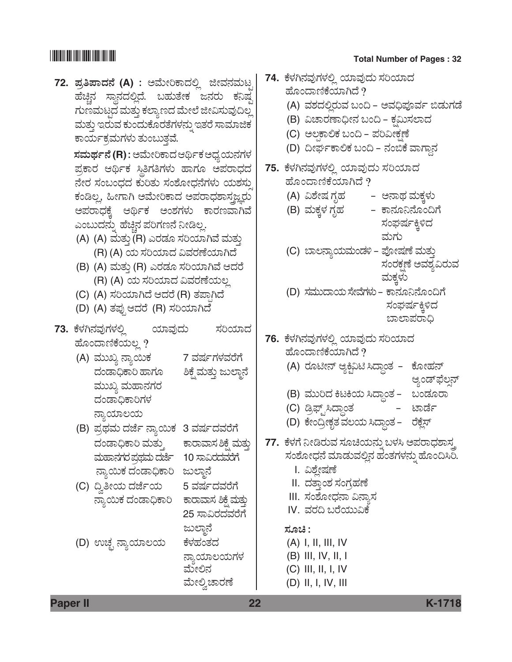**72.** *±ÜÅ-£-±Ý-¨Ü®æ* **(A)** *: AÊæáàÄPݨÜÈÉ iàÊÜ®ÜÊÜáor*  ಹೆಚ್ಚಿನ ಸ್ಥಾನದಲ್ಲಿದೆ. ಬಹುತೇಕ ಜನರು ಕನಿಷ್ಠ ಗುಣಮಟ್ಟದ ಮತ್ತು ಕಲ್ಯಾಣದ ಮೇಲೆ ಜೀವಿಸುವುದಿಲ್ಲ ಮತ್ತು ಇರುವ ಕುಂದುಕೊರತೆಗಳನ್ನು ಇತರೆ ಸಾಮಾಜಿಕ ಕಾರ್ಯಕ್ರಮಗಳು ತುಂಬುತ್ತವೆ.

> $\vec{z}$ ಸಮರ್ಥನೆ (R) : ಅಮೇರಿಕಾದ ಆರ್ಥಿಕ ಅಧ್ಯಯನಗಳ  $E$ ಹ್ರಕಾರ ಆರ್ಥಿಕ ಸ್ಥಿತಿಗತಿಗಳು ಹಾಗೂ ಅಪರಾಧದ *®æàÃÜ ÓÜíŸí«Ü¨Ü PÜáÄñÜá ÓÜíÍæãà«Ü®æWÜÙÜá ¿áÍÜÓÜáÕ*  ಕಂಡಿಲ್ಲ, ಹೀಗಾಗಿ ಅಮೇರಿಕಾದ ಅಪರಾಧಶಾಸಜ್ಞರು ಅಪರಾಧಕ್ಕೆ ಆರ್ಥಿಕ ಅಂಶಗಳು ಕಾರಣವಾಗಿವೆ ಎಂಬುದನ್ನು ಹೆಚ್ಚಿನ ಪರಿಗಣನೆ ನೀಡಿಲ್ಲ.

- (A) (A) ಮತ್ತು (R) ಎರಡೂ ಸರಿಯಾಗಿವೆ ಮತ್ತು (R) (A) *¿á ÓÜ-Ä-¿Þ¨Ü Ë-ÊÜ-ÃÜ-Oæ-¿Þ-X¨æ*
- (B) (A) ಮತ್ತು (R) ಎರಡೂ ಸರಿಯಾಗಿವೆ ಆದರೆ (R) (A) *¿á ÓÜ-Ä-¿Þ¨Ü Ë-ÊÜ-ÃÜ-Oæ-¿á-ÆÉ*
- (C) (A) *ÓÜ-Ä-¿Þ-X¨æ B-¨ÜÃæ* (R) *ñÜ-±Ý³-X¨æ*
- (D) (A) *ñܱÜâ³ B-¨ÜÃæ* (R) *ÓÜ-Ä-¿Þ-X-¨æÜ*
- 73. ಕೆಳಗಿನವುಗಳಲ್ಲಿ ಯಾವುದು ಸರಿಯಾದ ಹೊಂದಾಣಿಕೆಯಲ್ಲ*?* 
	- (A) *ÊÜááS ®ÝÂÀáPÜ* 7 *ÊÜÐÜìWÜÙÜÊÜÃæWæ*  ದಂಡಾಧಿಕಾರಿ ಹಾಗೂ ಶಿಕ್ಷೆ ಮತ್ತು ಜುಲ್ಜಾನೆ ಮುಖ್ಯ ಮಹಾನಗರ ದಂಡಾಧಿಕಾರಿಗಳ *ನ್ಯಾಯಾಲಯ*
	- (B) *±ÜÅ¥ÜÊÜá ¨Ühæì ®ÝÂÀáPÜ* 3 *ÊÜÐÜì¨ÜÊÜÃæWæ*  ದಂಡಾಧಿಕಾರಿ ಮತ್ತು ಕಾರಾವಾಸ ಶಿಕ್ಷೆ ಮತ್ತು *ÊÜáÖÝ®ÜWÜÃÜ ±ÜÅ¥ÜÊÜá ¨Ühæì* 10 *ÓÝËÃܨÜÊÜÃæWæ* ನ್ಯಾಯಿಕ ದಂಡಾಧಿಕಾರಿ ಜುಲ್ಮಾನೆ
	- (C) ©Ì£à¿á ¨Ühæì¿á 5 *ÊÜÐÜì¨ÜÊÜÃæWæ* ನ್ಯಾಯಿಕ ದಂಡಾಧಿಕಾರಿ ಕಾರಾವಾಸ ಶಿಕ್ಷೆ ಮತ್ತು
	- (D) ಉಚ್ಛ ನ್ಯಾಯಾಲಯ ಕೆಳಹಂತದ

25 ಸಾವಿರದವರೆಗೆ ಜುಲ್ಜಾನೆ *ನ್ಯಾಯಾಲಯಗಳ* ಮೇಲಿನ

ಹೋಲ್ಕಿ ಚಾರಣೆ

# \*K1718\* **Total Number of Pages : 32**

<u>74. ಕೆಳಗಿನವುಗಳಲ್ಲಿ ಯಾವುದು ಸರಿಯಾದ</u> ಹೊಂದಾಣಿಕೆಯಾಗಿದೆ ? (A) ವಶದಲ್ಲಿರುವ ಬಂದಿ - ಅವಧಿಪೂರ್ವ ಬಿಡುಗಡೆ (B) ವಿಚಾರಣಾಧೀನ ಬಂದಿ – ಕಮಿಸಲಾದ (C) ಅಲ್ಪಕಾಲಿಕ ಬಂದಿ - ಪರಿವೀಕ್ಷಣೆ (D) ದೀರ್ಘಕಾಲಿಕ ಬಂದಿ – ನಂಬಿಕೆ ವಾಗ್ದಾನ **75.** *PæÙÜX®ÜÊÜâWÜÙÜÈÉ ¿ÞÊÜâ¨Üá ÓÜÄ¿Þ¨Ü*  ಹೊಂದಾಣಿಕೆಯಾಗಿದೆ ? (A) ವಿಶೇಷ ಗೃಹ ಅನಾಥ ಮಕ್ಕಳು (B) ಮಕ್ಕಳ ಗೃಹ ಕಾನೂನಿನೊಂದಿಗೆ ಸಂಘರ್ಷಕ್ಕಿಳಿದ ಮಗು (C) ಬಾಲನ್ಯಾಯಮಂಡಳಿ - ಪೋಷಣೆ ಮತ್ತು *ಸಂ*ರಕ್ಷಣೆ ಅವಶ್ಯವಿರುವ *ÊÜáPÜRÙÜá* (D) ಸಮುದಾಯ ಸೇವೆಗಳು – ಕಾನೂನಿನೊಂದಿಗೆ ಸಂಘರ್ಷಕ್ಕಿಳಿದ ಬಾಲಾಪರಾಧಿ **76.** *PæÙÜX®ÜÊÜâWÜÙÜÈÉ ¿ÞÊÜâ¨Üá ÓÜÄ¿Þ¨Ü*  ಹೊಂದಾಣಿಕೆಯಾಗಿದೆ ? (A) ರೂಟೀನ್ ಆ್ಯಕ್ಟಿವಿಟಿ ಸಿದ್ದಾಂತ – ಕೋಹನ್ ಆ್ಯಂಡ್ಫಲ್ಸ್ (B) ಮುರಿದ ಕಿಟಕಿಯ ಸಿದ್ಧಾಂತ – ಬಂಡೂರಾ (C) ಡ್ರಿಫ್ಟ್'ಸಿದ್ಧಾಂತ ಟಾರ್ಡೆ (D) ಕೇಂದ್ರೀಕೃತ ವಲಯ ಸಿದ್ಧಾಂತ – ರಕ್ಷೆಸ್ 77. ಕೆಳಗೆ ನೀಡಿರುವ ಸೂಚಿಯನ್ನು ಬಳಸಿ ಅಪರಾಧಶಾಸ್ತ್ರ ಸಂಶೋಧನೆ ಮಾಡುವಲ್ಲಿನ ಹಂತಗಳನ್ನು ಹೊಂದಿಸಿರಿ. I. ವಿಶ್ಲೇಷಣೆ II. ದತಾಂಶ ಸಂಗಹಣೆ III. *ಸಂ*ಶೋಧನಾ ವಿನ್ಯಾಸ IV. ವರದಿ ಬರೆಯುವಿಕೆ *ÓÜãb :* (A) I, II, III, IV (B) III, IV, II, I  $(C)$  III, II, I, IV (D) II, I, IV, III

**Paper II 22 K-1718**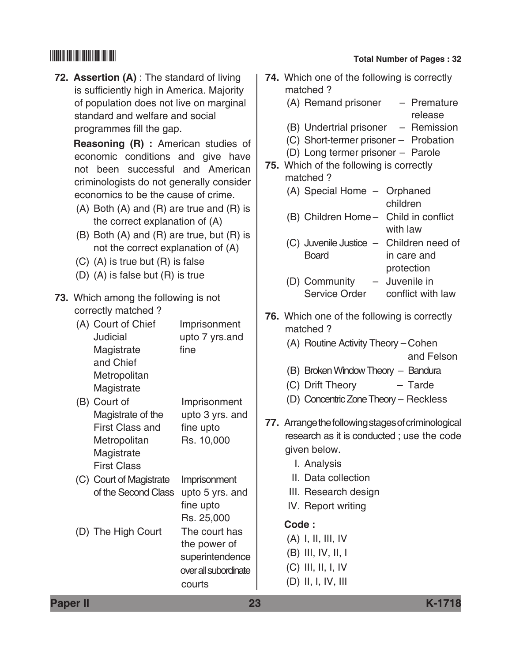**72. Assertion (A)** : The standard of living is sufficiently high in America. Majority of population does not live on marginal standard and welfare and social programmes fill the gap.

> **Reasoning (R) :** American studies of economic conditions and give have not been successful and American criminologists do not generally consider economics to be the cause of crime.

- (A) Both (A) and (R) are true and (R) is the correct explanation of (A)
- (B) Both (A) and (R) are true, but (R) is not the correct explanation of (A)
- (C) (A) is true but (R) is false
- (D) (A) is false but (R) is true
- **73.** Which among the following is not correctly matched ?
	- (A) Court of Chief Imprisonment Judicial upto 7 yrs.and Magistrate fine and Chief **Metropolitan** Magistrate
	- (B) Court of Imprisonment Magistrate of the upto 3 yrs. and First Class and fine upto Metropolitan Rs. 10,000 Magistrate First Class
	- (C) Court of Magistrate Imprisonment of the Second Class upto 5 yrs. and fine upto Rs. 25,000 (D) The High Court The court has the power of superintendence

# \*K1718\* **Total Number of Pages : 32**

| <b>74.</b> Which one of the following is correctly<br>matched?                                                                                                                                      |
|-----------------------------------------------------------------------------------------------------------------------------------------------------------------------------------------------------|
| (A) Remand prisoner - Premature<br>release                                                                                                                                                          |
| (B) Undertrial prisoner - Remission<br>(C) Short-termer prisoner - Probation<br>(D) Long termer prisoner - Parole<br>75. Which of the following is correctly<br>matched?                            |
| (A) Special Home - Orphaned<br>children                                                                                                                                                             |
| (B) Children Home - Child in conflict<br>with law                                                                                                                                                   |
| (C) Juvenile Justice - Children need of<br><b>Board</b><br>in care and<br>protection                                                                                                                |
| - Juvenile in<br>(D) Community<br>Service Order conflict with law                                                                                                                                   |
| 76. Which one of the following is correctly<br>matched?<br>(A) Routine Activity Theory - Cohen                                                                                                      |
| and Felson<br>(B) Broken Window Theory - Bandura<br>(C) Drift Theory<br>$-$ Tarde<br>(D) Concentric Zone Theory - Reckless                                                                          |
| 77. Arrange the following stages of criminological<br>research as it is conducted; use the code<br>given below.<br>I. Analysis<br>II. Data collection<br>III. Research design<br>IV. Report writing |
| Code:<br>$(A)$ I, II, III, IV                                                                                                                                                                       |
| $(B)$ III, IV, II, I                                                                                                                                                                                |
| $(C)$ III, II, I, IV<br>$(D)$ II, I, IV, III                                                                                                                                                        |

**Paper II 23 K-1718**

over all subordinate

courts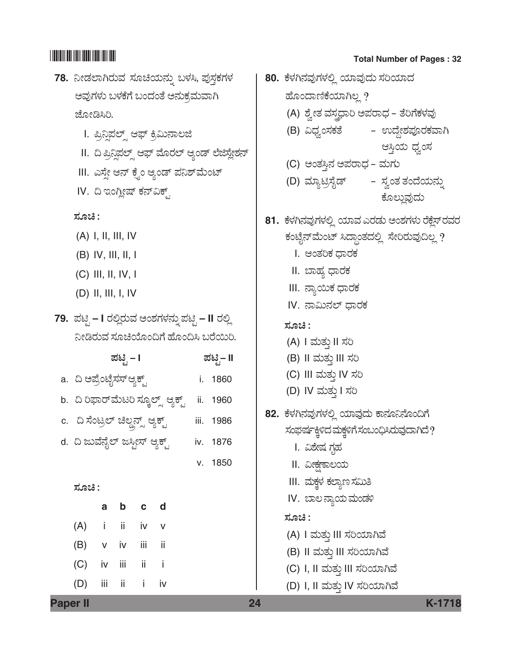# 

- 78. ನೀಡಲಾಗಿರುವ ಸೂಚಿಯನ್ನು ಬಳಸಿ, ಪುಸ್ತಕಗಳ ಅವುಗಳು ಬಳಕೆಗೆ ಬಂದಂತೆ ಅನುಕ್ರಮವಾಗಿ ಜೋಡಿಸಿರಿ.
	- I. ಪ್ರಿನ್ಲಿಪಲ್ಸ್ ಆಫ್ ಕ್ರಿಮಿನಾಲಜಿ
	- II. ದಿ ಪ್ರಿನ್ಲಿಪಲ್ಸ್ ಆಫ್ ಮೊರಲ್ ಆ್ಯಂಡ್ ಲೆಜಿಸ್ಲೇಶನ್
	- III. ಎಸ್ಸೇ ಆನ್ ಕ್ನೆಂ ಆ್ಯಂಡ್ ಪನಿಶ್**ಮೆಂ**ಟ್
	- IV. ದಿ ಇಂಗ್ಲೀಷ್ ಕನ್ವಿಕ್ಸ್

ಸೂಚಿ :

- $(A)$  I, II, III, IV
- $(B)$  IV, III, II, I
- $(C)$  III, II, IV, I
- $(D)$  II, III, I, IV
- 79. ಪಟ್ಟಿ I ರಲ್ಲಿರುವ ಅಂಶಗಳನ್ನು ಪಟ್ಟಿ II ರಲ್ಲಿ ನೀಡಿರುವ ಸೂಚಿಯೊಂದಿಗೆ ಹೊಂದಿಸಿ ಬರೆಯಿರಿ.
- ಪಟಿ ಸೆ. **I** ಪಟಿೖ– II a. ದಿ ಅಪ್ರೆಂಟೈಸಸ್ಆ್ಯಕ್ಟ್ i. 1860 b. ದಿ ರಿಫಾರ್ಮೆಟರಿ ಸ್ಕೂಲ್ಸ್ ಆ್ಯಕ್ಟ್ ii. 1960 c. ದಿ ಸೆಂಟ್ರಲ್ ಚಿಲ್ಡನ್ಸ್ ಆ್ಯಕ್ಟ್ iii. 1986 d. ದಿ ಜುವೆನೈಲ್ ಜಸ್ತೀಸ್ ಆ್ಯಕ್ಟ್ iv. 1876 v. 1850

ಸೂಚಿ :

**Paper II** 

|                   |  | a b c d |  |
|-------------------|--|---------|--|
| $(A)$ i ii iv v   |  |         |  |
| $(B)$ v iv iii ii |  |         |  |
| $(C)$ iv iii ii i |  |         |  |
| (D) iii ii i iv   |  |         |  |

### **Total Number of Pages: 32**

80. ಕೆಳಗಿನವುಗಳಲ್ಲಿ ಯಾವುದು ಸರಿಯಾದ ಹೊಂದಾಣಿಕೆಯಾಗಿಲ್ಲ? (A) ಶ್ವೇತ ವಸ್ತ್ರಧಾರಿ ಅಪರಾಧ - ತೆರಿಗೆಕಳವು (B) ವಿಧ್ವಂಸಕತೆ – ಉದ್ದೇಶಪೂರಕವಾಗಿ ಆಸ್ತಿಯ ಧ್ವಂಸ (C) ಅಂತಸ್ಥಿನ ಅಪರಾಧ - ಮಗು (D) ಮ್ಯಾಟ್ರಿಸೈಡ್ – ಸ್ವಂತ ತಂದೆಯನ್ನು ಕೊಲ್ಲುವದು 81. ಕೆಳಗಿನವುಗಳಲ್ಲಿ ಯಾವ ಎರಡು ಅಂಶಗಳು ರೆಕ್ಷೆಸ್ ರವರ ಕಂಟೈನ್ ಮೆಂಟ್ ಸಿದ್ಧಾಂತದಲ್ಲಿ ಸೇರಿರುವುದಿಲ್ಲ ? I. ಆಂತರಿಕ ದಾರಕ II. ಬಾಹ್ಯ ಧಾರಕ III. ನ್ಯಾಯಿಕ ಧಾರಕ IV. ನಾಮಿನಲ್ ಧಾರಕ ಸೂಚಿ : (A) I ಮತ್ತು II ಸರಿ (B) II ಮತ್ತು III ಸರಿ (C) III ಮತ್ತು IV ಸರಿ (D) IV ಮತ್ತು I ಸರಿ 82. ಕೆಳಗಿನವುಗಳಲ್ಲಿ ಯಾವುದು ಕಾನೂನಿನೊಂದಿಗೆ ಸಂಘರ್ಷಕ್ಕಿಳಿದ ಮಕ್ತಳಿಗೆ ಸಂಬಂಧಿಸಿರುವುದಾಗಿದೆ? I. ವಿಶೇಷ ಗೃಹ II. ವೀಕ್ಷಣಾಲಯ III. ಮಕ್ಷಳ ಕಲ್ಯಾಣಸಮಿತಿ IV. ಬಾಲನ್ಯಾಯ ಮಂಡಳಿ ಸೂಚಿ : (A) I ಮತ್ತು III ಸರಿಯಾಗಿವೆ (B) II ಮತ್ತು III ಸರಿಯಾಗಿವೆ (C) I, II ಮತ್ತು III ಸರಿಯಾಗಿವೆ (D) I, II ಮತ್ತು IV ಸರಿಯಾಗಿವೆ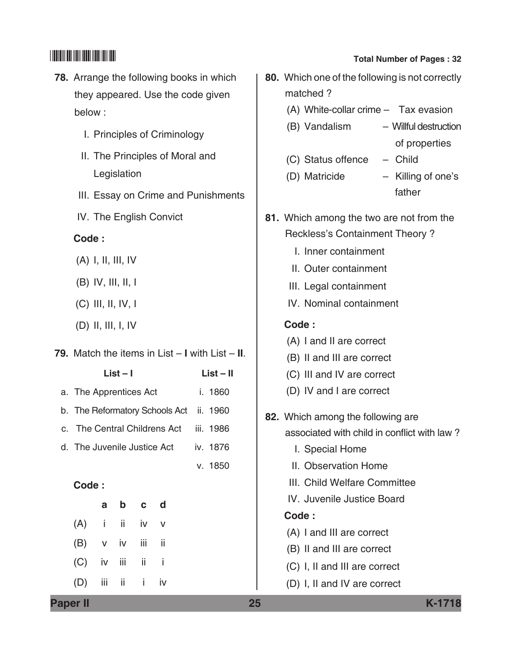- **78.** Arrange the following books in which they appeared. Use the code given below :
	- I. Principles of Criminology
	- II. The Principles of Moral and Legislation
	- III. Essay on Crime and Punishments
	- IV. The English Convict

### **Code :**

- (A) I, II, III, IV
- (B) IV, III, II, I
- (C) III, II, IV, I
- (D) II, III, I, IV

### **79.** Match the items in List – **I** with List – **II**.

| List – I                       | List – II |
|--------------------------------|-----------|
| a. The Apprentices Act         | i. 1860   |
| b. The Reformatory Schools Act | ii. 1960  |
| c. The Central Childrens Act   | iii. 1986 |
| d. The Juvenile Justice Act    | iv. 1876  |
|                                | v. 1850   |
| Code :                         |           |
| d<br>h.<br>$\mathbf{c}$<br>a   |           |
|                                |           |

| $(A)$ i ii iv v   |  |  |
|-------------------|--|--|
| (B) v iv iii ii   |  |  |
| $(C)$ iv iii ii i |  |  |
| $(D)$ iii ii i iv |  |  |

| 80. Which one of the following is not correctly<br>matched? |  |  |  |
|-------------------------------------------------------------|--|--|--|
| (A) White-collar crime - Tax evasion                        |  |  |  |
| (B) Vandalism<br>- Willful destruction                      |  |  |  |
| of properties                                               |  |  |  |
| (C) Status offence - Child                                  |  |  |  |
| - Killing of one's<br>(D) Matricide<br>father               |  |  |  |
| 81. Which among the two are not from the                    |  |  |  |
| Reckless's Containment Theory?                              |  |  |  |
| I. Inner containment                                        |  |  |  |
| II. Outer containment                                       |  |  |  |
| III. Legal containment                                      |  |  |  |
| IV. Nominal containment                                     |  |  |  |
| Code:                                                       |  |  |  |
| (A) I and II are correct                                    |  |  |  |
| (B) II and III are correct                                  |  |  |  |
| (C) III and IV are correct                                  |  |  |  |
| (D) IV and I are correct                                    |  |  |  |
| 82. Which among the following are                           |  |  |  |
| associated with child in conflict with law?                 |  |  |  |
| I. Special Home                                             |  |  |  |
| II. Observation Home                                        |  |  |  |
| III. Child Welfare Committee                                |  |  |  |
| IV. Juvenile Justice Board                                  |  |  |  |
| Code:                                                       |  |  |  |
| (A) I and III are correct                                   |  |  |  |
| (B) II and III are correct                                  |  |  |  |
| (C) I, II and III are correct                               |  |  |  |

(D) I, II and IV are correct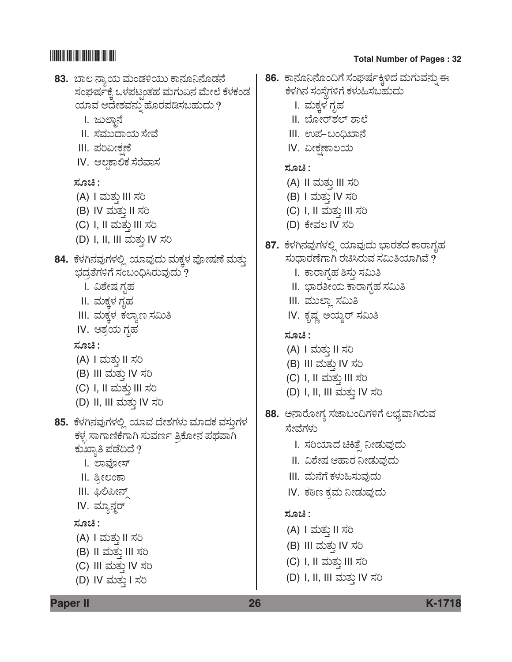

**Paper II 26 K-1718**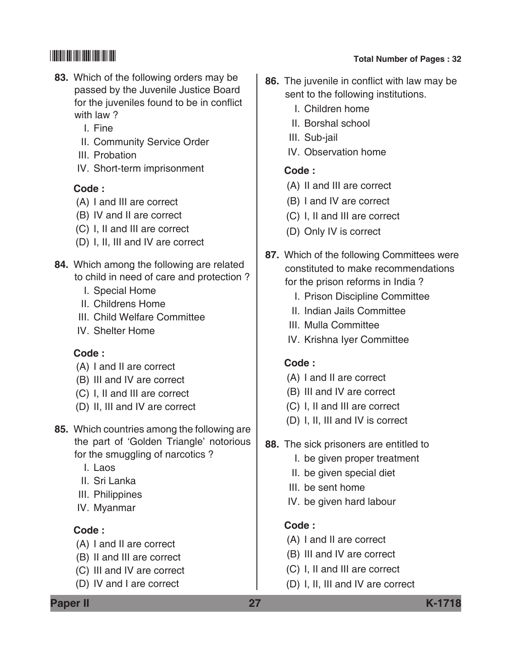- **83.** Which of the following orders may be passed by the Juvenile Justice Board for the juveniles found to be in conflict with law ?
	- I. Fine
	- II. Community Service Order
	- III. Probation
	- IV. Short-term imprisonment

### **Code :**

- (A) I and III are correct
- (B) IV and II are correct
- (C) I, II and III are correct
- (D) I, II, III and IV are correct
- **84.** Which among the following are related to child in need of care and protection ?
	- I. Special Home
	- II. Childrens Home
	- III. Child Welfare Committee
	- IV. Shelter Home

## **Code :**

- (A) I and II are correct
- (B) III and IV are correct
- (C) I, II and III are correct
- (D) II, III and IV are correct
- **85.** Which countries among the following are the part of 'Golden Triangle' notorious for the smuggling of narcotics ?
	- I. Laos
	- II. Sri Lanka
	- III. Philippines
	- IV. Myanmar

# **Code :**

- (A) I and II are correct
- (B) II and III are correct
- (C) III and IV are correct
- (D) IV and I are correct

# \*K1718\* **Total Number of Pages : 32**

- **86.** The juvenile in conflict with law may be sent to the following institutions.
	- I. Children home
	- II. Borshal school
	- III. Sub-jail
	- IV. Observation home

# **Code :**

- (A) II and III are correct
- (B) I and IV are correct
- (C) I, II and III are correct
- (D) Only IV is correct
- **87.** Which of the following Committees were constituted to make recommendations for the prison reforms in India ?
	- I. Prison Discipline Committee
	- II. Indian Jails Committee
	- III. Mulla Committee
	- IV. Krishna Iyer Committee

# **Code :**

- (A) I and II are correct
- (B) III and IV are correct
- (C) I, II and III are correct
- (D) I, II, III and IV is correct
- **88.** The sick prisoners are entitled to
	- I. be given proper treatment
	- II. be given special diet
	- III. be sent home
	- IV. be given hard labour

# **Code :**

- (A) I and II are correct
- (B) III and IV are correct
- (C) I, II and III are correct
- (D) I, II, III and IV are correct

**Paper II 27 K-1718**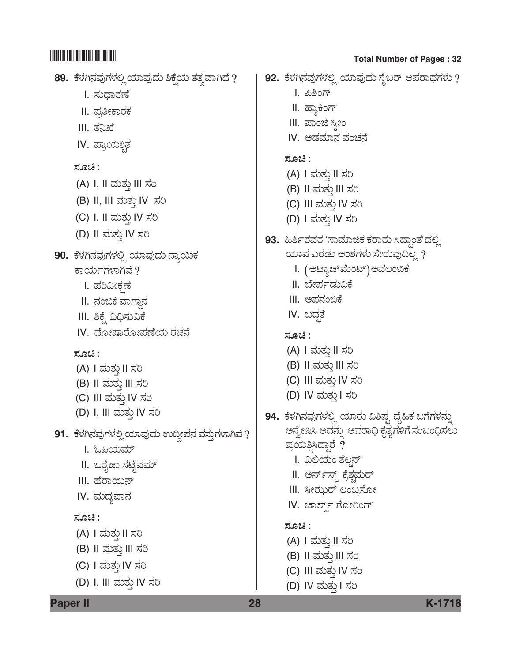| 89.  ಕೆಳಗಿನವುಗಳಲ್ಲಿ ಯಾವುದು ಶಿಕ್ಷೆಯ ತತ್ವವಾಗಿದೆ ?   | 92.  ಕೆಳಗಿನವುಗಳಲ್ಲಿ ಯಾವುದು ಸೈಬರ್ ಅಪರಾಧಗಳು ?      |
|---------------------------------------------------|--------------------------------------------------|
| I. ಸುಧಾರಣೆ                                        | I. ಪಿಶಿಂಗ್                                       |
| II. ಪ್ರತೀಕಾರಕ                                     | II. ಹ್ಯಾಕಿಂಗ್                                    |
| III. ತನಿಖೆ                                        | III. ಪಾಂಜಿ ಸ್ತೀಂ                                 |
| IV. ಪ್ರಾಯಶ್ಚಿತ                                    | IV. ಅಡಮಾನ ವಂಚನೆ                                  |
|                                                   | ಸೂಚಿ :                                           |
| ಸೂಚಿ :                                            | (A) I ಮತ್ತು II ಸರಿ                               |
| (A) I, II ಮತ್ತು III ಸರಿ                           | (B) II ಮತ್ತು III ಸರಿ                             |
| (B) II, III ಮತ್ತು IV ಸರಿ                          | (C) III ಮತ್ತು IV ಸರಿ                             |
| (C) I, II ಮತ್ತು IV ಸರಿ                            | (D) I ಮತ್ತು IV ಸರಿ                               |
| (D) II ಮತ್ತು IV ಸರಿ                               | 93.  ಹಿರ್ಶಿರವರ 'ಸಾಮಾಜಿಕ ಕರಾರು ಸಿದ್ಧಾಂತ'ದಲ್ಲಿ     |
| 90.  ಕೆಳಗಿನವುಗಳಲ್ಲಿ ಯಾವುದು ನ್ಯಾಯಿಕ                | ಯಾವ ಎರಡು ಅಂಶಗಳು ಸೇರುವುದಿಲ್ಲ ?                    |
| ಕಾರ್ಯಗಳಾಗಿವೆ ?                                    | I. (ಅಟ್ಯಾಚ್ಮೆಂಟ್)ಅವಲಂಬಿಕೆ                        |
| I. ಪರಿವೀಕ್ಷಣೆ                                     | II. ಬೇರ್ಪಡುವಿಕೆ                                  |
| II. ನಂಬಿಕೆ ವಾಗ್ದಾನ                                | III. ಅಪನಂಬಿಕೆ                                    |
| III. ಶಿಕ್ಷ್ಮೆ ವಿಧಿಸುವಿಕೆ                          | IV. ಬದ್ಧತೆ                                       |
| IV. ದೋಷಾರೋಪಣೆಯ ರಚನೆ                               | ಸೂಚಿ :                                           |
| ಸೂಚಿ :                                            | (A) I ಮತ್ತು II ಸರಿ                               |
| (A) I ಮತ್ತು II ಸರಿ                                | (B) II ಮತ್ತು III ಸರಿ                             |
| (B) II ಮತ್ತು III ಸರಿ                              | (C) III ಮತ್ತು IV ಸರಿ                             |
| (C) III ಮತ್ತು IV ಸರಿ                              | (D) IV ಮತ್ತು I ಸರಿ                               |
| (D) I, III ಮತ್ತು IV ಸರಿ                           | 94.  ಕೆಳಗಿನವುಗಳಲ್ಲಿ ಯಾರು ವಿಶಿಷ್ಟ ದೈಹಿಕ ಬಗೆಗಳನ್ನು |
| 91.  ಕೆಳಗಿನವುಗಳಲ್ಲಿ ಯಾವುದು ಉದ್ದೀಪನ ವಸ್ತುಗಳಾಗಿವೆ ? | ಅನ್ವೇಷಿಸಿ ಅದನ್ನು ಅಪರಾಧಿ ಕೃತ್ಯಗಳಿಗೆ ಸಂಬಂಧಿಸಲು     |
| I. ಓಪಿಯಮ್                                         | ಪ್ರಯತ್ನಿಸಿದ್ದಾರೆ ?                               |
| II. ಒರೈಜಾ ಸಟೈವಮ್                                  | I.  ವಿಲಿಯಂ ಶೆಲ್ಡನ್                               |
| III. ಹೆರಾಯಿನ್                                     | II. ಅರ್ನ್ಸ್ಟ್ ಕ್ರೆಶ್ಚಮರ್                         |
| IV. ಮದ್ಯಪಾನ                                       | III. ಸೀಝರ್ ಲಂಬ್ರಸೋ                               |
| ಸೂಚಿ :                                            | IV. ಚಾರ್ಲ್ಡ್ ಗೋರಿಂಗ್                             |
|                                                   | ಸೂಚಿ :                                           |
| (A) I ಮತ್ತು II ಸರಿ<br>(B) II ಮತ್ತು III ಸರಿ        | (A) I ಮತ್ತು II ಸರಿ                               |
|                                                   | (B) II ಮತ್ತು III ಸರಿ                             |
| (C) I ಮತ್ತು IV ಸರಿ                                | (C) III ಮತ್ತು IV ಸರಿ                             |
| (D) I, III ಮತ್ತು IV ಸರಿ                           | (D) IV ಮತ್ತು I ಸರಿ                               |
| <b>Paper II</b>                                   | 28<br>K-1718                                     |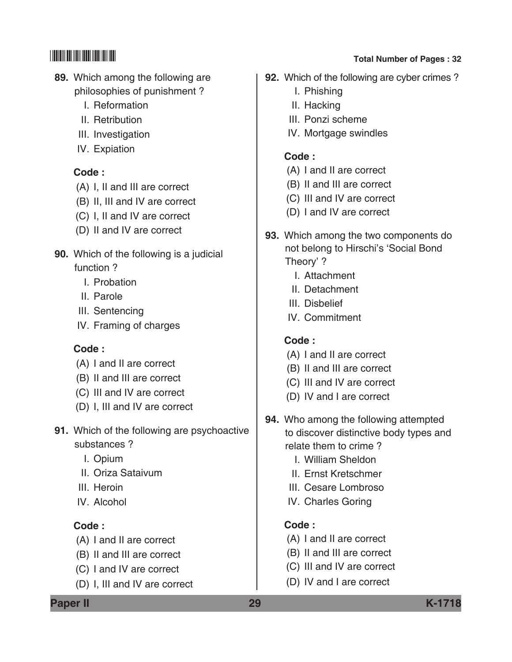- **89.** Which among the following are philosophies of punishment ?
	- I. Reformation
	- II. Retribution
	- III. Investigation
	- IV. Expiation

## **Code :**

- (A) I, II and III are correct
- (B) II, III and IV are correct
- (C) I, II and IV are correct
- (D) II and IV are correct
- **90.** Which of the following is a judicial function ?
	- I. Probation
	- II. Parole
	- III. Sentencing
	- IV. Framing of charges

## **Code :**

- (A) I and II are correct
- (B) II and III are correct
- (C) III and IV are correct
- (D) I, III and IV are correct
- **91.** Which of the following are psychoactive substances ?
	- I. Opium
	- II. Oriza Sataivum
	- III. Heroin
	- IV. Alcohol

# **Code :**

- (A) I and II are correct
- (B) II and III are correct
- (C) I and IV are correct
- (D) I, III and IV are correct

# \*K1718\* **Total Number of Pages : 32**

- **92.** Which of the following are cyber crimes ?
	- I. Phishing
	- II. Hacking
	- III. Ponzi scheme
	- IV. Mortgage swindles

## **Code :**

- (A) I and II are correct
- (B) II and III are correct
- (C) III and IV are correct
- (D) I and IV are correct
- **93.** Which among the two components do not belong to Hirschi's 'Social Bond Theory' ?
	- I. Attachment
	- II. Detachment
	- III. Disbelief
	- IV. Commitment

# **Code :**

- (A) I and II are correct
- (B) II and III are correct
- (C) III and IV are correct
- (D) IV and I are correct
- **94.** Who among the following attempted to discover distinctive body types and relate them to crime ?
	- I. William Sheldon
	- II. Ernst Kretschmer
	- III. Cesare Lombroso
	- IV. Charles Goring

## **Code :**

- (A) I and II are correct
- (B) II and III are correct
- (C) III and IV are correct
- (D) IV and I are correct

**Paper II 29 K-1718**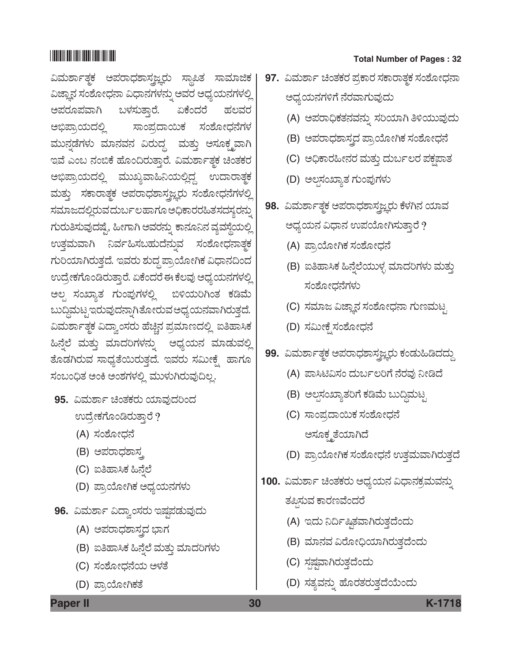# 

ವಿಮರ್ಶಾತ್ಮಕ ಅಪರಾಧಶಾಸ್ತ್ರಜ್ಞರು ಸ್ಥಾಪಿತ ಸಾಮಾಜಿಕ | ವಿಜ್ಞಾನ ಸಂಶೋಧನಾ ವಿಧಾನಗಳನ್ನು ಅವರ ಅಧ್ಯಯನಗಳಲ್ಲಿ ಅಪರೂಪವಾಗಿ ಬಳಸುತ್ತಾರೆ. ಏಕೆಂದರೆ ಹಲವರ ಸಾಂಪ್ರದಾಯಿಕ ಸಂಶೋಧನೆಗಳ ಅಭಿಪ್ರಾಯದಲ್ಲಿ ಮುನ್ನಡೆಗಳು ಮಾನವನ ವಿರುದ್ದ ಮತ್ತು ಅಸೂಕ್ಷ್ಮವಾಗಿ ಇವೆ ಎಂಬ ನಂಬಿಕೆ ಹೊಂದಿರುತ್ತಾರೆ. ವಿಮರ್ಶಾತ್ಮಕ ಚಿಂತಕರ ಅಭಿಪ್ರಾಯದಲ್ಲಿ ಮುಖ್ಯವಾಹಿನಿಯಲ್ಲಿದ್ದ ಉದಾರಾತ್ಮಕ ಮತ್ತು ಸಕಾರಾತ್ಮಕ ಅಪರಾಧಶಾಸ್ತ್ರಜ್ಞರು ಸಂಶೋಧನೆಗಳಲ್ಲಿ ಸಮಾಜದಲ್ಲಿರುವದುರ್ಬಲಹಾಗೂ ಅಧಿಕಾರರಹಿತಸದಸ್ಯರನ್ನು ಗುರುತಿಸುವುದಷ್ಟೆ, ಹೀಗಾಗಿ ಅವರನ್ನು ಕಾನೂನಿನ ವ್ಯವಸ್ಥೆಯಲ್ಲಿ ಉತ್ತಮವಾಗಿ ನಿರ್ವಹಿಸಬಹುದೆನ್ನುವ ಸಂಶೋಧನಾತ್ಥಕ ಗುರಿಯಾಗಿರುತ್ತದೆ. ಇವರು ಶುದ್ಧ ಪ್ರಾಯೋಗಿಕ ವಿಧಾನದಿಂದ ಉದ್ರೇಕಗೊಂಡಿರುತ್ತಾರೆ. ಏಕೆಂದರೆ ಈ ಕೆಲವು ಅಧ್ಯಯನಗಳಲ್ಲಿ ಅಲ್ಪ ಸಂಖ್ಯಾತ ಗುಂಪುಗಳಲ್ಲಿ ಬಿಳಿಯರಿಗಿಂತ ಕಡಿಮೆ ಬುದ್ದಿಮಟ್ಟಇರುವುದನ್ನಾಗಿತೋರುವ ಅಧ್ಯಯನವಾಗಿರುತ್ತದೆ. ವಿಮರ್ಶಾತ್ಮಕ ವಿದ್ವಾಂಸರು ಹೆಚ್ಚಿನ ಪ್ರಮಾಣದಲ್ಲಿ ಐತಿಹಾಸಿಕ ಹಿನ್ನೆಲೆ ಮತ್ತು ಮಾದರಿಗಳನ್ನು ಅಧ್ಯಯನ ಮಾಡುವಲ್ಲಿ .<br>ತೊಡಗಿರುವ ಸಾಧ್ಯತೆಯಿರುತ್ತದೆ. ಇವರು ಸಮೀಕ್ಷ್ಮೆ ಹಾಗೂ ಸಂಬಂಧಿತ ಅಂಕಿ ಅಂಶಗಳಲ್ಲಿ ಮುಳುಗಿರುವುದಿಲ್ಲ.

- 95. ವಿಮರ್ಶಾ ಚಿಂತಕರು ಯಾವುದರಿಂದ ಉದ್ರೇಕಗೊಂಡಿರುತ್ತಾರೆ ?
	- (A) ಸಂಶೋಧನೆ
	- (B) ಅಪರಾಧಶಾಸ್ತ
	- (C) ಐತಿಹಾಸಿಕ ಹಿನೆಲೆ
	- (D) ಪ್ರಾಯೋಗಿಕ ಅಧ್ಯಯನಗಳು
- 96. ವಿಮರ್ಶಾ ವಿದ್ವಾಂಸರು ಇಷ್ಟಪಡುವುದು
	- (A) ಅಪರಾಧಶಾಸ್ತ್ರದ ಭಾಗ
	- (B) ಐತಿಹಾಸಿಕ ಹಿನ್ನೆಲೆ ಮತ್ತು ಮಾದರಿಗಳು
	- (C) ಸಂಶೋಧನೆಯ ಅಳತೆ
	- (D) ಪ್ರಾಯೋಗಿಕತೆ

### **Total Number of Pages: 32**

- 97. ವಿಮರ್ಶಾ ಚಿಂತಕರ ಪ್ರಕಾರ ಸಕಾರಾತ್ಮಕ ಸಂಶೋಧನಾ ಅಧ್ಯಯನಗಳಿಗೆ ನೆರವಾಗುವುದು
	- (A) ಅಪರಾಧಿಕತನವನ್ನು ಸರಿಯಾಗಿ ತಿಳಿಯುವುದು
	- (B) ಅಪರಾಧಶಾಸ್ತ್ರದ ಪ್ರಾಯೋಗಿಕ ಸಂಶೋಧನೆ
	- (C) ಅಧಿಕಾರಹೀನರ ಮತ್ತು ದುರ್ಬಲರ ಪಕ್ಷಪಾತ
	- (D) ಅಲ್ಪಸಂಖ್ಯಾತ ಗುಂಪುಗಳು
- 98. ವಿಮರ್ಶಾತ್ಮಕ ಅಪರಾಧಶಾಸ್ತ್ರಜ್ಞರು ಕೆಳಗಿನ ಯಾವ ಅಧ್ಯಯನ ವಿಧಾನ ಉಪಯೋಗಿಸುತ್ತಾರೆ ?
	- (A) ಪ್ರಾಯೋಗಿಕ ಸಂಶೋಧನೆ
	- (B) ಐತಿಹಾಸಿಕ ಹಿನ್ನೆಲೆಯುಳ್ಳ ಮಾದರಿಗಳು ಮತ್ತು ಸಂಶೋಧನೆಗಳು
	- (C) ಸಮಾಜ ವಿಜ್ಞಾನ ಸಂಶೋಧನಾ ಗುಣಮಟ್ಟ
	- (D) ಸಮೀಕ್ಷೆ ಸಂಶೋಧನೆ
- 99. ವಿಮರ್ಶಾತ್ಚಕ ಅಪರಾಧಶಾಸ್ತ್ರಜ್ಞರು ಕಂಡುಹಿಡಿದದ್ದು
	- (A) ಪಾಸಿಟಿವಿಸಂ ದುರ್ಬಲರಿಗೆ ನೆರವು ನೀಡಿದೆ
	- (B) ಅಲ್ಪಸಂಖ್ಯಾತರಿಗೆ ಕಡಿಮೆ ಬುದ್ಧಿಮಟ್ಸ
	- (C) ಸಾಂಪ್ರದಾಯಿಕ ಸಂಶೋಧನೆ ಅಸೂಕ್ಷ್ಮತೆಯಾಗಿದೆ
	- (D) ಪ್ರಾಯೋಗಿಕ ಸಂಶೋಧನೆ ಉತ್ತಮವಾಗಿರುತ್ತದೆ
- 100. ವಿಮರ್ಶಾ ಚಿಂತಕರು ಅಧ್ಯಯನ ವಿಧಾನಕ್ರಮವನ್ನು ತಪ್ಪಿಸುವ ಕಾರಣವೆಂದರೆ
	- (A) ಇದು ನಿರ್ದಿಷ್ಠಿತವಾಗಿರುತ್ತದೆಂದು
	- (B) ಮಾನವ ವಿರೋಧಿಯಾಗಿರುತ್ತದೆಂದು
	- (C) ಸ್ಪಷ್ಟವಾಗಿರುತ್ತದೆಂದು
	- (D) ಸತ್ಯವನ್ನು ಹೊರತರುತ್ತದೆಯೆಂದು

**Paper II** 

30

K-1718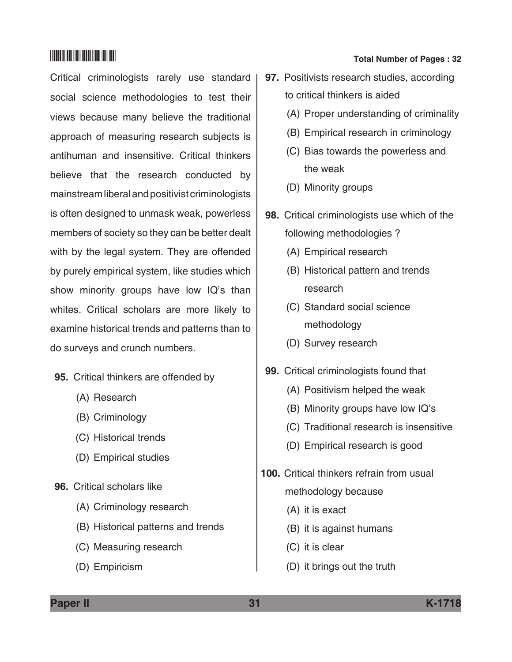Critical criminologists rarely use standard social science methodologies to test their views because many believe the traditional approach of measuring research subjects is antihuman and insensitive. Critical thinkers believe that the research conducted by mainstream liberal and positivist criminologists is often designed to unmask weak, powerless members of society so they can be better dealt with by the legal system. They are offended by purely empirical system, like studies which show minority groups have low IQ's than whites. Critical scholars are more likely to examine historical trends and patterns than to do surveys and crunch numbers.

- **95.** Critical thinkers are offended by
	- (A) Research
	- (B) Criminology
	- (C) Historical trends
	- (D) Empirical studies
- **96.** Critical scholars like
	- (A) Criminology research
	- (B) Historical patterns and trends
	- (C) Measuring research
	- (D) Empiricism

# \*K1718\* **Total Number of Pages : 32**

- **97.** Positivists research studies, according to critical thinkers is aided
	- (A) Proper understanding of criminality
	- (B) Empirical research in criminology
	- (C) Bias towards the powerless and the weak
	- (D) Minority groups
- **98.** Critical criminologists use which of the following methodologies ?
	- (A) Empirical research
	- (B) Historical pattern and trends research
	- (C) Standard social science methodology
	- (D) Survey research
- **99.** Critical criminologists found that
	- (A) Positivism helped the weak
	- (B) Minority groups have low IQ's
	- (C) Traditional research is insensitive
	- (D) Empirical research is good
- **100.** Critical thinkers refrain from usual methodology because
	- (A) it is exact
	- (B) it is against humans
	- (C) it is clear
	- (D) it brings out the truth